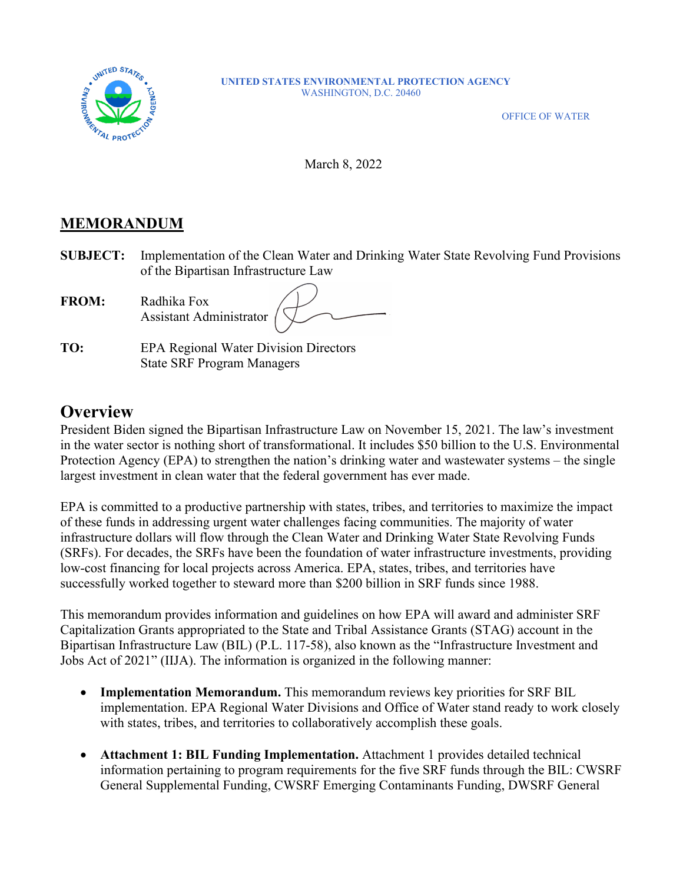

#### **UNITED STATES ENVIRONMENTAL PROTECTION AGENCY** WASHINGTON, D.C. 20460

OFFICE OF WATER

March 8, 2022

### **MEMORANDUM**

**SUBJECT:** Implementation of the Clean Water and Drinking Water State Revolving Fund Provisions of the Bipartisan Infrastructure Law

| <b>FROM:</b> | Radhika Fox<br>Assistant Administrator / |  |
|--------------|------------------------------------------|--|
|              |                                          |  |

**TO:** EPA Regional Water Division Directors State SRF Program Managers

# **Overview**

President Biden signed the Bipartisan Infrastructure Law on November 15, 2021. The law's investment in the water sector is nothing short of transformational. It includes \$50 billion to the U.S. Environmental Protection Agency (EPA) to strengthen the nation's drinking water and wastewater systems – the single largest investment in clean water that the federal government has ever made.

EPA is committed to a productive partnership with states, tribes, and territories to maximize the impact of these funds in addressing urgent water challenges facing communities. The majority of water infrastructure dollars will flow through the Clean Water and Drinking Water State Revolving Funds (SRFs). For decades, the SRFs have been the foundation of water infrastructure investments, providing low-cost financing for local projects across America. EPA, states, tribes, and territories have successfully worked together to steward more than \$200 billion in SRF funds since 1988.

This memorandum provides information and guidelines on how EPA will award and administer SRF Capitalization Grants appropriated to the State and Tribal Assistance Grants (STAG) account in the Bipartisan Infrastructure Law (BIL) (P.L. 117-58), also known as the "Infrastructure Investment and Jobs Act of 2021" (IIJA). The information is organized in the following manner:

- **Implementation Memorandum.** This memorandum reviews key priorities for SRF BIL implementation. EPA Regional Water Divisions and Office of Water stand ready to work closely with states, tribes, and territories to collaboratively accomplish these goals.
- **Attachment 1: BIL Funding Implementation.** Attachment 1 provides detailed technical information pertaining to program requirements for the five SRF funds through the BIL: CWSRF General Supplemental Funding, CWSRF Emerging Contaminants Funding, DWSRF General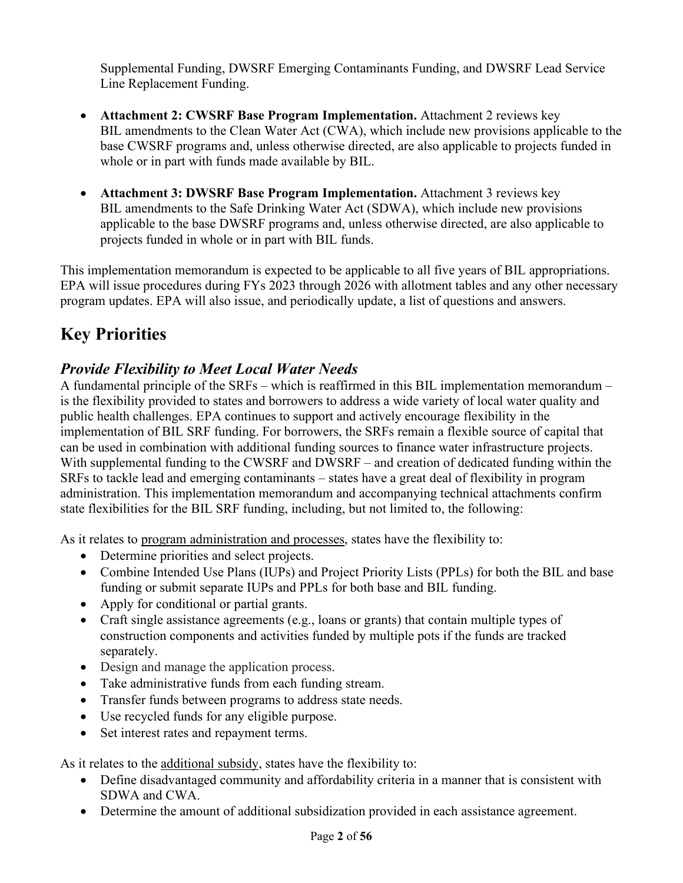Supplemental Funding, DWSRF Emerging Contaminants Funding, and DWSRF Lead Service Line Replacement Funding.

- **Attachment 2: CWSRF Base Program Implementation.** Attachment 2 reviews key BIL amendments to the Clean Water Act (CWA), which include new provisions applicable to the base CWSRF programs and, unless otherwise directed, are also applicable to projects funded in whole or in part with funds made available by BIL.
- **Attachment 3: DWSRF Base Program Implementation.** Attachment 3 reviews key BIL amendments to the Safe Drinking Water Act (SDWA), which include new provisions applicable to the base DWSRF programs and, unless otherwise directed, are also applicable to projects funded in whole or in part with BIL funds.

This implementation memorandum is expected to be applicable to all five years of BIL appropriations. EPA will issue procedures during FYs 2023 through 2026 with allotment tables and any other necessary program updates. EPA will also issue, and periodically update, a list of questions and answers.

# **Key Priorities**

# *Provide Flexibility to Meet Local Water Needs*

A fundamental principle of the SRFs – which is reaffirmed in this BIL implementation memorandum – is the flexibility provided to states and borrowers to address a wide variety of local water quality and public health challenges. EPA continues to support and actively encourage flexibility in the implementation of BIL SRF funding. For borrowers, the SRFs remain a flexible source of capital that can be used in combination with additional funding sources to finance water infrastructure projects. With supplemental funding to the CWSRF and DWSRF – and creation of dedicated funding within the SRFs to tackle lead and emerging contaminants – states have a great deal of flexibility in program administration. This implementation memorandum and accompanying technical attachments confirm state flexibilities for the BIL SRF funding, including, but not limited to, the following:

As it relates to program administration and processes, states have the flexibility to:

- Determine priorities and select projects.
- Combine Intended Use Plans (IUPs) and Project Priority Lists (PPLs) for both the BIL and base funding or submit separate IUPs and PPLs for both base and BIL funding.
- Apply for conditional or partial grants.
- Craft single assistance agreements (e.g., loans or grants) that contain multiple types of construction components and activities funded by multiple pots if the funds are tracked separately.
- Design and manage the application process.
- Take administrative funds from each funding stream.
- Transfer funds between programs to address state needs.
- Use recycled funds for any eligible purpose.
- Set interest rates and repayment terms.

As it relates to the additional subsidy, states have the flexibility to:

- Define disadvantaged community and affordability criteria in a manner that is consistent with SDWA and CWA.
- Determine the amount of additional subsidization provided in each assistance agreement.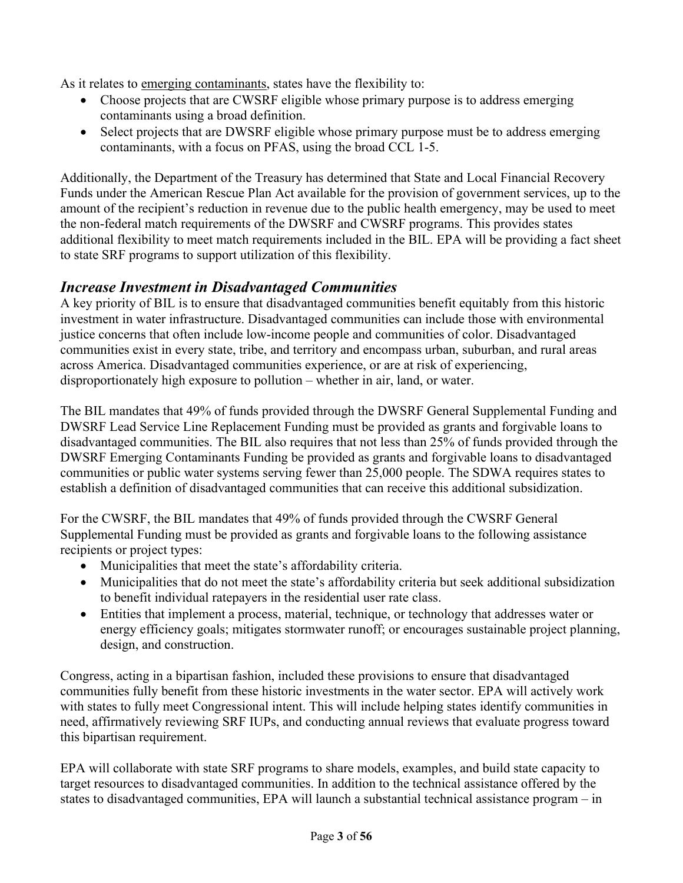As it relates to emerging contaminants, states have the flexibility to:

- Choose projects that are CWSRF eligible whose primary purpose is to address emerging contaminants using a broad definition.
- Select projects that are DWSRF eligible whose primary purpose must be to address emerging contaminants, with a focus on PFAS, using the broad CCL 1-5.

Additionally, the Department of the Treasury has determined that State and Local Financial Recovery Funds under the American Rescue Plan Act available for the provision of government services, up to the amount of the recipient's reduction in revenue due to the public health emergency, may be used to meet the non-federal match requirements of the DWSRF and CWSRF programs. This provides states additional flexibility to meet match requirements included in the BIL. EPA will be providing a fact sheet to state SRF programs to support utilization of this flexibility.

### *Increase Investment in Disadvantaged Communities*

A key priority of BIL is to ensure that disadvantaged communities benefit equitably from this historic investment in water infrastructure. Disadvantaged communities can include those with environmental justice concerns that often include low-income people and communities of color. Disadvantaged communities exist in every state, tribe, and territory and encompass urban, suburban, and rural areas across America. Disadvantaged communities experience, or are at risk of experiencing, disproportionately high exposure to pollution – whether in air, land, or water.

The BIL mandates that 49% of funds provided through the DWSRF General Supplemental Funding and DWSRF Lead Service Line Replacement Funding must be provided as grants and forgivable loans to disadvantaged communities. The BIL also requires that not less than 25% of funds provided through the DWSRF Emerging Contaminants Funding be provided as grants and forgivable loans to disadvantaged communities or public water systems serving fewer than 25,000 people. The SDWA requires states to establish a definition of disadvantaged communities that can receive this additional subsidization.

For the CWSRF, the BIL mandates that 49% of funds provided through the CWSRF General Supplemental Funding must be provided as grants and forgivable loans to the following assistance recipients or project types:

- Municipalities that meet the state's affordability criteria.
- Municipalities that do not meet the state's affordability criteria but seek additional subsidization to benefit individual ratepayers in the residential user rate class.
- Entities that implement a process, material, technique, or technology that addresses water or energy efficiency goals; mitigates stormwater runoff; or encourages sustainable project planning, design, and construction.

Congress, acting in a bipartisan fashion, included these provisions to ensure that disadvantaged communities fully benefit from these historic investments in the water sector. EPA will actively work with states to fully meet Congressional intent. This will include helping states identify communities in need, affirmatively reviewing SRF IUPs, and conducting annual reviews that evaluate progress toward this bipartisan requirement.

EPA will collaborate with state SRF programs to share models, examples, and build state capacity to target resources to disadvantaged communities. In addition to the technical assistance offered by the states to disadvantaged communities, EPA will launch a substantial technical assistance program – in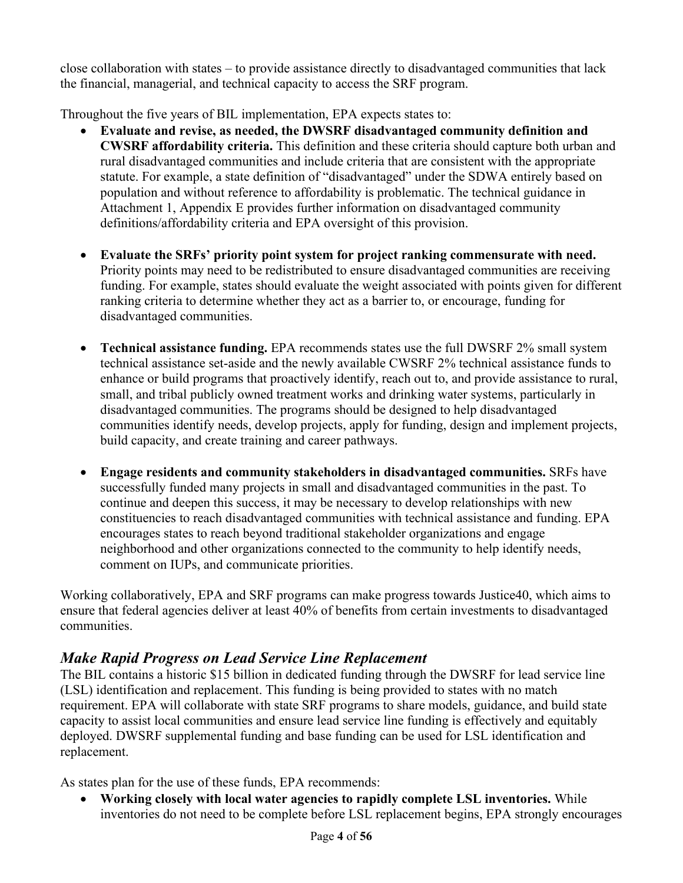close collaboration with states – to provide assistance directly to disadvantaged communities that lack the financial, managerial, and technical capacity to access the SRF program.

Throughout the five years of BIL implementation, EPA expects states to:

- **Evaluate and revise, as needed, the DWSRF disadvantaged community definition and CWSRF affordability criteria.** This definition and these criteria should capture both urban and rural disadvantaged communities and include criteria that are consistent with the appropriate statute. For example, a state definition of "disadvantaged" under the SDWA entirely based on population and without reference to affordability is problematic. The technical guidance in Attachment 1, Appendix E provides further information on disadvantaged community definitions/affordability criteria and EPA oversight of this provision.
- **Evaluate the SRFs' priority point system for project ranking commensurate with need.** Priority points may need to be redistributed to ensure disadvantaged communities are receiving funding. For example, states should evaluate the weight associated with points given for different ranking criteria to determine whether they act as a barrier to, or encourage, funding for disadvantaged communities.
- **Technical assistance funding.** EPA recommends states use the full DWSRF 2% small system technical assistance set-aside and the newly available CWSRF 2% technical assistance funds to enhance or build programs that proactively identify, reach out to, and provide assistance to rural, small, and tribal publicly owned treatment works and drinking water systems, particularly in disadvantaged communities. The programs should be designed to help disadvantaged communities identify needs, develop projects, apply for funding, design and implement projects, build capacity, and create training and career pathways.
- **Engage residents and community stakeholders in disadvantaged communities.** SRFs have successfully funded many projects in small and disadvantaged communities in the past. To continue and deepen this success, it may be necessary to develop relationships with new constituencies to reach disadvantaged communities with technical assistance and funding. EPA encourages states to reach beyond traditional stakeholder organizations and engage neighborhood and other organizations connected to the community to help identify needs, comment on IUPs, and communicate priorities.

Working collaboratively, EPA and SRF programs can make progress towards Justice40, which aims to ensure that federal agencies deliver at least 40% of benefits from certain investments to disadvantaged communities.

# *Make Rapid Progress on Lead Service Line Replacement*

The BIL contains a historic \$15 billion in dedicated funding through the DWSRF for lead service line (LSL) identification and replacement. This funding is being provided to states with no match requirement. EPA will collaborate with state SRF programs to share models, guidance, and build state capacity to assist local communities and ensure lead service line funding is effectively and equitably deployed. DWSRF supplemental funding and base funding can be used for LSL identification and replacement.

As states plan for the use of these funds, EPA recommends:

• **Working closely with local water agencies to rapidly complete LSL inventories.** While inventories do not need to be complete before LSL replacement begins, EPA strongly encourages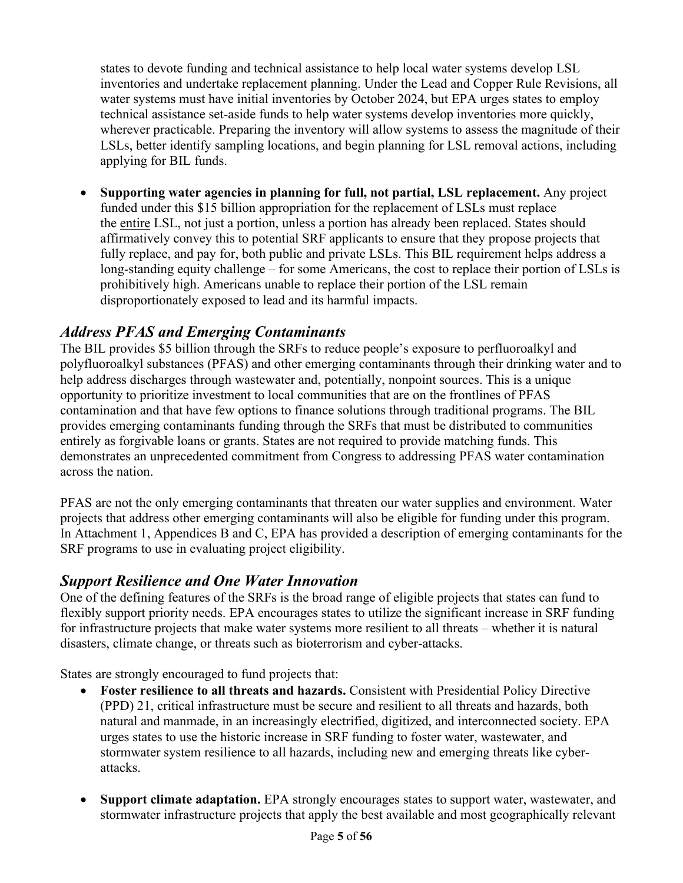states to devote funding and technical assistance to help local water systems develop LSL inventories and undertake replacement planning. Under the Lead and Copper Rule Revisions, all water systems must have initial inventories by October 2024, but EPA urges states to employ technical assistance set-aside funds to help water systems develop inventories more quickly, wherever practicable. Preparing the inventory will allow systems to assess the magnitude of their LSLs, better identify sampling locations, and begin planning for LSL removal actions, including applying for BIL funds.

• **Supporting water agencies in planning for full, not partial, LSL replacement.** Any project funded under this \$15 billion appropriation for the replacement of LSLs must replace the entire LSL, not just a portion, unless a portion has already been replaced. States should affirmatively convey this to potential SRF applicants to ensure that they propose projects that fully replace, and pay for, both public and private LSLs. This BIL requirement helps address a long-standing equity challenge – for some Americans, the cost to replace their portion of LSLs is prohibitively high. Americans unable to replace their portion of the LSL remain disproportionately exposed to lead and its harmful impacts.

### *Address PFAS and Emerging Contaminants*

The BIL provides \$5 billion through the SRFs to reduce people's exposure to perfluoroalkyl and polyfluoroalkyl substances (PFAS) and other emerging contaminants through their drinking water and to help address discharges through wastewater and, potentially, nonpoint sources. This is a unique opportunity to prioritize investment to local communities that are on the frontlines of PFAS contamination and that have few options to finance solutions through traditional programs. The BIL provides emerging contaminants funding through the SRFs that must be distributed to communities entirely as forgivable loans or grants. States are not required to provide matching funds. This demonstrates an unprecedented commitment from Congress to addressing PFAS water contamination across the nation.

PFAS are not the only emerging contaminants that threaten our water supplies and environment. Water projects that address other emerging contaminants will also be eligible for funding under this program. In Attachment 1, Appendices B and C, EPA has provided a description of emerging contaminants for the SRF programs to use in evaluating project eligibility.

### *Support Resilience and One Water Innovation*

One of the defining features of the SRFs is the broad range of eligible projects that states can fund to flexibly support priority needs. EPA encourages states to utilize the significant increase in SRF funding for infrastructure projects that make water systems more resilient to all threats – whether it is natural disasters, climate change, or threats such as bioterrorism and cyber-attacks.

States are strongly encouraged to fund projects that:

- **Foster resilience to all threats and hazards.** Consistent with Presidential Policy Directive (PPD) 21, critical infrastructure must be secure and resilient to all threats and hazards, both natural and manmade, in an increasingly electrified, digitized, and interconnected society. EPA urges states to use the historic increase in SRF funding to foster water, wastewater, and stormwater system resilience to all hazards, including new and emerging threats like cyberattacks.
- **Support climate adaptation.** EPA strongly encourages states to support water, wastewater, and stormwater infrastructure projects that apply the best available and most geographically relevant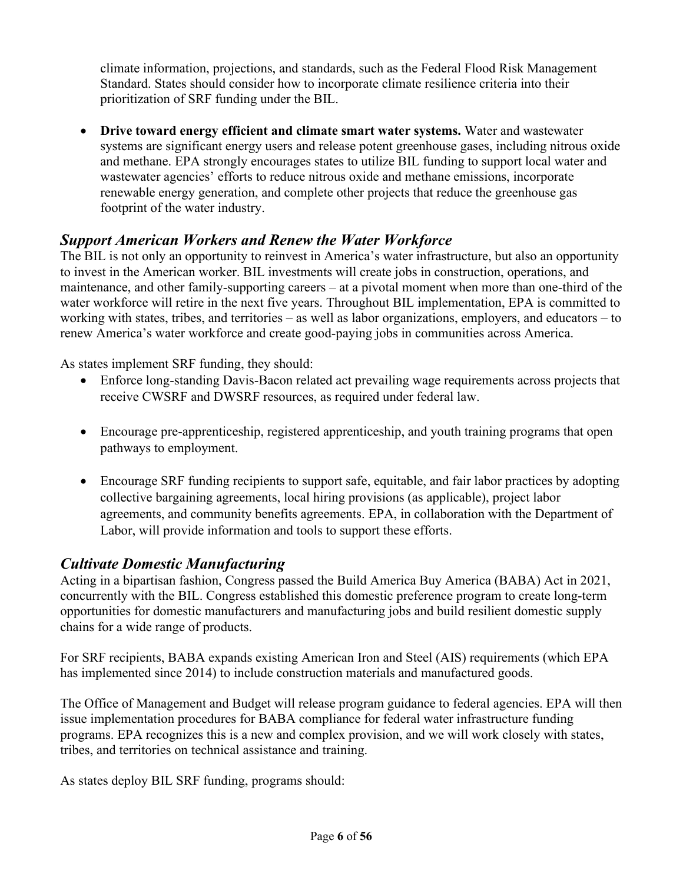climate information, projections, and standards, such as the Federal Flood Risk Management Standard. States should consider how to incorporate climate resilience criteria into their prioritization of SRF funding under the BIL.

• **Drive toward energy efficient and climate smart water systems.** Water and wastewater systems are significant energy users and release potent greenhouse gases, including nitrous oxide and methane. EPA strongly encourages states to utilize BIL funding to support local water and wastewater agencies' efforts to reduce nitrous oxide and methane emissions, incorporate renewable energy generation, and complete other projects that reduce the greenhouse gas footprint of the water industry.

### *Support American Workers and Renew the Water Workforce*

The BIL is not only an opportunity to reinvest in America's water infrastructure, but also an opportunity to invest in the American worker. BIL investments will create jobs in construction, operations, and maintenance, and other family-supporting careers – at a pivotal moment when more than one-third of the water workforce will retire in the next five years. Throughout BIL implementation, EPA is committed to working with states, tribes, and territories – as well as labor organizations, employers, and educators – to renew America's water workforce and create good-paying jobs in communities across America.

As states implement SRF funding, they should:

- Enforce long-standing Davis-Bacon related act prevailing wage requirements across projects that receive CWSRF and DWSRF resources, as required under federal law.
- Encourage pre-apprenticeship, registered apprenticeship, and youth training programs that open pathways to employment.
- Encourage SRF funding recipients to support safe, equitable, and fair labor practices by adopting collective bargaining agreements, local hiring provisions (as applicable), project labor agreements, and community benefits agreements. EPA, in collaboration with the Department of Labor, will provide information and tools to support these efforts.

### *Cultivate Domestic Manufacturing*

Acting in a bipartisan fashion, Congress passed the Build America Buy America (BABA) Act in 2021, concurrently with the BIL. Congress established this domestic preference program to create long-term opportunities for domestic manufacturers and manufacturing jobs and build resilient domestic supply chains for a wide range of products.

For SRF recipients, BABA expands existing American Iron and Steel (AIS) requirements (which EPA has implemented since 2014) to include construction materials and manufactured goods.

The Office of Management and Budget will release program guidance to federal agencies. EPA will then issue implementation procedures for BABA compliance for federal water infrastructure funding programs. EPA recognizes this is a new and complex provision, and we will work closely with states, tribes, and territories on technical assistance and training.

As states deploy BIL SRF funding, programs should: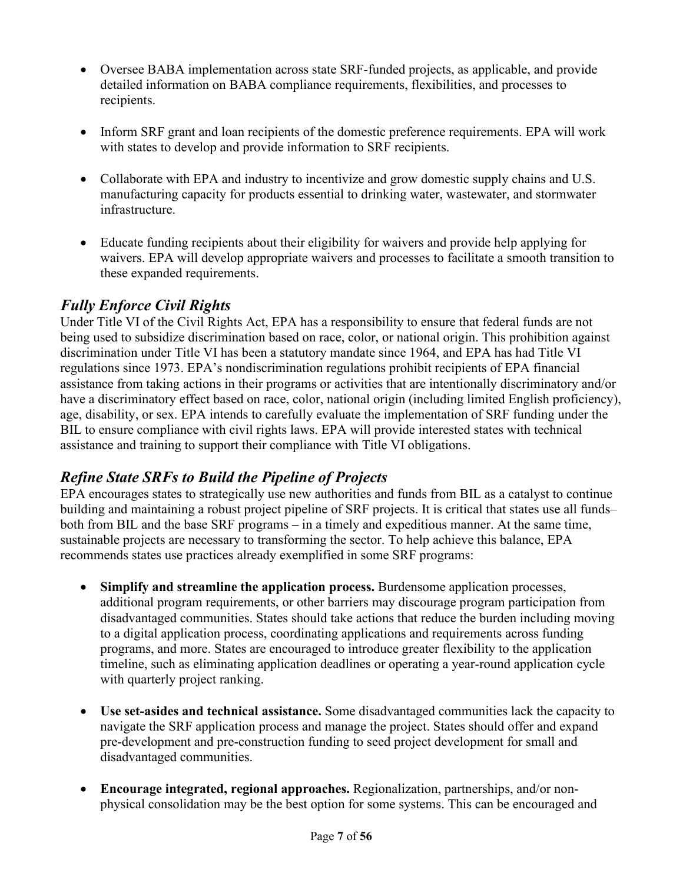- Oversee BABA implementation across state SRF-funded projects, as applicable, and provide detailed information on BABA compliance requirements, flexibilities, and processes to recipients.
- Inform SRF grant and loan recipients of the domestic preference requirements. EPA will work with states to develop and provide information to SRF recipients.
- Collaborate with EPA and industry to incentivize and grow domestic supply chains and U.S. manufacturing capacity for products essential to drinking water, wastewater, and stormwater infrastructure.
- Educate funding recipients about their eligibility for waivers and provide help applying for waivers. EPA will develop appropriate waivers and processes to facilitate a smooth transition to these expanded requirements.

# *Fully Enforce Civil Rights*

Under Title VI of the Civil Rights Act, EPA has a responsibility to ensure that federal funds are not being used to subsidize discrimination based on race, color, or national origin. This prohibition against discrimination under Title VI has been a statutory mandate since 1964, and EPA has had Title VI regulations since 1973. EPA's nondiscrimination regulations prohibit recipients of EPA financial assistance from taking actions in their programs or activities that are intentionally discriminatory and/or have a discriminatory effect based on race, color, national origin (including limited English proficiency), age, disability, or sex. EPA intends to carefully evaluate the implementation of SRF funding under the BIL to ensure compliance with civil rights laws. EPA will provide interested states with technical assistance and training to support their compliance with Title VI obligations.

## *Refine State SRFs to Build the Pipeline of Projects*

EPA encourages states to strategically use new authorities and funds from BIL as a catalyst to continue building and maintaining a robust project pipeline of SRF projects. It is critical that states use all funds– both from BIL and the base SRF programs – in a timely and expeditious manner. At the same time, sustainable projects are necessary to transforming the sector. To help achieve this balance, EPA recommends states use practices already exemplified in some SRF programs:

- **Simplify and streamline the application process.** Burdensome application processes, additional program requirements, or other barriers may discourage program participation from disadvantaged communities. States should take actions that reduce the burden including moving to a digital application process, coordinating applications and requirements across funding programs, and more. States are encouraged to introduce greater flexibility to the application timeline, such as eliminating application deadlines or operating a year-round application cycle with quarterly project ranking.
- **Use set-asides and technical assistance.** Some disadvantaged communities lack the capacity to navigate the SRF application process and manage the project. States should offer and expand pre-development and pre-construction funding to seed project development for small and disadvantaged communities.
- **Encourage integrated, regional approaches.** Regionalization, partnerships, and/or nonphysical consolidation may be the best option for some systems. This can be encouraged and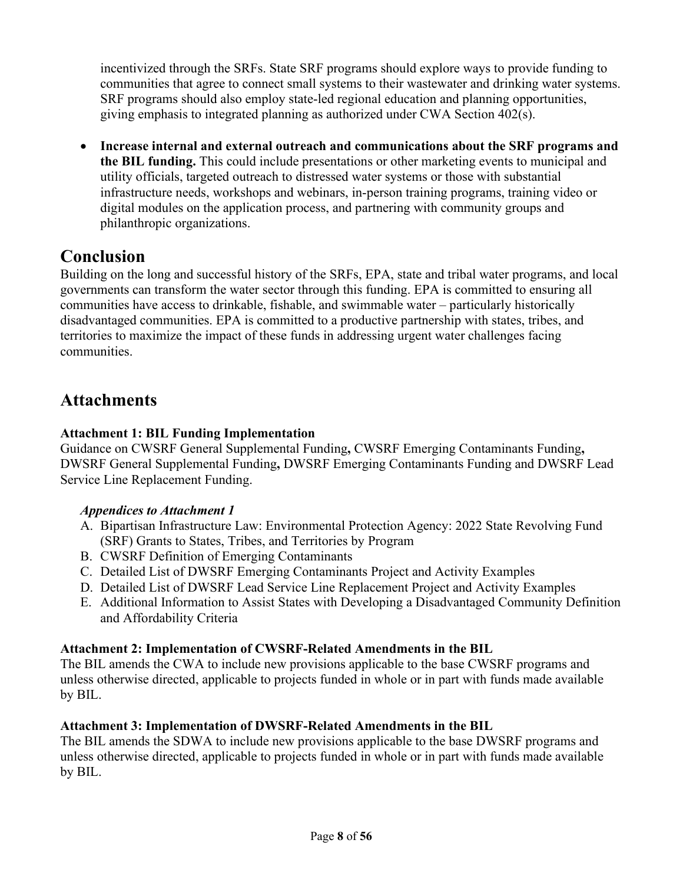incentivized through the SRFs. State SRF programs should explore ways to provide funding to communities that agree to connect small systems to their wastewater and drinking water systems. SRF programs should also employ state-led regional education and planning opportunities, giving emphasis to integrated planning as authorized under CWA Section 402(s).

• **Increase internal and external outreach and communications about the SRF programs and the BIL funding.** This could include presentations or other marketing events to municipal and utility officials, targeted outreach to distressed water systems or those with substantial infrastructure needs, workshops and webinars, in-person training programs, training video or digital modules on the application process, and partnering with community groups and philanthropic organizations.

# **Conclusion**

Building on the long and successful history of the SRFs, EPA, state and tribal water programs, and local governments can transform the water sector through this funding. EPA is committed to ensuring all communities have access to drinkable, fishable, and swimmable water – particularly historically disadvantaged communities. EPA is committed to a productive partnership with states, tribes, and territories to maximize the impact of these funds in addressing urgent water challenges facing communities.

# **Attachments**

#### **Attachment 1: BIL Funding Implementation**

Guidance on CWSRF General Supplemental Funding**,** CWSRF Emerging Contaminants Funding**,**  DWSRF General Supplemental Funding**,** DWSRF Emerging Contaminants Funding and DWSRF Lead Service Line Replacement Funding.

#### *Appendices to Attachment 1*

- A. Bipartisan Infrastructure Law: Environmental Protection Agency: 2022 State Revolving Fund (SRF) Grants to States, Tribes, and Territories by Program
- B. CWSRF Definition of Emerging Contaminants
- C. Detailed List of DWSRF Emerging Contaminants Project and Activity Examples
- D. Detailed List of DWSRF Lead Service Line Replacement Project and Activity Examples
- E. Additional Information to Assist States with Developing a Disadvantaged Community Definition and Affordability Criteria

#### **Attachment 2: Implementation of CWSRF-Related Amendments in the BIL**

The BIL amends the CWA to include new provisions applicable to the base CWSRF programs and unless otherwise directed, applicable to projects funded in whole or in part with funds made available by BIL.

#### **Attachment 3: Implementation of DWSRF-Related Amendments in the BIL**

The BIL amends the SDWA to include new provisions applicable to the base DWSRF programs and unless otherwise directed, applicable to projects funded in whole or in part with funds made available by BIL.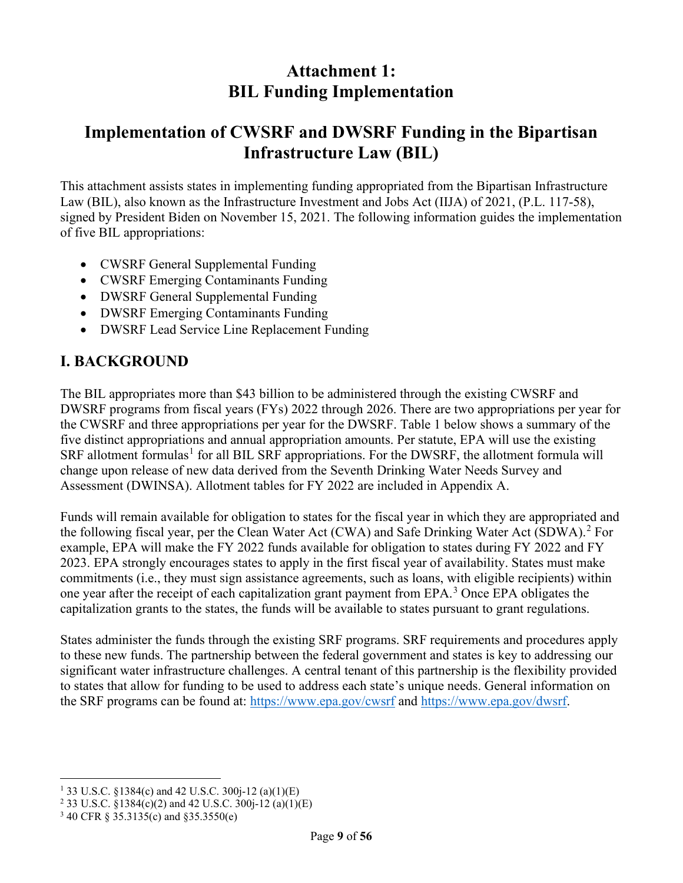# **Attachment 1: BIL Funding Implementation**

# **Implementation of CWSRF and DWSRF Funding in the Bipartisan Infrastructure Law (BIL)**

This attachment assists states in implementing funding appropriated from the Bipartisan Infrastructure Law (BIL), also known as the Infrastructure Investment and Jobs Act (IIJA) of 2021, (P.L. 117-58), signed by President Biden on November 15, 2021. The following information guides the implementation of five BIL appropriations:

- CWSRF General Supplemental Funding
- CWSRF Emerging Contaminants Funding
- DWSRF General Supplemental Funding
- DWSRF Emerging Contaminants Funding
- DWSRF Lead Service Line Replacement Funding

### **I. BACKGROUND**

The BIL appropriates more than \$43 billion to be administered through the existing CWSRF and DWSRF programs from fiscal years (FYs) 2022 through 2026. There are two appropriations per year for the CWSRF and three appropriations per year for the DWSRF. Table 1 below shows a summary of the five distinct appropriations and annual appropriation amounts. Per statute, EPA will use the existing  $SRF$  allotment formulas<sup>[1](#page-8-0)</sup> for all BIL SRF appropriations. For the DWSRF, the allotment formula will change upon release of new data derived from the Seventh Drinking Water Needs Survey and Assessment (DWINSA). Allotment tables for FY 2022 are included in Appendix A.

Funds will remain available for obligation to states for the fiscal year in which they are appropriated and the following fiscal year, per the Clean Water Act (CWA) and Safe Drinking Water Act (SDWA).<sup>[2](#page-8-1)</sup> For example, EPA will make the FY 2022 funds available for obligation to states during FY 2022 and FY 2023. EPA strongly encourages states to apply in the first fiscal year of availability. States must make commitments (i.e., they must sign assistance agreements, such as loans, with eligible recipients) within one year after the receipt of each capitalization grant payment from EPA.<sup>[3](#page-8-2)</sup> Once EPA obligates the capitalization grants to the states, the funds will be available to states pursuant to grant regulations.

States administer the funds through the existing SRF programs. SRF requirements and procedures apply to these new funds. The partnership between the federal government and states is key to addressing our significant water infrastructure challenges. A central tenant of this partnership is the flexibility provided to states that allow for funding to be used to address each state's unique needs. General information on the SRF programs can be found at:<https://www.epa.gov/cwsrf> and [https://www.epa.gov/dwsrf.](https://www.epa.gov/dwsrf)

<span id="page-8-0"></span><sup>1</sup> 33 U.S.C. §1384(c) and 42 U.S.C. 300j-12 (a)(1)(E)

<span id="page-8-1"></span><sup>&</sup>lt;sup>2</sup> 33 U.S.C. §1384(c)(2) and 42 U.S.C. 300 $i$ -12 (a)(1)(E)

<span id="page-8-2"></span><sup>3</sup> 40 CFR § 35.3135(c) and §35.3550(e)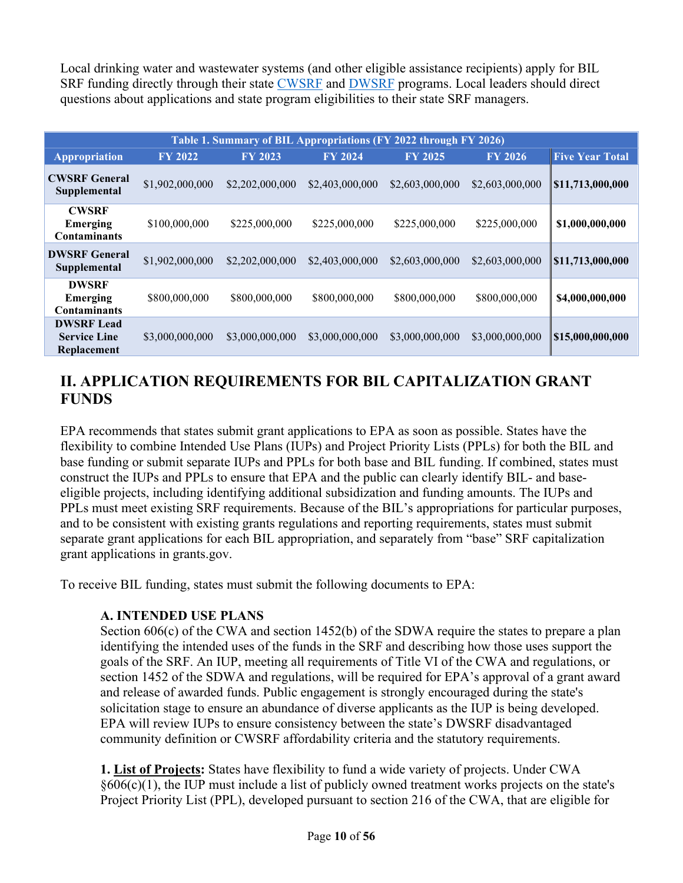Local drinking water and wastewater systems (and other eligible assistance recipients) apply for BIL SRF funding directly through their state [CWSRF](https://www.epa.gov/cwsrf/state-cwsrf-program-contacts) and [DWSRF](https://www.epa.gov/dwsrf/state-dwsrf-website-and-contacts) programs. Local leaders should direct questions about applications and state program eligibilities to their state SRF managers.

| Table 1. Summary of BIL Appropriations (FY 2022 through FY 2026) |                 |                 |                 |                 |                 |                        |  |
|------------------------------------------------------------------|-----------------|-----------------|-----------------|-----------------|-----------------|------------------------|--|
| Appropriation                                                    | <b>FY 2022</b>  | <b>FY 2023</b>  | <b>FY 2024</b>  | <b>FY 2025</b>  | <b>FY 2026</b>  | <b>Five Year Total</b> |  |
| <b>CWSRF General</b><br>Supplemental                             | \$1,902,000,000 | \$2,202,000,000 | \$2,403,000,000 | \$2,603,000,000 | \$2,603,000,000 | \$11,713,000,000       |  |
| <b>CWSRF</b><br>Emerging<br><b>Contaminants</b>                  | \$100,000,000   | \$225,000,000   | \$225,000,000   | \$225,000,000   | \$225,000,000   | \$1,000,000,000        |  |
| <b>DWSRF General</b><br>Supplemental                             | \$1,902,000,000 | \$2,202,000,000 | \$2,403,000,000 | \$2,603,000,000 | \$2,603,000,000 | \$11,713,000,000       |  |
| <b>DWSRF</b><br>Emerging<br><b>Contaminants</b>                  | \$800,000,000   | \$800,000,000   | \$800,000,000   | \$800,000,000   | \$800,000,000   | \$4,000,000,000        |  |
| <b>DWSRF Lead</b><br><b>Service Line</b><br>Replacement          | \$3,000,000,000 | \$3,000,000,000 | \$3,000,000,000 | \$3,000,000,000 | \$3,000,000,000 | \$15,000,000,000       |  |

# **II. APPLICATION REQUIREMENTS FOR BIL CAPITALIZATION GRANT FUNDS**

EPA recommends that states submit grant applications to EPA as soon as possible. States have the flexibility to combine Intended Use Plans (IUPs) and Project Priority Lists (PPLs) for both the BIL and base funding or submit separate IUPs and PPLs for both base and BIL funding. If combined, states must construct the IUPs and PPLs to ensure that EPA and the public can clearly identify BIL- and baseeligible projects, including identifying additional subsidization and funding amounts. The IUPs and PPLs must meet existing SRF requirements. Because of the BIL's appropriations for particular purposes, and to be consistent with existing grants regulations and reporting requirements, states must submit separate grant applications for each BIL appropriation, and separately from "base" SRF capitalization grant applications in grants.gov.

To receive BIL funding, states must submit the following documents to EPA:

#### **A. INTENDED USE PLANS**

Section 606(c) of the CWA and section 1452(b) of the SDWA require the states to prepare a plan identifying the intended uses of the funds in the SRF and describing how those uses support the goals of the SRF. An IUP, meeting all requirements of Title VI of the CWA and regulations, or section 1452 of the SDWA and regulations, will be required for EPA's approval of a grant award and release of awarded funds. Public engagement is strongly encouraged during the state's solicitation stage to ensure an abundance of diverse applicants as the IUP is being developed. EPA will review IUPs to ensure consistency between the state's DWSRF disadvantaged community definition or CWSRF affordability criteria and the statutory requirements.

**1. List of Projects:** States have flexibility to fund a wide variety of projects. Under CWA §606(c)(1), the IUP must include a list of publicly owned treatment works projects on the state's Project Priority List (PPL), developed pursuant to section 216 of the CWA, that are eligible for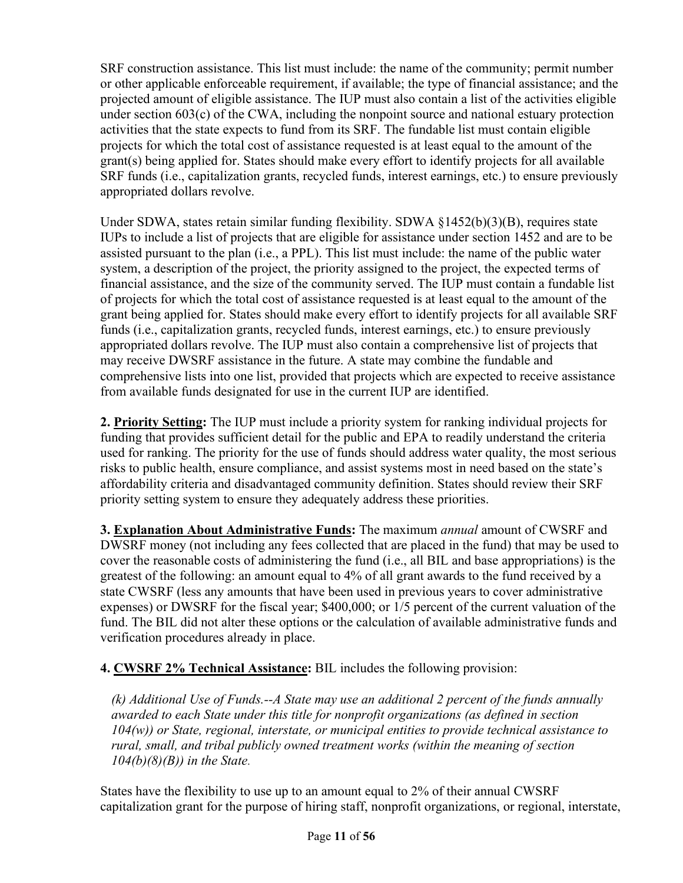SRF construction assistance. This list must include: the name of the community; permit number or other applicable enforceable requirement, if available; the type of financial assistance; and the projected amount of eligible assistance. The IUP must also contain a list of the activities eligible under section 603(c) of the CWA, including the nonpoint source and national estuary protection activities that the state expects to fund from its SRF. The fundable list must contain eligible projects for which the total cost of assistance requested is at least equal to the amount of the grant(s) being applied for. States should make every effort to identify projects for all available SRF funds (i.e., capitalization grants, recycled funds, interest earnings, etc.) to ensure previously appropriated dollars revolve.

Under SDWA, states retain similar funding flexibility. SDWA §1452(b)(3)(B), requires state IUPs to include a list of projects that are eligible for assistance under section 1452 and are to be assisted pursuant to the plan (i.e., a PPL). This list must include: the name of the public water system, a description of the project, the priority assigned to the project, the expected terms of financial assistance, and the size of the community served. The IUP must contain a fundable list of projects for which the total cost of assistance requested is at least equal to the amount of the grant being applied for. States should make every effort to identify projects for all available SRF funds (i.e., capitalization grants, recycled funds, interest earnings, etc.) to ensure previously appropriated dollars revolve. The IUP must also contain a comprehensive list of projects that may receive DWSRF assistance in the future. A state may combine the fundable and comprehensive lists into one list, provided that projects which are expected to receive assistance from available funds designated for use in the current IUP are identified.

**2. Priority Setting:** The IUP must include a priority system for ranking individual projects for funding that provides sufficient detail for the public and EPA to readily understand the criteria used for ranking. The priority for the use of funds should address water quality, the most serious risks to public health, ensure compliance, and assist systems most in need based on the state's affordability criteria and disadvantaged community definition. States should review their SRF priority setting system to ensure they adequately address these priorities.

**3. Explanation About Administrative Funds:** The maximum *annual* amount of CWSRF and DWSRF money (not including any fees collected that are placed in the fund) that may be used to cover the reasonable costs of administering the fund (i.e., all BIL and base appropriations) is the greatest of the following: an amount equal to 4% of all grant awards to the fund received by a state CWSRF (less any amounts that have been used in previous years to cover administrative expenses) or DWSRF for the fiscal year; \$400,000; or 1/5 percent of the current valuation of the fund. The BIL did not alter these options or the calculation of available administrative funds and verification procedures already in place.

**4. CWSRF 2% Technical Assistance:** BIL includes the following provision:

*(k) Additional Use of Funds.--A State may use an additional 2 percent of the funds annually awarded to each State under this title for nonprofit organizations (as defined in section 104(w)) or State, regional, interstate, or municipal entities to provide technical assistance to rural, small, and tribal publicly owned treatment works (within the meaning of section 104(b)(8)(B)) in the State.*

States have the flexibility to use up to an amount equal to 2% of their annual CWSRF capitalization grant for the purpose of hiring staff, nonprofit organizations, or regional, interstate,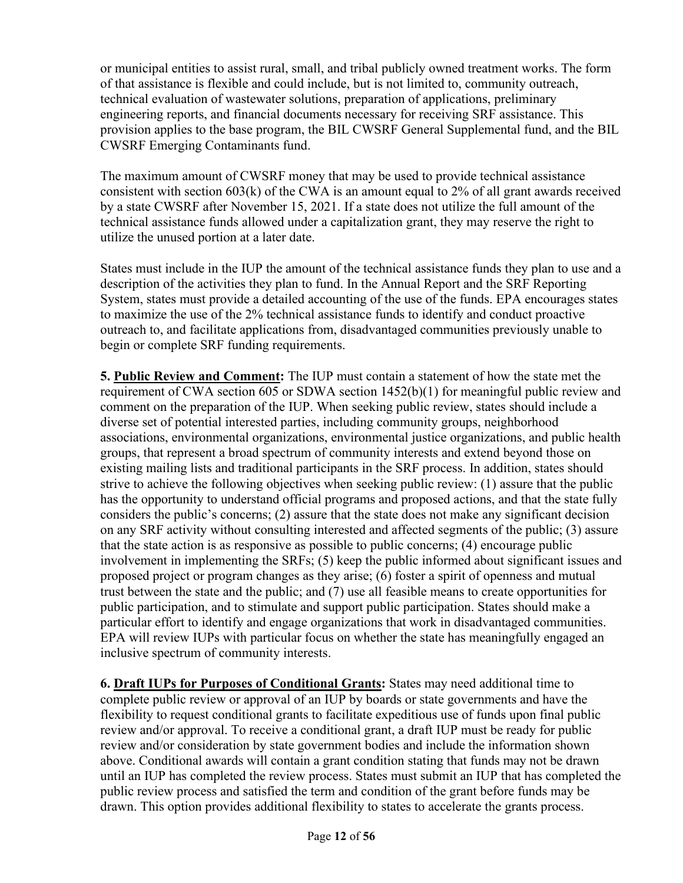or municipal entities to assist rural, small, and tribal publicly owned treatment works. The form of that assistance is flexible and could include, but is not limited to, community outreach, technical evaluation of wastewater solutions, preparation of applications, preliminary engineering reports, and financial documents necessary for receiving SRF assistance. This provision applies to the base program, the BIL CWSRF General Supplemental fund, and the BIL CWSRF Emerging Contaminants fund.

The maximum amount of CWSRF money that may be used to provide technical assistance consistent with section 603(k) of the CWA is an amount equal to 2% of all grant awards received by a state CWSRF after November 15, 2021. If a state does not utilize the full amount of the technical assistance funds allowed under a capitalization grant, they may reserve the right to utilize the unused portion at a later date.

States must include in the IUP the amount of the technical assistance funds they plan to use and a description of the activities they plan to fund. In the Annual Report and the SRF Reporting System, states must provide a detailed accounting of the use of the funds. EPA encourages states to maximize the use of the 2% technical assistance funds to identify and conduct proactive outreach to, and facilitate applications from, disadvantaged communities previously unable to begin or complete SRF funding requirements.

**5. Public Review and Comment:** The IUP must contain a statement of how the state met the requirement of CWA section 605 or SDWA section 1452(b)(1) for meaningful public review and comment on the preparation of the IUP. When seeking public review, states should include a diverse set of potential interested parties, including community groups, neighborhood associations, environmental organizations, environmental justice organizations, and public health groups, that represent a broad spectrum of community interests and extend beyond those on existing mailing lists and traditional participants in the SRF process. In addition, states should strive to achieve the following objectives when seeking public review: (1) assure that the public has the opportunity to understand official programs and proposed actions, and that the state fully considers the public's concerns; (2) assure that the state does not make any significant decision on any SRF activity without consulting interested and affected segments of the public; (3) assure that the state action is as responsive as possible to public concerns; (4) encourage public involvement in implementing the SRFs; (5) keep the public informed about significant issues and proposed project or program changes as they arise; (6) foster a spirit of openness and mutual trust between the state and the public; and (7) use all feasible means to create opportunities for public participation, and to stimulate and support public participation. States should make a particular effort to identify and engage organizations that work in disadvantaged communities. EPA will review IUPs with particular focus on whether the state has meaningfully engaged an inclusive spectrum of community interests.

**6. Draft IUPs for Purposes of Conditional Grants:** States may need additional time to complete public review or approval of an IUP by boards or state governments and have the flexibility to request conditional grants to facilitate expeditious use of funds upon final public review and/or approval. To receive a conditional grant, a draft IUP must be ready for public review and/or consideration by state government bodies and include the information shown above. Conditional awards will contain a grant condition stating that funds may not be drawn until an IUP has completed the review process. States must submit an IUP that has completed the public review process and satisfied the term and condition of the grant before funds may be drawn. This option provides additional flexibility to states to accelerate the grants process.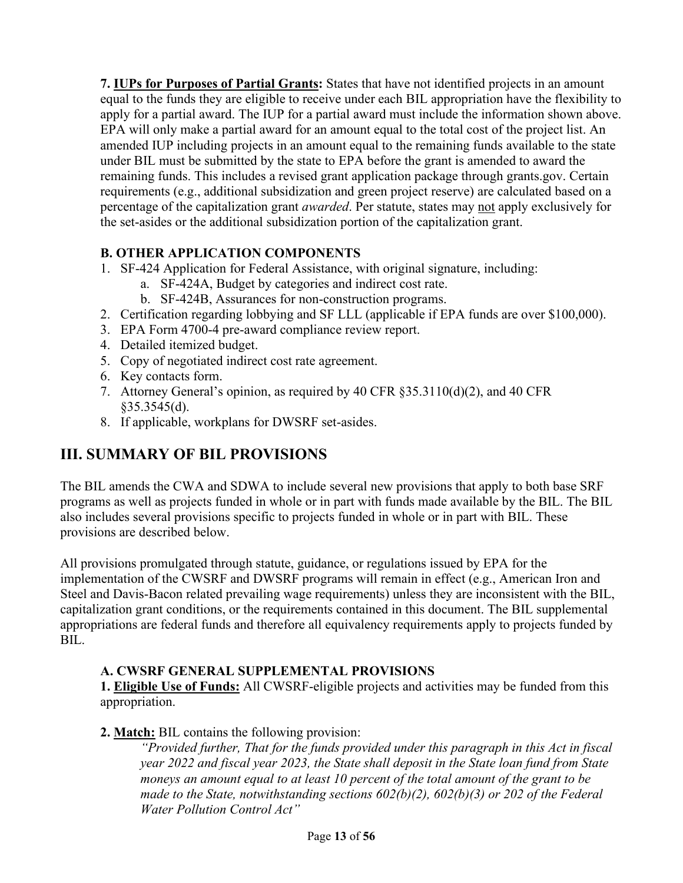**7. IUPs for Purposes of Partial Grants:** States that have not identified projects in an amount equal to the funds they are eligible to receive under each BIL appropriation have the flexibility to apply for a partial award. The IUP for a partial award must include the information shown above. EPA will only make a partial award for an amount equal to the total cost of the project list. An amended IUP including projects in an amount equal to the remaining funds available to the state under BIL must be submitted by the state to EPA before the grant is amended to award the remaining funds. This includes a revised grant application package through grants.gov. Certain requirements (e.g., additional subsidization and green project reserve) are calculated based on a percentage of the capitalization grant *awarded*. Per statute, states may not apply exclusively for the set-asides or the additional subsidization portion of the capitalization grant.

### **B. OTHER APPLICATION COMPONENTS**

- 1. SF-424 Application for Federal Assistance, with original signature, including:
	- a. SF-424A, Budget by categories and indirect cost rate.
	- b. SF-424B, Assurances for non-construction programs.
- 2. Certification regarding lobbying and SF LLL (applicable if EPA funds are over \$100,000).
- 3. EPA Form 4700-4 pre-award compliance review report.
- 4. Detailed itemized budget.
- 5. Copy of negotiated indirect cost rate agreement.
- 6. Key contacts form.
- 7. Attorney General's opinion, as required by 40 CFR §35.3110(d)(2), and 40 CFR §35.3545(d).
- 8. If applicable, workplans for DWSRF set-asides.

## **III. SUMMARY OF BIL PROVISIONS**

The BIL amends the CWA and SDWA to include several new provisions that apply to both base SRF programs as well as projects funded in whole or in part with funds made available by the BIL. The BIL also includes several provisions specific to projects funded in whole or in part with BIL. These provisions are described below.

All provisions promulgated through statute, guidance, or regulations issued by EPA for the implementation of the CWSRF and DWSRF programs will remain in effect (e.g., American Iron and Steel and Davis-Bacon related prevailing wage requirements) unless they are inconsistent with the BIL, capitalization grant conditions, or the requirements contained in this document. The BIL supplemental appropriations are federal funds and therefore all equivalency requirements apply to projects funded by BIL.

#### **A. CWSRF GENERAL SUPPLEMENTAL PROVISIONS**

**1. Eligible Use of Funds:** All CWSRF-eligible projects and activities may be funded from this appropriation.

#### **2. Match:** BIL contains the following provision:

*"Provided further, That for the funds provided under this paragraph in this Act in fiscal year 2022 and fiscal year 2023, the State shall deposit in the State loan fund from State moneys an amount equal to at least 10 percent of the total amount of the grant to be made to the State, notwithstanding sections 602(b)(2), 602(b)(3) or 202 of the Federal Water Pollution Control Act"*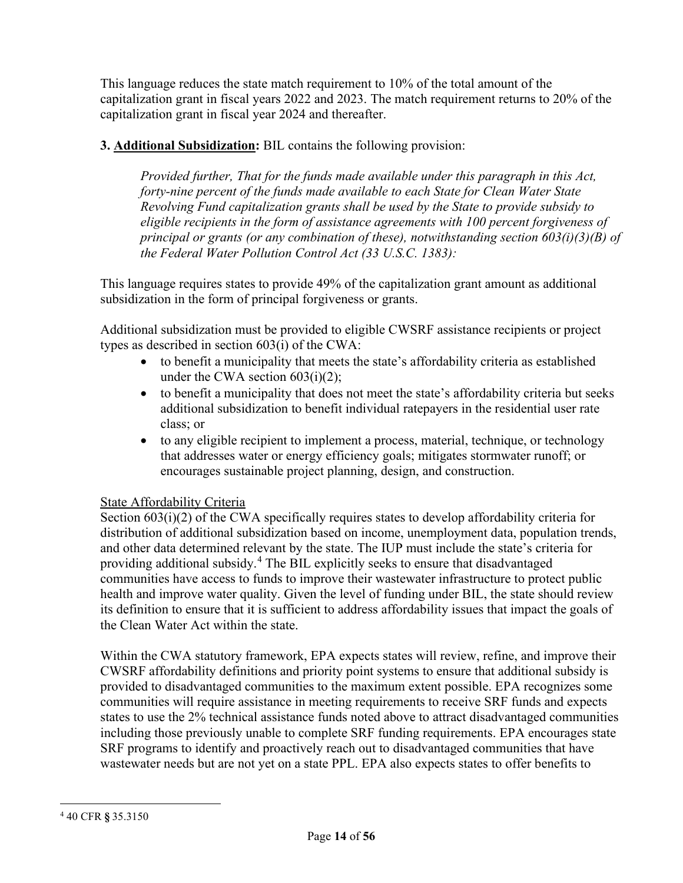This language reduces the state match requirement to 10% of the total amount of the capitalization grant in fiscal years 2022 and 2023. The match requirement returns to 20% of the capitalization grant in fiscal year 2024 and thereafter.

#### **3. Additional Subsidization:** BIL contains the following provision:

*Provided further, That for the funds made available under this paragraph in this Act, forty-nine percent of the funds made available to each State for Clean Water State Revolving Fund capitalization grants shall be used by the State to provide subsidy to eligible recipients in the form of assistance agreements with 100 percent forgiveness of principal or grants (or any combination of these), notwithstanding section 603(i)(3)(B) of the Federal Water Pollution Control Act (33 U.S.C. 1383):*

This language requires states to provide 49% of the capitalization grant amount as additional subsidization in the form of principal forgiveness or grants.

Additional subsidization must be provided to eligible CWSRF assistance recipients or project types as described in section 603(i) of the CWA:

- to benefit a municipality that meets the state's affordability criteria as established under the CWA section 603(i)(2);
- to benefit a municipality that does not meet the state's affordability criteria but seeks additional subsidization to benefit individual ratepayers in the residential user rate class; or
- to any eligible recipient to implement a process, material, technique, or technology that addresses water or energy efficiency goals; mitigates stormwater runoff; or encourages sustainable project planning, design, and construction.

#### State Affordability Criteria

Section 603(i)(2) of the CWA specifically requires states to develop affordability criteria for distribution of additional subsidization based on income, unemployment data, population trends, and other data determined relevant by the state. The IUP must include the state's criteria for providing additional subsidy. [4](#page-13-0) The BIL explicitly seeks to ensure that disadvantaged communities have access to funds to improve their wastewater infrastructure to protect public health and improve water quality. Given the level of funding under BIL, the state should review its definition to ensure that it is sufficient to address affordability issues that impact the goals of the Clean Water Act within the state.

Within the CWA statutory framework, EPA expects states will review, refine, and improve their CWSRF affordability definitions and priority point systems to ensure that additional subsidy is provided to disadvantaged communities to the maximum extent possible. EPA recognizes some communities will require assistance in meeting requirements to receive SRF funds and expects states to use the 2% technical assistance funds noted above to attract disadvantaged communities including those previously unable to complete SRF funding requirements. EPA encourages state SRF programs to identify and proactively reach out to disadvantaged communities that have wastewater needs but are not yet on a state PPL. EPA also expects states to offer benefits to

<span id="page-13-0"></span><sup>4</sup> 40 CFR **§** 35.3150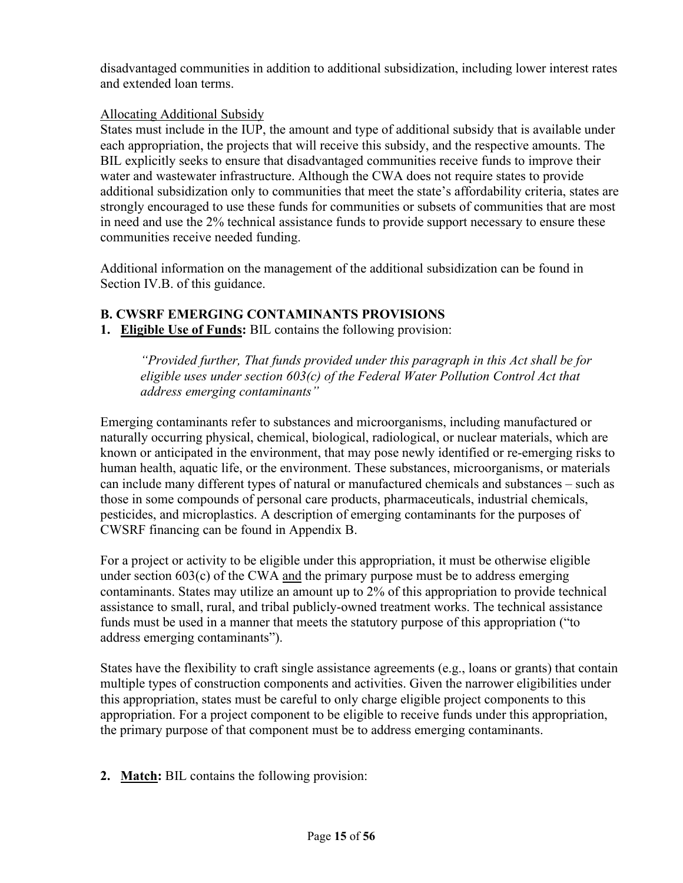disadvantaged communities in addition to additional subsidization, including lower interest rates and extended loan terms.

#### Allocating Additional Subsidy

States must include in the IUP, the amount and type of additional subsidy that is available under each appropriation, the projects that will receive this subsidy, and the respective amounts. The BIL explicitly seeks to ensure that disadvantaged communities receive funds to improve their water and wastewater infrastructure. Although the CWA does not require states to provide additional subsidization only to communities that meet the state's affordability criteria, states are strongly encouraged to use these funds for communities or subsets of communities that are most in need and use the 2% technical assistance funds to provide support necessary to ensure these communities receive needed funding.

Additional information on the management of the additional subsidization can be found in Section IV.B. of this guidance.

#### **B. CWSRF EMERGING CONTAMINANTS PROVISIONS**

**1. Eligible Use of Funds:** BIL contains the following provision:

*"Provided further, That funds provided under this paragraph in this Act shall be for eligible uses under section 603(c) of the Federal Water Pollution Control Act that address emerging contaminants"*

Emerging contaminants refer to substances and microorganisms, including manufactured or naturally occurring physical, chemical, biological, radiological, or nuclear materials, which are known or anticipated in the environment, that may pose newly identified or re-emerging risks to human health, aquatic life, or the environment. These substances, microorganisms, or materials can include many different types of natural or manufactured chemicals and substances – such as those in some compounds of personal care products, pharmaceuticals, industrial chemicals, pesticides, and microplastics. A description of emerging contaminants for the purposes of CWSRF financing can be found in Appendix B.

For a project or activity to be eligible under this appropriation, it must be otherwise eligible under section  $603(c)$  of the CWA and the primary purpose must be to address emerging contaminants. States may utilize an amount up to 2% of this appropriation to provide technical assistance to small, rural, and tribal publicly-owned treatment works. The technical assistance funds must be used in a manner that meets the statutory purpose of this appropriation ("to address emerging contaminants").

States have the flexibility to craft single assistance agreements (e.g., loans or grants) that contain multiple types of construction components and activities. Given the narrower eligibilities under this appropriation, states must be careful to only charge eligible project components to this appropriation. For a project component to be eligible to receive funds under this appropriation, the primary purpose of that component must be to address emerging contaminants.

**2. Match:** BIL contains the following provision: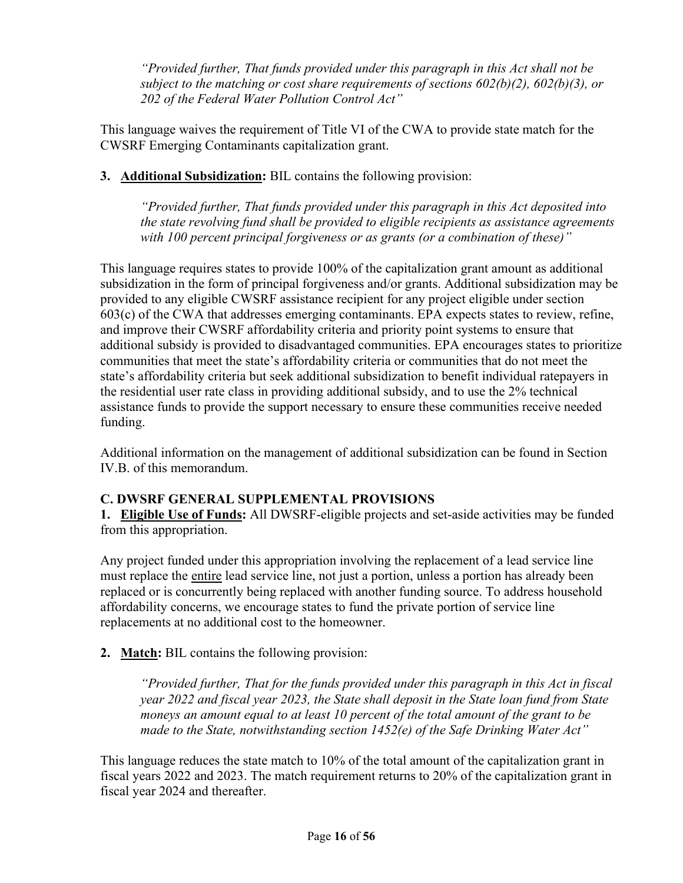*"Provided further, That funds provided under this paragraph in this Act shall not be subject to the matching or cost share requirements of sections 602(b)(2), 602(b)(3), or 202 of the Federal Water Pollution Control Act"*

This language waives the requirement of Title VI of the CWA to provide state match for the CWSRF Emerging Contaminants capitalization grant.

#### **3. Additional Subsidization:** BIL contains the following provision:

*"Provided further, That funds provided under this paragraph in this Act deposited into the state revolving fund shall be provided to eligible recipients as assistance agreements with 100 percent principal forgiveness or as grants (or a combination of these)"*

This language requires states to provide 100% of the capitalization grant amount as additional subsidization in the form of principal forgiveness and/or grants. Additional subsidization may be provided to any eligible CWSRF assistance recipient for any project eligible under section 603(c) of the CWA that addresses emerging contaminants. EPA expects states to review, refine, and improve their CWSRF affordability criteria and priority point systems to ensure that additional subsidy is provided to disadvantaged communities. EPA encourages states to prioritize communities that meet the state's affordability criteria or communities that do not meet the state's affordability criteria but seek additional subsidization to benefit individual ratepayers in the residential user rate class in providing additional subsidy, and to use the 2% technical assistance funds to provide the support necessary to ensure these communities receive needed funding.

Additional information on the management of additional subsidization can be found in Section IV.B. of this memorandum.

#### **C. DWSRF GENERAL SUPPLEMENTAL PROVISIONS**

**1. Eligible Use of Funds:** All DWSRF-eligible projects and set-aside activities may be funded from this appropriation.

Any project funded under this appropriation involving the replacement of a lead service line must replace the entire lead service line, not just a portion, unless a portion has already been replaced or is concurrently being replaced with another funding source. To address household affordability concerns, we encourage states to fund the private portion of service line replacements at no additional cost to the homeowner.

#### **2. Match:** BIL contains the following provision:

*"Provided further, That for the funds provided under this paragraph in this Act in fiscal year 2022 and fiscal year 2023, the State shall deposit in the State loan fund from State moneys an amount equal to at least 10 percent of the total amount of the grant to be made to the State, notwithstanding section 1452(e) of the Safe Drinking Water Act"*

This language reduces the state match to 10% of the total amount of the capitalization grant in fiscal years 2022 and 2023. The match requirement returns to 20% of the capitalization grant in fiscal year 2024 and thereafter.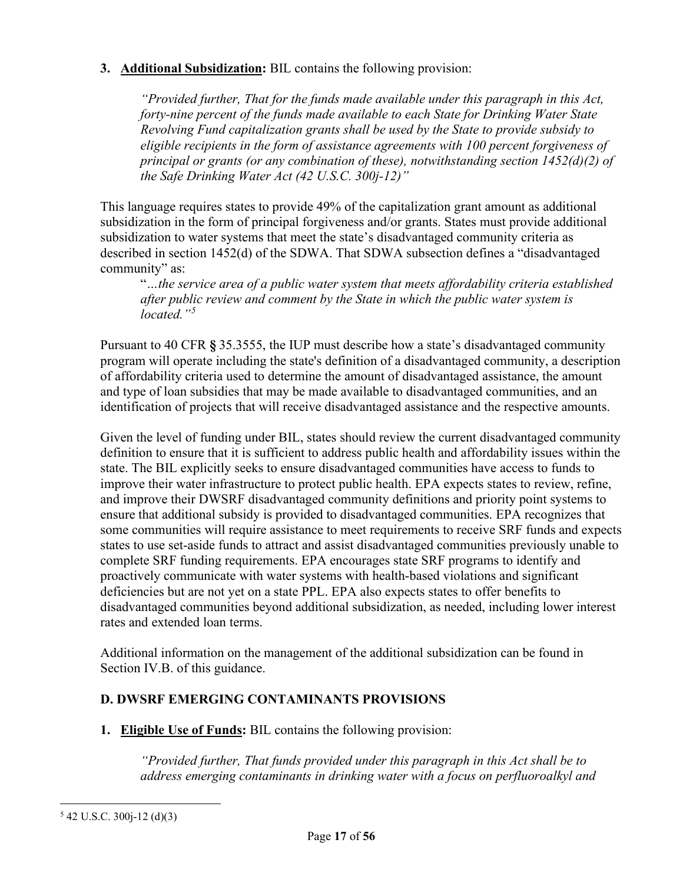#### **3. Additional Subsidization:** BIL contains the following provision:

*"Provided further, That for the funds made available under this paragraph in this Act, forty-nine percent of the funds made available to each State for Drinking Water State Revolving Fund capitalization grants shall be used by the State to provide subsidy to eligible recipients in the form of assistance agreements with 100 percent forgiveness of principal or grants (or any combination of these), notwithstanding section 1452(d)(2) of the Safe Drinking Water Act (42 U.S.C. 300j-12)"*

This language requires states to provide 49% of the capitalization grant amount as additional subsidization in the form of principal forgiveness and/or grants. States must provide additional subsidization to water systems that meet the state's disadvantaged community criteria as described in section 1452(d) of the SDWA. That SDWA subsection defines a "disadvantaged community" as:

"*…the service area of a public water system that meets affordability criteria established after public review and comment by the State in which the public water system is located."[5](#page-16-0)*

Pursuant to 40 CFR **§** 35.3555, the IUP must describe how a state's disadvantaged community program will operate including the state's definition of a disadvantaged community, a description of affordability criteria used to determine the amount of disadvantaged assistance, the amount and type of loan subsidies that may be made available to disadvantaged communities, and an identification of projects that will receive disadvantaged assistance and the respective amounts.

Given the level of funding under BIL, states should review the current disadvantaged community definition to ensure that it is sufficient to address public health and affordability issues within the state. The BIL explicitly seeks to ensure disadvantaged communities have access to funds to improve their water infrastructure to protect public health. EPA expects states to review, refine, and improve their DWSRF disadvantaged community definitions and priority point systems to ensure that additional subsidy is provided to disadvantaged communities. EPA recognizes that some communities will require assistance to meet requirements to receive SRF funds and expects states to use set-aside funds to attract and assist disadvantaged communities previously unable to complete SRF funding requirements. EPA encourages state SRF programs to identify and proactively communicate with water systems with health-based violations and significant deficiencies but are not yet on a state PPL. EPA also expects states to offer benefits to disadvantaged communities beyond additional subsidization, as needed, including lower interest rates and extended loan terms.

Additional information on the management of the additional subsidization can be found in Section IV.B. of this guidance.

#### **D. DWSRF EMERGING CONTAMINANTS PROVISIONS**

**1. Eligible Use of Funds:** BIL contains the following provision:

*"Provided further, That funds provided under this paragraph in this Act shall be to address emerging contaminants in drinking water with a focus on perfluoroalkyl and* 

<span id="page-16-0"></span> $5$  42 U.S.C. 300 $i$ -12 (d)(3)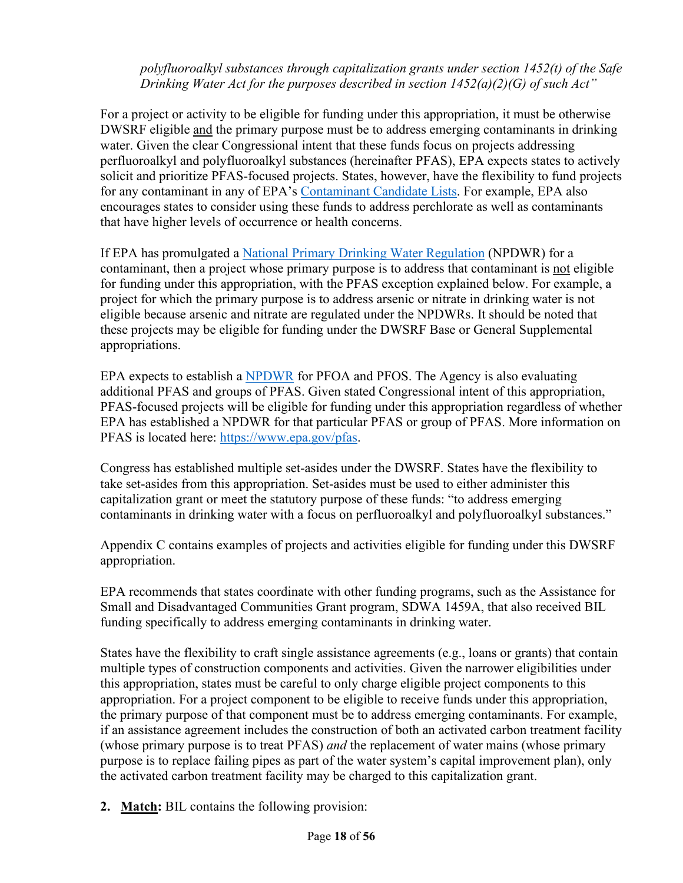*polyfluoroalkyl substances through capitalization grants under section 1452(t) of the Safe Drinking Water Act for the purposes described in section 1452(a)(2)(G) of such Act"*

For a project or activity to be eligible for funding under this appropriation, it must be otherwise DWSRF eligible and the primary purpose must be to address emerging contaminants in drinking water. Given the clear Congressional intent that these funds focus on projects addressing perfluoroalkyl and polyfluoroalkyl substances (hereinafter PFAS), EPA expects states to actively solicit and prioritize PFAS-focused projects. States, however, have the flexibility to fund projects for any contaminant in any of EPA's [Contaminant Candidate Lists.](https://www.epa.gov/ccl) For example, EPA also encourages states to consider using these funds to address perchlorate as well as contaminants that have higher levels of occurrence or health concerns.

If EPA has promulgated a [National Primary Drinking Water Regulation](https://www.epa.gov/ground-water-and-drinking-water/national-primary-drinking-water-regulations) (NPDWR) for a contaminant, then a project whose primary purpose is to address that contaminant is not eligible for funding under this appropriation, with the PFAS exception explained below. For example, a project for which the primary purpose is to address arsenic or nitrate in drinking water is not eligible because arsenic and nitrate are regulated under the NPDWRs. It should be noted that these projects may be eligible for funding under the DWSRF Base or General Supplemental appropriations.

EPA expects to establish a [NPDWR](https://www.epa.gov/pfas/pfas-strategic-roadmap-epas-commitments-action-2021-2024) for PFOA and PFOS. The Agency is also evaluating additional PFAS and groups of PFAS. Given stated Congressional intent of this appropriation, PFAS-focused projects will be eligible for funding under this appropriation regardless of whether EPA has established a NPDWR for that particular PFAS or group of PFAS. More information on PFAS is located here: [https://www.epa.gov/pfas.](https://www.epa.gov/pfas)

Congress has established multiple set-asides under the DWSRF. States have the flexibility to take set-asides from this appropriation. Set-asides must be used to either administer this capitalization grant or meet the statutory purpose of these funds: "to address emerging contaminants in drinking water with a focus on perfluoroalkyl and polyfluoroalkyl substances."

Appendix C contains examples of projects and activities eligible for funding under this DWSRF appropriation.

EPA recommends that states coordinate with other funding programs, such as the Assistance for Small and Disadvantaged Communities Grant program, SDWA 1459A, that also received BIL funding specifically to address emerging contaminants in drinking water.

States have the flexibility to craft single assistance agreements (e.g., loans or grants) that contain multiple types of construction components and activities. Given the narrower eligibilities under this appropriation, states must be careful to only charge eligible project components to this appropriation. For a project component to be eligible to receive funds under this appropriation, the primary purpose of that component must be to address emerging contaminants. For example, if an assistance agreement includes the construction of both an activated carbon treatment facility (whose primary purpose is to treat PFAS) *and* the replacement of water mains (whose primary purpose is to replace failing pipes as part of the water system's capital improvement plan), only the activated carbon treatment facility may be charged to this capitalization grant.

**2. Match:** BIL contains the following provision: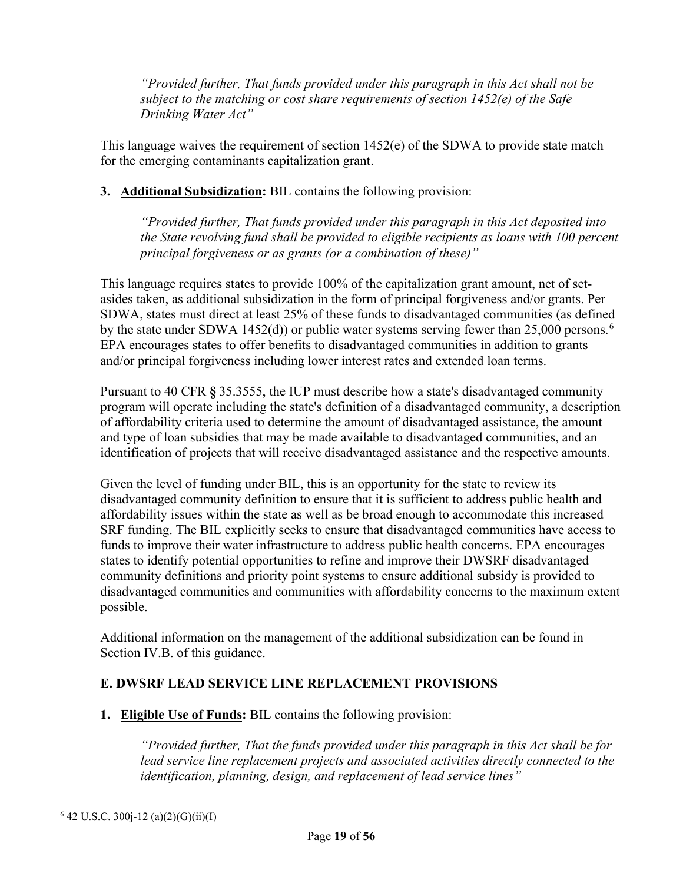*"Provided further, That funds provided under this paragraph in this Act shall not be subject to the matching or cost share requirements of section 1452(e) of the Safe Drinking Water Act"*

This language waives the requirement of section 1452(e) of the SDWA to provide state match for the emerging contaminants capitalization grant.

**3. Additional Subsidization:** BIL contains the following provision:

*"Provided further, That funds provided under this paragraph in this Act deposited into the State revolving fund shall be provided to eligible recipients as loans with 100 percent principal forgiveness or as grants (or a combination of these)"*

This language requires states to provide 100% of the capitalization grant amount, net of setasides taken, as additional subsidization in the form of principal forgiveness and/or grants. Per SDWA, states must direct at least 25% of these funds to disadvantaged communities (as defined by the state under SDWA 1452(d)) or public water systems serving fewer than 25,000 persons.<sup>[6](#page-18-0)</sup> EPA encourages states to offer benefits to disadvantaged communities in addition to grants and/or principal forgiveness including lower interest rates and extended loan terms.

Pursuant to 40 CFR **§** 35.3555, the IUP must describe how a state's disadvantaged community program will operate including the state's definition of a disadvantaged community, a description of affordability criteria used to determine the amount of disadvantaged assistance, the amount and type of loan subsidies that may be made available to disadvantaged communities, and an identification of projects that will receive disadvantaged assistance and the respective amounts.

Given the level of funding under BIL, this is an opportunity for the state to review its disadvantaged community definition to ensure that it is sufficient to address public health and affordability issues within the state as well as be broad enough to accommodate this increased SRF funding. The BIL explicitly seeks to ensure that disadvantaged communities have access to funds to improve their water infrastructure to address public health concerns. EPA encourages states to identify potential opportunities to refine and improve their DWSRF disadvantaged community definitions and priority point systems to ensure additional subsidy is provided to disadvantaged communities and communities with affordability concerns to the maximum extent possible.

Additional information on the management of the additional subsidization can be found in Section IV.B. of this guidance.

### **E. DWSRF LEAD SERVICE LINE REPLACEMENT PROVISIONS**

**1. Eligible Use of Funds:** BIL contains the following provision:

*"Provided further, That the funds provided under this paragraph in this Act shall be for*  lead service line replacement projects and associated activities directly connected to the *identification, planning, design, and replacement of lead service lines"*

<span id="page-18-0"></span> $6$  42 U.S.C. 300 $i$ -12 (a)(2)(G)(ii)(I)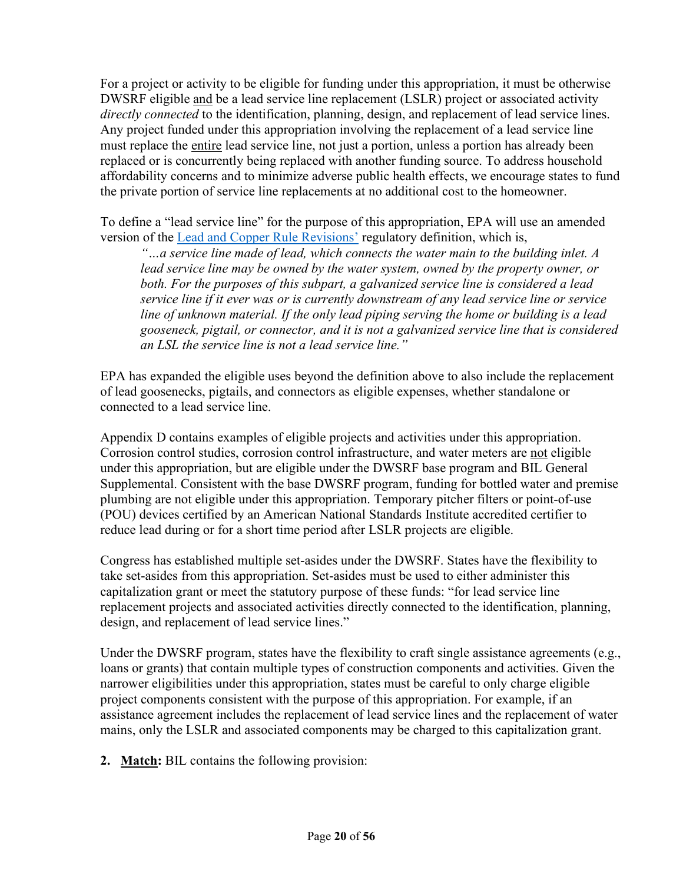For a project or activity to be eligible for funding under this appropriation, it must be otherwise DWSRF eligible and be a lead service line replacement (LSLR) project or associated activity *directly connected* to the identification, planning, design, and replacement of lead service lines. Any project funded under this appropriation involving the replacement of a lead service line must replace the entire lead service line, not just a portion, unless a portion has already been replaced or is concurrently being replaced with another funding source. To address household affordability concerns and to minimize adverse public health effects, we encourage states to fund the private portion of service line replacements at no additional cost to the homeowner.

To define a "lead service line" for the purpose of this appropriation, EPA will use an amended version of the [Lead and Copper Rule Revisions'](https://www.epa.gov/ground-water-and-drinking-water/proposed-revisions-lead-and-copper-rule) regulatory definition, which is,

*"…a service line made of lead, which connects the water main to the building inlet. A lead service line may be owned by the water system, owned by the property owner, or both. For the purposes of this subpart, a galvanized service line is considered a lead service line if it ever was or is currently downstream of any lead service line or service line of unknown material. If the only lead piping serving the home or building is a lead gooseneck, pigtail, or connector, and it is not a galvanized service line that is considered an LSL the service line is not a lead service line."*

EPA has expanded the eligible uses beyond the definition above to also include the replacement of lead goosenecks, pigtails, and connectors as eligible expenses, whether standalone or connected to a lead service line.

Appendix D contains examples of eligible projects and activities under this appropriation. Corrosion control studies, corrosion control infrastructure, and water meters are not eligible under this appropriation, but are eligible under the DWSRF base program and BIL General Supplemental. Consistent with the base DWSRF program, funding for bottled water and premise plumbing are not eligible under this appropriation. Temporary pitcher filters or point-of-use (POU) devices certified by an American National Standards Institute accredited certifier to reduce lead during or for a short time period after LSLR projects are eligible.

Congress has established multiple set-asides under the DWSRF. States have the flexibility to take set-asides from this appropriation. Set-asides must be used to either administer this capitalization grant or meet the statutory purpose of these funds: "for lead service line replacement projects and associated activities directly connected to the identification, planning, design, and replacement of lead service lines."

Under the DWSRF program, states have the flexibility to craft single assistance agreements (e.g., loans or grants) that contain multiple types of construction components and activities. Given the narrower eligibilities under this appropriation, states must be careful to only charge eligible project components consistent with the purpose of this appropriation. For example, if an assistance agreement includes the replacement of lead service lines and the replacement of water mains, only the LSLR and associated components may be charged to this capitalization grant.

**2. Match:** BIL contains the following provision: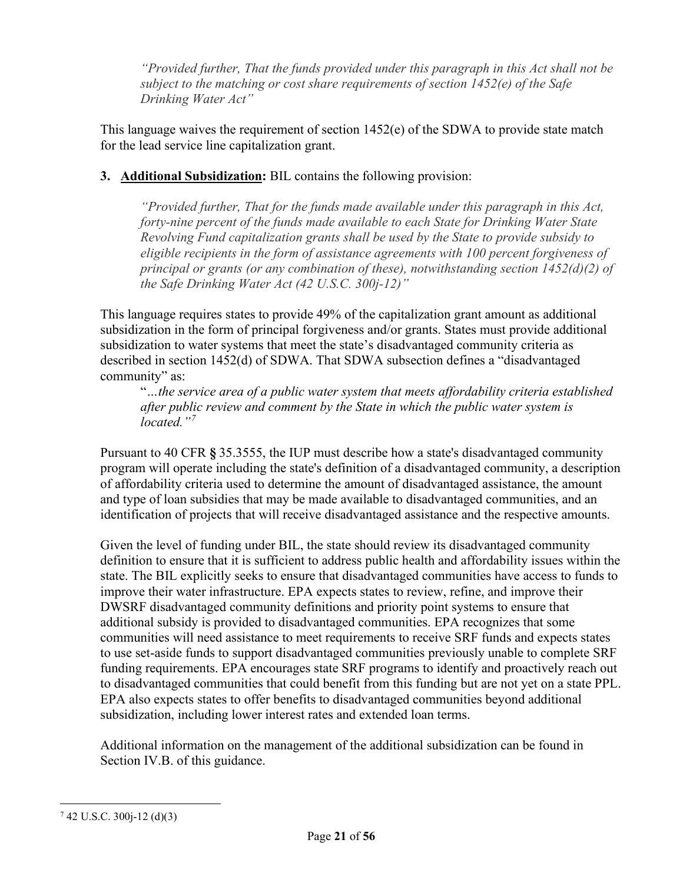*"Provided further, That the funds provided under this paragraph in this Act shall not be subject to the matching or cost share requirements of section 1452(e) of the Safe Drinking Water Act"*

This language waives the requirement of section  $1452(e)$  of the SDWA to provide state match for the lead service line capitalization grant.

### **3. Additional Subsidization:** BIL contains the following provision:

*"Provided further, That for the funds made available under this paragraph in this Act, forty-nine percent of the funds made available to each State for Drinking Water State Revolving Fund capitalization grants shall be used by the State to provide subsidy to eligible recipients in the form of assistance agreements with 100 percent forgiveness of principal or grants (or any combination of these), notwithstanding section 1452(d)(2) of the Safe Drinking Water Act (42 U.S.C. 300j-12)"*

This language requires states to provide 49% of the capitalization grant amount as additional subsidization in the form of principal forgiveness and/or grants. States must provide additional subsidization to water systems that meet the state's disadvantaged community criteria as described in section 1452(d) of SDWA. That SDWA subsection defines a "disadvantaged community" as:

"*…the service area of a public water system that meets affordability criteria established after public review and comment by the State in which the public water system is located."[7](#page-20-0)*

Pursuant to 40 CFR **§** 35.3555, the IUP must describe how a state's disadvantaged community program will operate including the state's definition of a disadvantaged community, a description of affordability criteria used to determine the amount of disadvantaged assistance, the amount and type of loan subsidies that may be made available to disadvantaged communities, and an identification of projects that will receive disadvantaged assistance and the respective amounts.

Given the level of funding under BIL, the state should review its disadvantaged community definition to ensure that it is sufficient to address public health and affordability issues within the state. The BIL explicitly seeks to ensure that disadvantaged communities have access to funds to improve their water infrastructure. EPA expects states to review, refine, and improve their DWSRF disadvantaged community definitions and priority point systems to ensure that additional subsidy is provided to disadvantaged communities. EPA recognizes that some communities will need assistance to meet requirements to receive SRF funds and expects states to use set-aside funds to support disadvantaged communities previously unable to complete SRF funding requirements. EPA encourages state SRF programs to identify and proactively reach out to disadvantaged communities that could benefit from this funding but are not yet on a state PPL. EPA also expects states to offer benefits to disadvantaged communities beyond additional subsidization, including lower interest rates and extended loan terms.

Additional information on the management of the additional subsidization can be found in Section IV.B. of this guidance.

<span id="page-20-0"></span> $7$  42 U.S.C. 300 $i$ -12 (d)(3)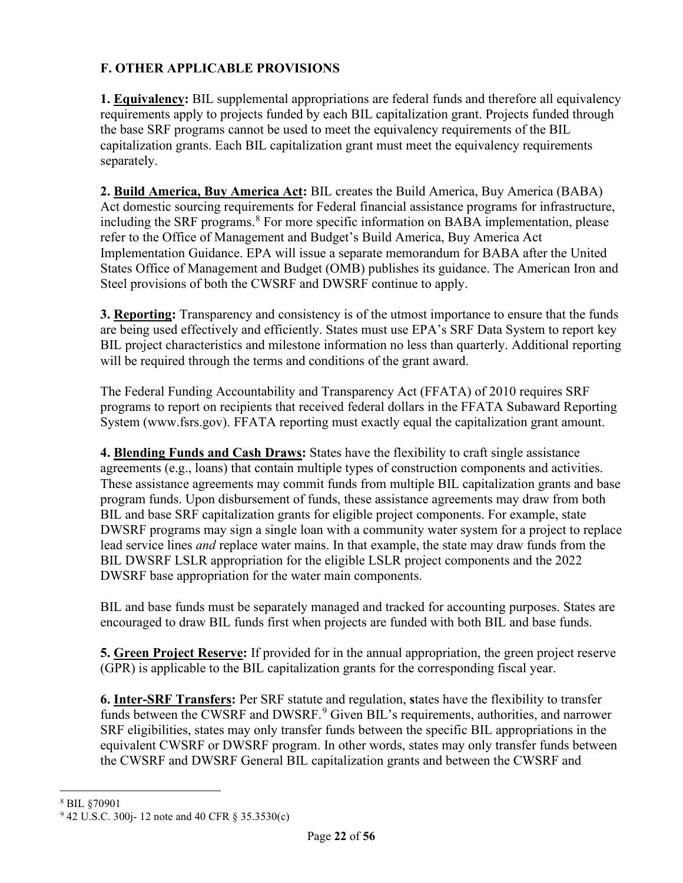### **F. OTHER APPLICABLE PROVISIONS**

**1. Equivalency:** BIL supplemental appropriations are federal funds and therefore all equivalency requirements apply to projects funded by each BIL capitalization grant. Projects funded through the base SRF programs cannot be used to meet the equivalency requirements of the BIL capitalization grants. Each BIL capitalization grant must meet the equivalency requirements separately.

**2. Build America, Buy America Act:** BIL creates the Build America, Buy America (BABA) Act domestic sourcing requirements for Federal financial assistance programs for infrastructure, including the SRF programs.<sup>[8](#page-21-0)</sup> For more specific information on BABA implementation, please refer to the Office of Management and Budget's Build America, Buy America Act Implementation Guidance. EPA will issue a separate memorandum for BABA after the United States Office of Management and Budget (OMB) publishes its guidance. The American Iron and Steel provisions of both the CWSRF and DWSRF continue to apply.

**3. Reporting:** Transparency and consistency is of the utmost importance to ensure that the funds are being used effectively and efficiently. States must use EPA's SRF Data System to report key BIL project characteristics and milestone information no less than quarterly. Additional reporting will be required through the terms and conditions of the grant award.

The Federal Funding Accountability and Transparency Act (FFATA) of 2010 requires SRF programs to report on recipients that received federal dollars in the FFATA Subaward Reporting System (www.fsrs.gov). FFATA reporting must exactly equal the capitalization grant amount.

**4. Blending Funds and Cash Draws:** States have the flexibility to craft single assistance agreements (e.g., loans) that contain multiple types of construction components and activities. These assistance agreements may commit funds from multiple BIL capitalization grants and base program funds. Upon disbursement of funds, these assistance agreements may draw from both BIL and base SRF capitalization grants for eligible project components. For example, state DWSRF programs may sign a single loan with a community water system for a project to replace lead service lines *and* replace water mains. In that example, the state may draw funds from the BIL DWSRF LSLR appropriation for the eligible LSLR project components and the 2022 DWSRF base appropriation for the water main components.

BIL and base funds must be separately managed and tracked for accounting purposes. States are encouraged to draw BIL funds first when projects are funded with both BIL and base funds.

**5. Green Project Reserve:** If provided for in the annual appropriation, the green project reserve (GPR) is applicable to the BIL capitalization grants for the corresponding fiscal year.

**6. Inter-SRF Transfers:** Per SRF statute and regulation, **s**tates have the flexibility to transfer funds between the CWSRF and DWSRF.<sup>[9](#page-21-1)</sup> Given BIL's requirements, authorities, and narrower SRF eligibilities, states may only transfer funds between the specific BIL appropriations in the equivalent CWSRF or DWSRF program. In other words, states may only transfer funds between the CWSRF and DWSRF General BIL capitalization grants and between the CWSRF and

<span id="page-21-0"></span><sup>8</sup> BIL §70901

<span id="page-21-1"></span> $9$  42 U.S.C. 300<sub>1</sub>-12 note and 40 CFR § 35.3530(c)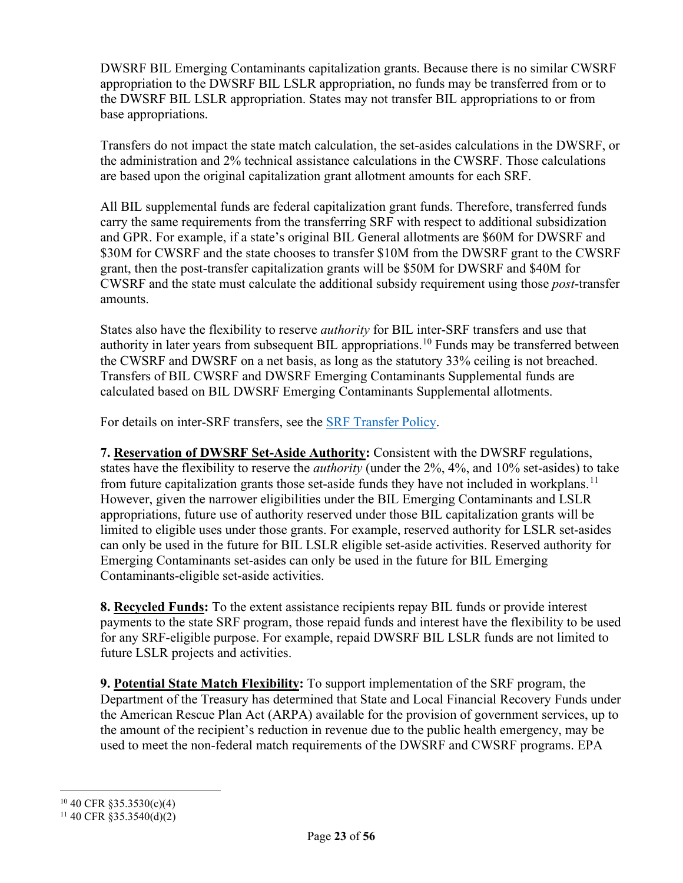DWSRF BIL Emerging Contaminants capitalization grants. Because there is no similar CWSRF appropriation to the DWSRF BIL LSLR appropriation, no funds may be transferred from or to the DWSRF BIL LSLR appropriation. States may not transfer BIL appropriations to or from base appropriations.

Transfers do not impact the state match calculation, the set-asides calculations in the DWSRF, or the administration and 2% technical assistance calculations in the CWSRF. Those calculations are based upon the original capitalization grant allotment amounts for each SRF.

All BIL supplemental funds are federal capitalization grant funds. Therefore, transferred funds carry the same requirements from the transferring SRF with respect to additional subsidization and GPR. For example, if a state's original BIL General allotments are \$60M for DWSRF and \$30M for CWSRF and the state chooses to transfer \$10M from the DWSRF grant to the CWSRF grant, then the post-transfer capitalization grants will be \$50M for DWSRF and \$40M for CWSRF and the state must calculate the additional subsidy requirement using those *post*-transfer amounts.

States also have the flexibility to reserve *authority* for BIL inter-SRF transfers and use that authority in later years from subsequent BIL appropriations.<sup>[10](#page-22-0)</sup> Funds may be transferred between the CWSRF and DWSRF on a net basis, as long as the statutory 33% ceiling is not breached. Transfers of BIL CWSRF and DWSRF Emerging Contaminants Supplemental funds are calculated based on BIL DWSRF Emerging Contaminants Supplemental allotments.

For details on inter-SRF transfers, see the **SRF Transfer Policy**.

**7. Reservation of DWSRF Set-Aside Authority:** Consistent with the DWSRF regulations, states have the flexibility to reserve the *authority* (under the 2%, 4%, and 10% set-asides) to take from future capitalization grants those set-aside funds they have not included in workplans.<sup>[11](#page-22-1)</sup> However, given the narrower eligibilities under the BIL Emerging Contaminants and LSLR appropriations, future use of authority reserved under those BIL capitalization grants will be limited to eligible uses under those grants. For example, reserved authority for LSLR set-asides can only be used in the future for BIL LSLR eligible set-aside activities. Reserved authority for Emerging Contaminants set-asides can only be used in the future for BIL Emerging Contaminants-eligible set-aside activities.

**8. Recycled Funds:** To the extent assistance recipients repay BIL funds or provide interest payments to the state SRF program, those repaid funds and interest have the flexibility to be used for any SRF-eligible purpose. For example, repaid DWSRF BIL LSLR funds are not limited to future LSLR projects and activities.

**9. Potential State Match Flexibility:** To support implementation of the SRF program, the Department of the Treasury has determined that State and Local Financial Recovery Funds under the American Rescue Plan Act (ARPA) available for the provision of government services, up to the amount of the recipient's reduction in revenue due to the public health emergency, may be used to meet the non-federal match requirements of the DWSRF and CWSRF programs. EPA

<span id="page-22-0"></span> $10$  40 CFR §35.3530(c)(4)

<span id="page-22-1"></span> $11$  40 CFR §35.3540(d)(2)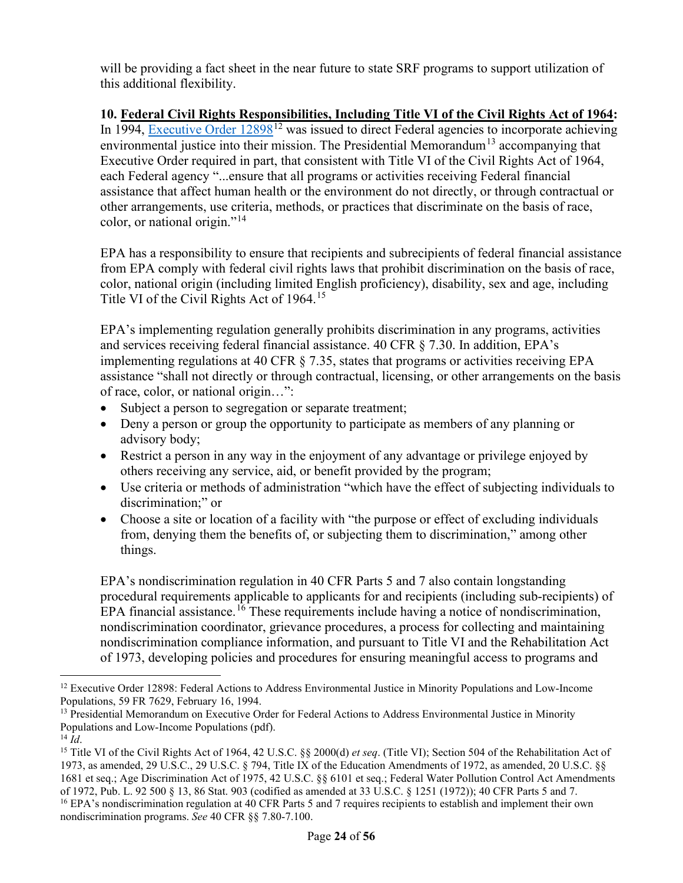will be providing a fact sheet in the near future to state SRF programs to support utilization of this additional flexibility.

#### **10. Federal Civil Rights Responsibilities, Including Title VI of the Civil Rights Act of 1964:**

In 1994, Executive Order  $12898^{12}$  $12898^{12}$  was issued to direct Federal agencies to incorporate achieving environmental justice into their mission. The Presidential Memorandum<sup>[13](#page-23-1)</sup> accompanying that Executive Order required in part, that consistent with Title VI of the Civil Rights Act of 1964, each Federal agency "...ensure that all programs or activities receiving Federal financial assistance that affect human health or the environment do not directly, or through contractual or other arrangements, use criteria, methods, or practices that discriminate on the basis of race, color, or national origin."[14](#page-23-2)

EPA has a responsibility to ensure that recipients and subrecipients of federal financial assistance from EPA comply with federal civil rights laws that prohibit discrimination on the basis of race, color, national origin (including limited English proficiency), disability, sex and age, including Title VI of the Civil Rights Act of 1964.<sup>[15](#page-23-3)</sup>

EPA's implementing regulation generally prohibits discrimination in any programs, activities and services receiving federal financial assistance. 40 CFR § 7.30. In addition, EPA's implementing regulations at 40 CFR § 7.35, states that programs or activities receiving EPA assistance "shall not directly or through contractual, licensing, or other arrangements on the basis of race, color, or national origin…":

- Subject a person to segregation or separate treatment;
- Deny a person or group the opportunity to participate as members of any planning or advisory body;
- Restrict a person in any way in the enjoyment of any advantage or privilege enjoyed by others receiving any service, aid, or benefit provided by the program;
- Use criteria or methods of administration "which have the effect of subjecting individuals to discrimination;" or
- Choose a site or location of a facility with "the purpose or effect of excluding individuals" from, denying them the benefits of, or subjecting them to discrimination," among other things.

EPA's nondiscrimination regulation in 40 CFR Parts 5 and 7 also contain longstanding procedural requirements applicable to applicants for and recipients (including sub-recipients) of EPA financial assistance.<sup>[16](#page-23-4)</sup> These requirements include having a notice of nondiscrimination, nondiscrimination coordinator, grievance procedures, a process for collecting and maintaining nondiscrimination compliance information, and pursuant to Title VI and the Rehabilitation Act of 1973, developing policies and procedures for ensuring meaningful access to programs and

<span id="page-23-0"></span> $12$  Executive Order 12898: Federal Actions to Address Environmental Justice in Minority Populations and Low-Income Populations, 59 FR 7629, February 16, 1994.

<span id="page-23-1"></span><sup>&</sup>lt;sup>13</sup> [Presidential Memorandum on Executive Order for Federal Actions to Address Environmental Justice in](https://www.epa.gov/sites/default/files/2015-02/documents/clinton_memo_12898.pdf) Minority [Populations and Low-Income Populations \(pdf\).](https://www.epa.gov/sites/default/files/2015-02/documents/clinton_memo_12898.pdf)

<span id="page-23-4"></span><span id="page-23-3"></span><span id="page-23-2"></span><sup>&</sup>lt;sup>14</sup> *Id*. <sup>14</sup> *Id*. <sup>14</sup> *Id*. **15** Title VI of the Civil Rights Act of 1964, 42 U.S.C. §§ 2000(d) *et seq*. (Title VI); Section 504 of the Rehabilitation Act of 1973, as amended, 29 U.S.C., 29 U.S.C. § 794, Title IX of the Education Amendments of 1972, as amended, 20 U.S.C. §§ 1681 et seq.; Age Discrimination Act of 1975, 42 U.S.C. §§ 6101 et seq.; Federal Water Pollution Control Act Amendments of 1972, Pub. L. 92 500 § 13, 86 Stat. 903 (codified as amended at 33 U.S.C. § 1251 (1972)); 40 CFR Parts 5 and 7. <sup>16</sup> EPA's nondiscrimination regulation at 40 CFR Parts 5 and 7 requires recipients to establish and implement their own nondiscrimination programs. *See* 40 CFR §§ 7.80-7.100.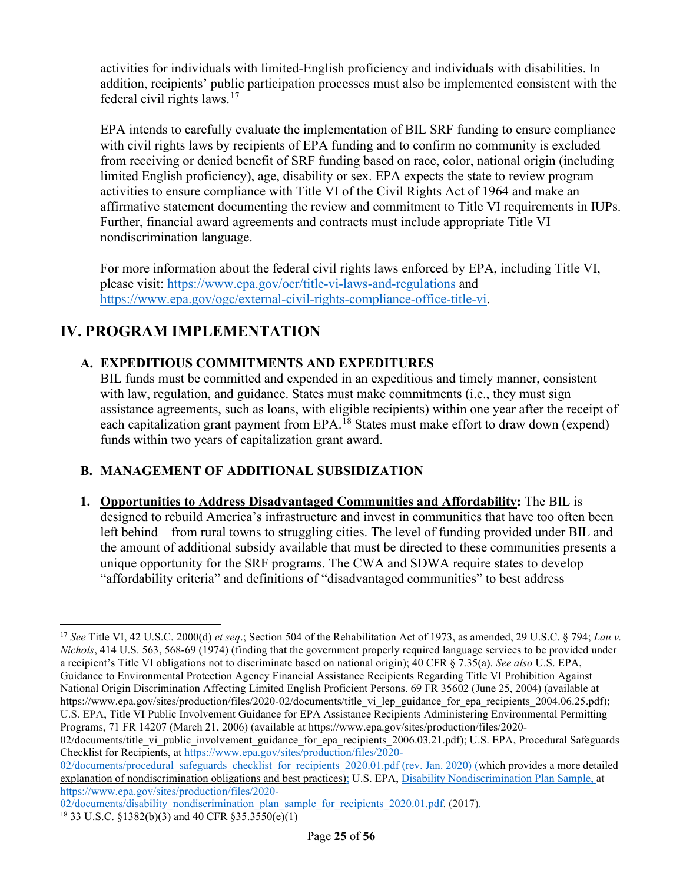activities for individuals with limited-English proficiency and individuals with disabilities. In addition, recipients' public participation processes must also be implemented consistent with the federal civil rights laws.[17](#page-24-0)

EPA intends to carefully evaluate the implementation of BIL SRF funding to ensure compliance with civil rights laws by recipients of EPA funding and to confirm no community is excluded from receiving or denied benefit of SRF funding based on race, color, national origin (including limited English proficiency), age, disability or sex. EPA expects the state to review program activities to ensure compliance with Title VI of the Civil Rights Act of 1964 and make an affirmative statement documenting the review and commitment to Title VI requirements in IUPs. Further, financial award agreements and contracts must include appropriate Title VI nondiscrimination language.

For more information about the federal civil rights laws enforced by EPA, including Title VI, please visit:<https://www.epa.gov/ocr/title-vi-laws-and-regulations> and [https://www.epa.gov/ogc/external-civil-rights-compliance-office-title-vi.](https://www.epa.gov/ogc/external-civil-rights-compliance-office-title-vi)

# **IV. PROGRAM IMPLEMENTATION**

### **A. EXPEDITIOUS COMMITMENTS AND EXPEDITURES**

BIL funds must be committed and expended in an expeditious and timely manner, consistent with law, regulation, and guidance. States must make commitments (*i.e.*, they must sign assistance agreements, such as loans, with eligible recipients) within one year after the receipt of each capitalization grant payment from EPA.<sup>[18](#page-24-1)</sup> States must make effort to draw down (expend) funds within two years of capitalization grant award.

#### **B. MANAGEMENT OF ADDITIONAL SUBSIDIZATION**

**1. Opportunities to Address Disadvantaged Communities and Affordability:** The BIL is designed to rebuild America's infrastructure and invest in communities that have too often been left behind – from rural towns to struggling cities. The level of funding provided under BIL and the amount of additional subsidy available that must be directed to these communities presents a unique opportunity for the SRF programs. The CWA and SDWA require states to develop "affordability criteria" and definitions of "disadvantaged communities" to best address

02/documents/title\_vi\_public\_involvement\_guidance\_for\_epa\_recipients\_2006.03.21.pdf); U.S. EPA, Procedural Safeguards Checklist for Recipients, at [https://www.epa.gov/sites/production/files/2020-](https://www.epa.gov/sites/production/files/2020-02/documents/procedural_safeguards_checklist_for_recipients_2020.01.pdf)

<span id="page-24-0"></span><sup>17</sup> *See* Title VI, 42 U.S.C. 2000(d) *et seq*.; Section 504 of the Rehabilitation Act of 1973, as amended, 29 U.S.C. § 794; *Lau v. Nichols*, 414 U.S. 563, 568-69 (1974) (finding that the government properly required language services to be provided under a recipient's Title VI obligations not to discriminate based on national origin); 40 CFR § 7.35(a). *See also* U.S. EPA, Guidance to Environmental Protection Agency Financial Assistance Recipients Regarding Title VI Prohibition Against National Origin Discrimination Affecting Limited English Proficient Persons. 69 FR 35602 (June 25, 2004) (available at https://www.epa.gov/sites/production/files/2020-02/documents/title\_vi\_lep\_guidance\_for\_epa\_recipients\_2004.06.25.pdf); U.S. EPA, Title VI Public Involvement Guidance for EPA Assistance Recipients Administering Environmental Permitting Programs, 71 FR 14207 (March 21, 2006) (available at https://www.epa.gov/sites/production/files/2020-

[<sup>02/</sup>documents/procedural\\_safeguards\\_checklist\\_for\\_recipients\\_2020.01.pdf](https://www.epa.gov/sites/production/files/2020-02/documents/procedural_safeguards_checklist_for_recipients_2020.01.pdf) (rev. Jan. 2020) (which provides a more detailed explanation of nondiscrimination obligations and best practices); U.S. EPA, Disability Nondiscrimination Plan Sample, at [https://www.epa.gov/sites/production/files/2020-](https://www.epa.gov/sites/production/files/2020-02/documents/disability_nondiscrimination_plan_sample_for_recipients_2020.01.pdf)

[<sup>02/</sup>documents/disability\\_nondiscrimination\\_plan\\_sample\\_for\\_recipients\\_2020.01.pdf.](https://www.epa.gov/sites/production/files/2020-02/documents/disability_nondiscrimination_plan_sample_for_recipients_2020.01.pdf) (2017).

<span id="page-24-1"></span><sup>&</sup>lt;sup>18</sup> 33 U.S.C. §1382(b)(3) and 40 CFR §35.3550(e)(1)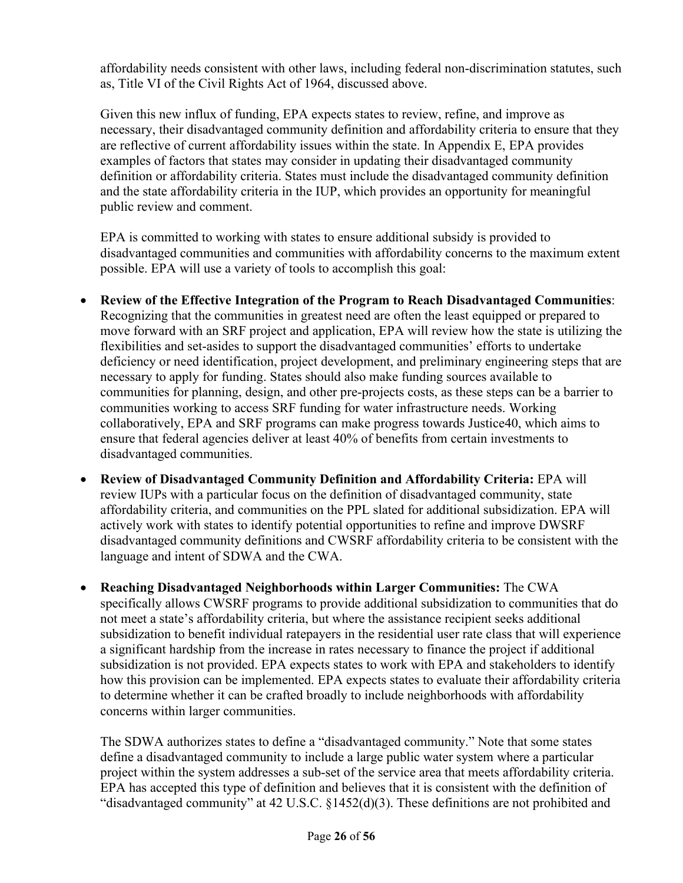affordability needs consistent with other laws, including federal non-discrimination statutes, such as, Title VI of the Civil Rights Act of 1964, discussed above.

Given this new influx of funding, EPA expects states to review, refine, and improve as necessary, their disadvantaged community definition and affordability criteria to ensure that they are reflective of current affordability issues within the state. In Appendix E, EPA provides examples of factors that states may consider in updating their disadvantaged community definition or affordability criteria. States must include the disadvantaged community definition and the state affordability criteria in the IUP, which provides an opportunity for meaningful public review and comment.

EPA is committed to working with states to ensure additional subsidy is provided to disadvantaged communities and communities with affordability concerns to the maximum extent possible. EPA will use a variety of tools to accomplish this goal:

- **Review of the Effective Integration of the Program to Reach Disadvantaged Communities**: Recognizing that the communities in greatest need are often the least equipped or prepared to move forward with an SRF project and application, EPA will review how the state is utilizing the flexibilities and set-asides to support the disadvantaged communities' efforts to undertake deficiency or need identification, project development, and preliminary engineering steps that are necessary to apply for funding. States should also make funding sources available to communities for planning, design, and other pre-projects costs, as these steps can be a barrier to communities working to access SRF funding for water infrastructure needs. Working collaboratively, EPA and SRF programs can make progress towards Justice40, which aims to ensure that federal agencies deliver at least 40% of benefits from certain investments to disadvantaged communities.
- **Review of Disadvantaged Community Definition and Affordability Criteria:** EPA will review IUPs with a particular focus on the definition of disadvantaged community, state affordability criteria, and communities on the PPL slated for additional subsidization. EPA will actively work with states to identify potential opportunities to refine and improve DWSRF disadvantaged community definitions and CWSRF affordability criteria to be consistent with the language and intent of SDWA and the CWA.
- **Reaching Disadvantaged Neighborhoods within Larger Communities:** The CWA specifically allows CWSRF programs to provide additional subsidization to communities that do not meet a state's affordability criteria, but where the assistance recipient seeks additional subsidization to benefit individual ratepayers in the residential user rate class that will experience a significant hardship from the increase in rates necessary to finance the project if additional subsidization is not provided. EPA expects states to work with EPA and stakeholders to identify how this provision can be implemented. EPA expects states to evaluate their affordability criteria to determine whether it can be crafted broadly to include neighborhoods with affordability concerns within larger communities.

The SDWA authorizes states to define a "disadvantaged community." Note that some states define a disadvantaged community to include a large public water system where a particular project within the system addresses a sub-set of the service area that meets affordability criteria. EPA has accepted this type of definition and believes that it is consistent with the definition of "disadvantaged community" at 42 U.S.C. §1452(d)(3). These definitions are not prohibited and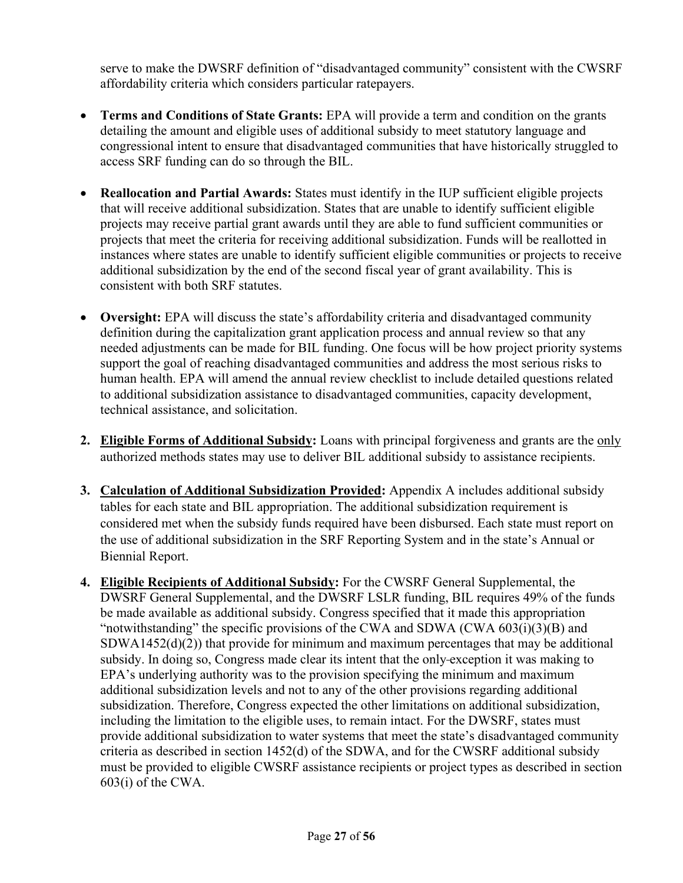serve to make the DWSRF definition of "disadvantaged community" consistent with the CWSRF affordability criteria which considers particular ratepayers.

- **Terms and Conditions of State Grants:** EPA will provide a term and condition on the grants detailing the amount and eligible uses of additional subsidy to meet statutory language and congressional intent to ensure that disadvantaged communities that have historically struggled to access SRF funding can do so through the BIL.
- **Reallocation and Partial Awards:** States must identify in the IUP sufficient eligible projects that will receive additional subsidization. States that are unable to identify sufficient eligible projects may receive partial grant awards until they are able to fund sufficient communities or projects that meet the criteria for receiving additional subsidization. Funds will be reallotted in instances where states are unable to identify sufficient eligible communities or projects to receive additional subsidization by the end of the second fiscal year of grant availability. This is consistent with both SRF statutes.
- **Oversight:** EPA will discuss the state's affordability criteria and disadvantaged community definition during the capitalization grant application process and annual review so that any needed adjustments can be made for BIL funding. One focus will be how project priority systems support the goal of reaching disadvantaged communities and address the most serious risks to human health. EPA will amend the annual review checklist to include detailed questions related to additional subsidization assistance to disadvantaged communities, capacity development, technical assistance, and solicitation.
- **2. Eligible Forms of Additional Subsidy:** Loans with principal forgiveness and grants are the only authorized methods states may use to deliver BIL additional subsidy to assistance recipients.
- **3. Calculation of Additional Subsidization Provided:** Appendix A includes additional subsidy tables for each state and BIL appropriation. The additional subsidization requirement is considered met when the subsidy funds required have been disbursed. Each state must report on the use of additional subsidization in the SRF Reporting System and in the state's Annual or Biennial Report.
- **4. Eligible Recipients of Additional Subsidy:** For the CWSRF General Supplemental, the DWSRF General Supplemental, and the DWSRF LSLR funding, BIL requires 49% of the funds be made available as additional subsidy. Congress specified that it made this appropriation "notwithstanding" the specific provisions of the CWA and SDWA (CWA  $603(i)(3)(B)$ ) and  $SDWA1452(d)(2)$ ) that provide for minimum and maximum percentages that may be additional subsidy. In doing so, Congress made clear its intent that the only exception it was making to EPA's underlying authority was to the provision specifying the minimum and maximum additional subsidization levels and not to any of the other provisions regarding additional subsidization. Therefore, Congress expected the other limitations on additional subsidization, including the limitation to the eligible uses, to remain intact. For the DWSRF, states must provide additional subsidization to water systems that meet the state's disadvantaged community criteria as described in section 1452(d) of the SDWA, and for the CWSRF additional subsidy must be provided to eligible CWSRF assistance recipients or project types as described in section 603(i) of the CWA.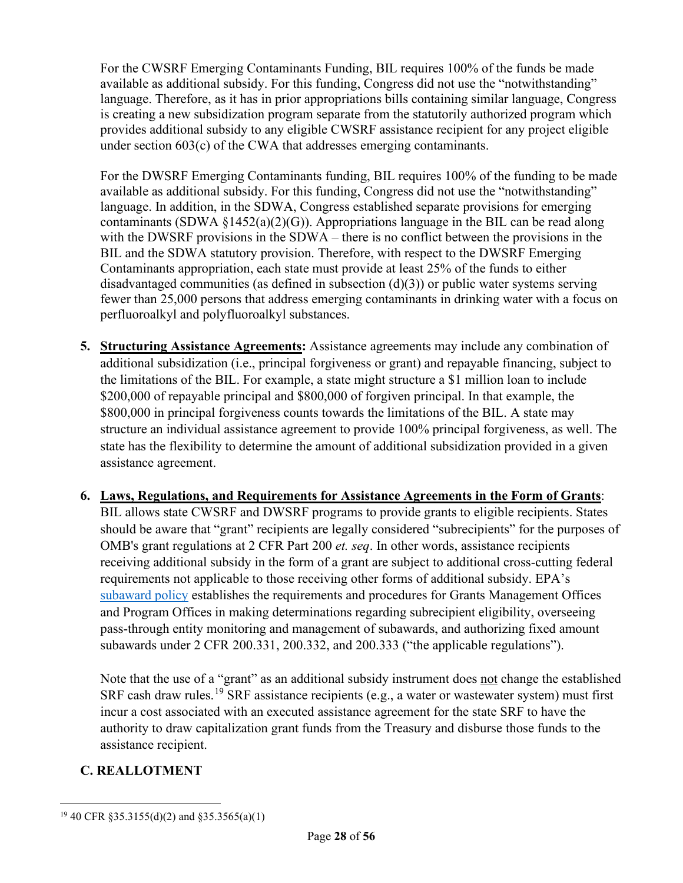For the CWSRF Emerging Contaminants Funding, BIL requires 100% of the funds be made available as additional subsidy. For this funding, Congress did not use the "notwithstanding" language. Therefore, as it has in prior appropriations bills containing similar language, Congress is creating a new subsidization program separate from the statutorily authorized program which provides additional subsidy to any eligible CWSRF assistance recipient for any project eligible under section 603(c) of the CWA that addresses emerging contaminants.

For the DWSRF Emerging Contaminants funding, BIL requires 100% of the funding to be made available as additional subsidy. For this funding, Congress did not use the "notwithstanding" language. In addition, in the SDWA, Congress established separate provisions for emerging contaminants (SDWA  $\S1452(a)(2)(G)$ ). Appropriations language in the BIL can be read along with the DWSRF provisions in the SDWA – there is no conflict between the provisions in the BIL and the SDWA statutory provision. Therefore, with respect to the DWSRF Emerging Contaminants appropriation, each state must provide at least 25% of the funds to either disadvantaged communities (as defined in subsection  $(d)(3)$ ) or public water systems serving fewer than 25,000 persons that address emerging contaminants in drinking water with a focus on perfluoroalkyl and polyfluoroalkyl substances.

- **5. Structuring Assistance Agreements:** Assistance agreements may include any combination of additional subsidization (i.e., principal forgiveness or grant) and repayable financing, subject to the limitations of the BIL. For example, a state might structure a \$1 million loan to include \$200,000 of repayable principal and \$800,000 of forgiven principal. In that example, the \$800,000 in principal forgiveness counts towards the limitations of the BIL. A state may structure an individual assistance agreement to provide 100% principal forgiveness, as well. The state has the flexibility to determine the amount of additional subsidization provided in a given assistance agreement.
- **6. Laws, Regulations, and Requirements for Assistance Agreements in the Form of Grants**: BIL allows state CWSRF and DWSRF programs to provide grants to eligible recipients. States should be aware that "grant" recipients are legally considered "subrecipients" for the purposes of OMB's grant regulations at 2 CFR Part 200 *et. seq*. In other words, assistance recipients receiving additional subsidy in the form of a grant are subject to additional cross-cutting federal requirements not applicable to those receiving other forms of additional subsidy. EPA's [subaward policy](https://www.epa.gov/sites/default/files/2020-11/documents/gpi-16-01-subaward-policy_attachments.pdf?VersionId=Gpyn6th6aI5b8IUFE.nf8Zw4cBEoZNHY) establishes the requirements and procedures for Grants Management Offices and Program Offices in making determinations regarding subrecipient eligibility, overseeing pass-through entity monitoring and management of subawards, and authorizing fixed amount subawards under 2 CFR 200.331, 200.332, and 200.333 ("the applicable regulations").

Note that the use of a "grant" as an additional subsidy instrument does not change the established SRF cash draw rules.<sup>[19](#page-27-0)</sup> SRF assistance recipients (e.g., a water or wastewater system) must first incur a cost associated with an executed assistance agreement for the state SRF to have the authority to draw capitalization grant funds from the Treasury and disburse those funds to the assistance recipient.

#### **C. REALLOTMENT**

<span id="page-27-0"></span><sup>19</sup> 40 CFR §35.3155(d)(2) and §35.3565(a)(1)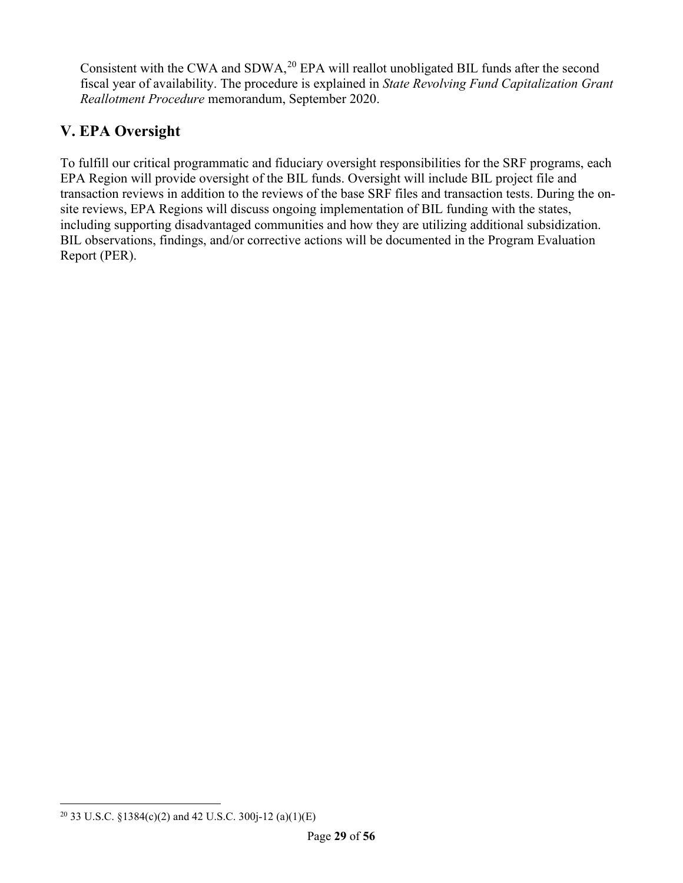Consistent with the CWA and SDWA, $^{20}$  $^{20}$  $^{20}$  EPA will reallot unobligated BIL funds after the second fiscal year of availability. The procedure is explained in *State Revolving Fund Capitalization Grant Reallotment Procedure* memorandum, September 2020.

# **V. EPA Oversight**

To fulfill our critical programmatic and fiduciary oversight responsibilities for the SRF programs, each EPA Region will provide oversight of the BIL funds. Oversight will include BIL project file and transaction reviews in addition to the reviews of the base SRF files and transaction tests. During the onsite reviews, EPA Regions will discuss ongoing implementation of BIL funding with the states, including supporting disadvantaged communities and how they are utilizing additional subsidization. BIL observations, findings, and/or corrective actions will be documented in the Program Evaluation Report (PER).

<span id="page-28-0"></span><sup>&</sup>lt;sup>20</sup> 33 U.S.C. §1384(c)(2) and 42 U.S.C. 300 $i$ -12 (a)(1)(E)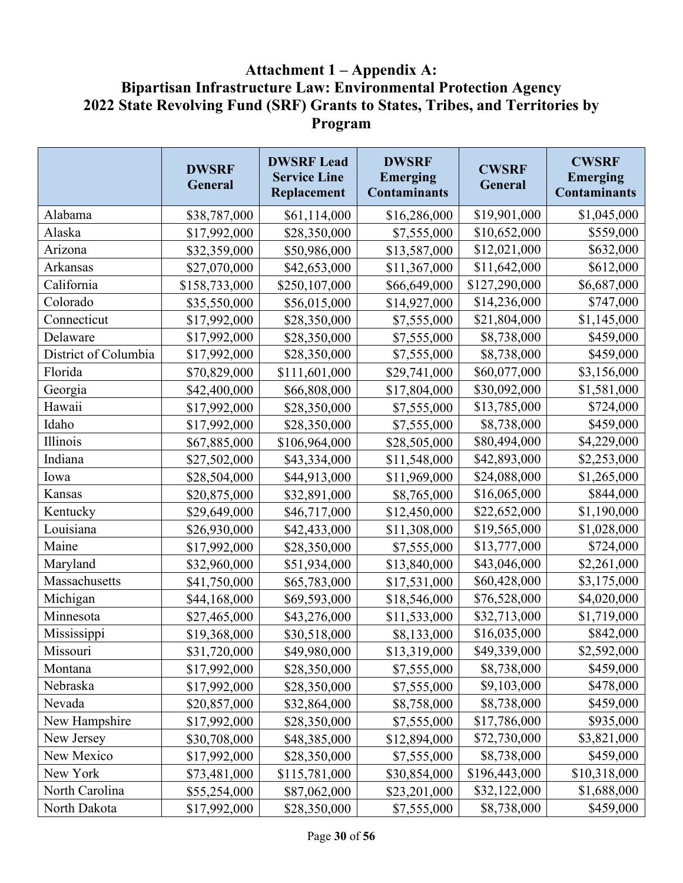# **Attachment 1 – Appendix A: Bipartisan Infrastructure Law: Environmental Protection Agency 2022 State Revolving Fund (SRF) Grants to States, Tribes, and Territories by Program**

|                      | <b>DWSRF</b><br>General | <b>DWSRF Lead</b><br><b>Service Line</b><br>Replacement | <b>DWSRF</b><br><b>Emerging</b><br><b>Contaminants</b> | <b>CWSRF</b><br>General | <b>CWSRF</b><br><b>Emerging</b><br><b>Contaminants</b> |
|----------------------|-------------------------|---------------------------------------------------------|--------------------------------------------------------|-------------------------|--------------------------------------------------------|
| Alabama              | \$38,787,000            | \$61,114,000                                            | \$16,286,000                                           | \$19,901,000            | \$1,045,000                                            |
| Alaska               | \$17,992,000            | \$28,350,000                                            | \$7,555,000                                            | \$10,652,000            | \$559,000                                              |
| Arizona              | \$32,359,000            | \$50,986,000                                            | \$13,587,000                                           | \$12,021,000            | \$632,000                                              |
| Arkansas             | \$27,070,000            | \$42,653,000                                            | \$11,367,000                                           | \$11,642,000            | \$612,000                                              |
| California           | \$158,733,000           | \$250,107,000                                           | \$66,649,000                                           | \$127,290,000           | \$6,687,000                                            |
| Colorado             | \$35,550,000            | \$56,015,000                                            | \$14,927,000                                           | \$14,236,000            | \$747,000                                              |
| Connecticut          | \$17,992,000            | \$28,350,000                                            | \$7,555,000                                            | \$21,804,000            | \$1,145,000                                            |
| Delaware             | \$17,992,000            | \$28,350,000                                            | \$7,555,000                                            | \$8,738,000             | \$459,000                                              |
| District of Columbia | \$17,992,000            | \$28,350,000                                            | \$7,555,000                                            | \$8,738,000             | \$459,000                                              |
| Florida              | \$70,829,000            | \$111,601,000                                           | \$29,741,000                                           | \$60,077,000            | \$3,156,000                                            |
| Georgia              | \$42,400,000            | \$66,808,000                                            | \$17,804,000                                           | \$30,092,000            | \$1,581,000                                            |
| Hawaii               | \$17,992,000            | \$28,350,000                                            | \$7,555,000                                            | \$13,785,000            | \$724,000                                              |
| Idaho                | \$17,992,000            | \$28,350,000                                            | \$7,555,000                                            | \$8,738,000             | \$459,000                                              |
| Illinois             | \$67,885,000            | \$106,964,000                                           | \$28,505,000                                           | \$80,494,000            | \$4,229,000                                            |
| Indiana              | \$27,502,000            | \$43,334,000                                            | \$11,548,000                                           | \$42,893,000            | \$2,253,000                                            |
| Iowa                 | \$28,504,000            | \$44,913,000                                            | \$11,969,000                                           | \$24,088,000            | \$1,265,000                                            |
| Kansas               | \$20,875,000            | \$32,891,000                                            | \$8,765,000                                            | \$16,065,000            | \$844,000                                              |
| Kentucky             | \$29,649,000            | \$46,717,000                                            | \$12,450,000                                           | \$22,652,000            | \$1,190,000                                            |
| Louisiana            | \$26,930,000            | \$42,433,000                                            | \$11,308,000                                           | \$19,565,000            | \$1,028,000                                            |
| Maine                | \$17,992,000            | \$28,350,000                                            | \$7,555,000                                            | \$13,777,000            | \$724,000                                              |
| Maryland             | \$32,960,000            | \$51,934,000                                            | \$13,840,000                                           | \$43,046,000            | \$2,261,000                                            |
| Massachusetts        | \$41,750,000            | \$65,783,000                                            | \$17,531,000                                           | \$60,428,000            | \$3,175,000                                            |
| Michigan             | \$44,168,000            | \$69,593,000                                            | \$18,546,000                                           | \$76,528,000            | \$4,020,000                                            |
| Minnesota            | \$27,465,000            | \$43,276,000                                            | \$11,533,000                                           | \$32,713,000            | \$1,719,000                                            |
| Mississippi          | \$19,368,000            | \$30,518,000                                            | \$8,133,000                                            | \$16,035,000            | \$842,000                                              |
| Missouri             | \$31,720,000            | \$49,980,000                                            | \$13,319,000                                           | \$49,339,000            | \$2,592,000                                            |
| Montana              | \$17,992,000            | \$28,350,000                                            | \$7,555,000                                            | \$8,738,000             | \$459,000                                              |
| Nebraska             | \$17,992,000            | \$28,350,000                                            | \$7,555,000                                            | \$9,103,000             | \$478,000                                              |
| Nevada               | \$20,857,000            | \$32,864,000                                            | \$8,758,000                                            | \$8,738,000             | \$459,000                                              |
| New Hampshire        | \$17,992,000            | \$28,350,000                                            | \$7,555,000                                            | \$17,786,000            | \$935,000                                              |
| New Jersey           | \$30,708,000            | \$48,385,000                                            | \$12,894,000                                           | \$72,730,000            | \$3,821,000                                            |
| New Mexico           | \$17,992,000            | \$28,350,000                                            | \$7,555,000                                            | \$8,738,000             | \$459,000                                              |
| New York             | \$73,481,000            | \$115,781,000                                           | \$30,854,000                                           | \$196,443,000           | \$10,318,000                                           |
| North Carolina       | \$55,254,000            | \$87,062,000                                            | \$23,201,000                                           | \$32,122,000            | \$1,688,000                                            |
| North Dakota         | \$17,992,000            | \$28,350,000                                            | \$7,555,000                                            | \$8,738,000             | \$459,000                                              |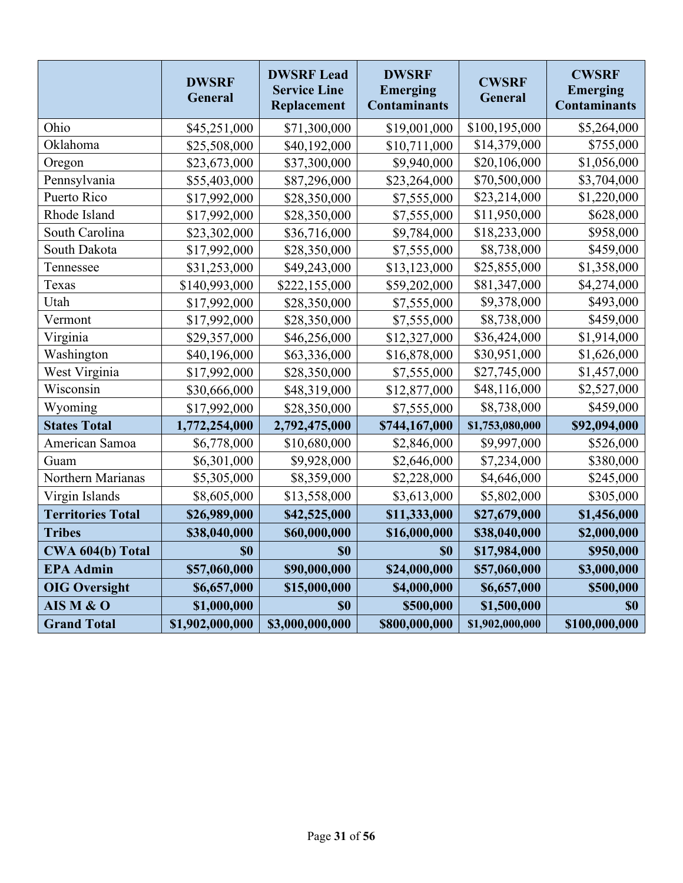|                          | <b>DWSRF</b><br>General | <b>DWSRF Lead</b><br><b>Service Line</b><br>Replacement | <b>DWSRF</b><br><b>Emerging</b><br><b>Contaminants</b> | <b>CWSRF</b><br>General | <b>CWSRF</b><br><b>Emerging</b><br><b>Contaminants</b> |
|--------------------------|-------------------------|---------------------------------------------------------|--------------------------------------------------------|-------------------------|--------------------------------------------------------|
| Ohio                     | \$45,251,000            | \$71,300,000                                            | \$19,001,000                                           | \$100,195,000           | \$5,264,000                                            |
| Oklahoma                 | \$25,508,000            | \$40,192,000                                            | \$10,711,000                                           | \$14,379,000            | \$755,000                                              |
| Oregon                   | \$23,673,000            | \$37,300,000                                            | \$9,940,000                                            | \$20,106,000            | \$1,056,000                                            |
| Pennsylvania             | \$55,403,000            | \$87,296,000                                            | \$23,264,000                                           | \$70,500,000            | \$3,704,000                                            |
| Puerto Rico              | \$17,992,000            | \$28,350,000                                            | \$7,555,000                                            | \$23,214,000            | \$1,220,000                                            |
| Rhode Island             | \$17,992,000            | \$28,350,000                                            | \$7,555,000                                            | \$11,950,000            | \$628,000                                              |
| South Carolina           | \$23,302,000            | \$36,716,000                                            | \$9,784,000                                            | \$18,233,000            | \$958,000                                              |
| South Dakota             | \$17,992,000            | \$28,350,000                                            | \$7,555,000                                            | \$8,738,000             | \$459,000                                              |
| Tennessee                | \$31,253,000            | \$49,243,000                                            | \$13,123,000                                           | \$25,855,000            | \$1,358,000                                            |
| Texas                    | \$140,993,000           | \$222,155,000                                           | \$59,202,000                                           | \$81,347,000            | \$4,274,000                                            |
| Utah                     | \$17,992,000            | \$28,350,000                                            | \$7,555,000                                            | \$9,378,000             | \$493,000                                              |
| Vermont                  | \$17,992,000            | \$28,350,000                                            | \$7,555,000                                            | \$8,738,000             | \$459,000                                              |
| Virginia                 | \$29,357,000            | \$46,256,000                                            | \$12,327,000                                           | \$36,424,000            | \$1,914,000                                            |
| Washington               | \$40,196,000            | \$63,336,000                                            | \$16,878,000                                           | \$30,951,000            | \$1,626,000                                            |
| West Virginia            | \$17,992,000            | \$28,350,000                                            | \$7,555,000                                            | \$27,745,000            | \$1,457,000                                            |
| Wisconsin                | \$30,666,000            | \$48,319,000                                            | \$12,877,000                                           | \$48,116,000            | \$2,527,000                                            |
| Wyoming                  | \$17,992,000            | \$28,350,000                                            | \$7,555,000                                            | \$8,738,000             | \$459,000                                              |
| <b>States Total</b>      | 1,772,254,000           | 2,792,475,000                                           | \$744,167,000                                          | \$1,753,080,000         | \$92,094,000                                           |
| American Samoa           | \$6,778,000             | \$10,680,000                                            | \$2,846,000                                            | \$9,997,000             | \$526,000                                              |
| Guam                     | \$6,301,000             | \$9,928,000                                             | \$2,646,000                                            | \$7,234,000             | \$380,000                                              |
| Northern Marianas        | \$5,305,000             | \$8,359,000                                             | \$2,228,000                                            | \$4,646,000             | \$245,000                                              |
| Virgin Islands           | \$8,605,000             | \$13,558,000                                            | \$3,613,000                                            | \$5,802,000             | \$305,000                                              |
| <b>Territories Total</b> | \$26,989,000            | \$42,525,000                                            | \$11,333,000                                           | \$27,679,000            | \$1,456,000                                            |
| <b>Tribes</b>            | \$38,040,000            | \$60,000,000                                            | \$16,000,000                                           | \$38,040,000            | \$2,000,000                                            |
| CWA 604(b) Total         | \$0                     | <b>SO</b>                                               | \$0                                                    | \$17,984,000            | \$950,000                                              |
| <b>EPA Admin</b>         | \$57,060,000            | \$90,000,000                                            | \$24,000,000                                           | \$57,060,000            | \$3,000,000                                            |
| <b>OIG</b> Oversight     | \$6,657,000             | \$15,000,000                                            | \$4,000,000                                            | \$6,657,000             | \$500,000                                              |
| AIS M & O                | \$1,000,000             | \$0                                                     | \$500,000                                              | \$1,500,000             | \$0                                                    |
| <b>Grand Total</b>       | \$1,902,000,000         | \$3,000,000,000                                         | \$800,000,000                                          | \$1,902,000,000         | \$100,000,000                                          |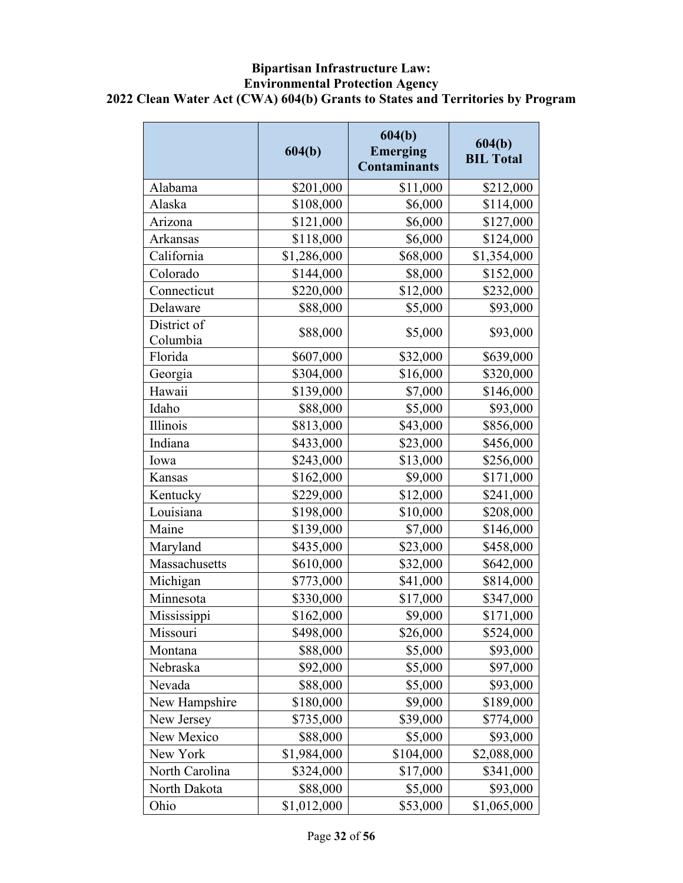#### **Bipartisan Infrastructure Law: Environmental Protection Agency 2022 Clean Water Act (CWA) 604(b) Grants to States and Territories by Program**

|                         | 604(b)      | 604(b)<br><b>Emerging</b><br><b>Contaminants</b> | 604(b)<br><b>BIL Total</b> |
|-------------------------|-------------|--------------------------------------------------|----------------------------|
| Alabama                 | \$201,000   | \$11,000                                         | \$212,000                  |
| Alaska                  | \$108,000   | \$6,000                                          | \$114,000                  |
| Arizona                 | \$121,000   | \$6,000                                          | \$127,000                  |
| Arkansas                | \$118,000   | \$6,000                                          | \$124,000                  |
| California              | \$1,286,000 | \$68,000                                         | \$1,354,000                |
| Colorado                | \$144,000   | \$8,000                                          | \$152,000                  |
| Connecticut             | \$220,000   | \$12,000                                         | \$232,000                  |
| Delaware                | \$88,000    | \$5,000                                          | \$93,000                   |
| District of<br>Columbia | \$88,000    | \$5,000                                          | \$93,000                   |
| Florida                 | \$607,000   | \$32,000                                         | \$639,000                  |
| Georgia                 | \$304,000   | \$16,000                                         | \$320,000                  |
| Hawaii                  | \$139,000   | \$7,000                                          | \$146,000                  |
| Idaho                   | \$88,000    | \$5,000                                          | \$93,000                   |
| Illinois                | \$813,000   | \$43,000                                         | \$856,000                  |
| Indiana                 | \$433,000   | \$23,000                                         | \$456,000                  |
| Iowa                    | \$243,000   | \$13,000                                         | \$256,000                  |
| Kansas                  | \$162,000   | \$9,000                                          | \$171,000                  |
| Kentucky                | \$229,000   | \$12,000                                         | \$241,000                  |
| Louisiana               | \$198,000   | \$10,000                                         | \$208,000                  |
| Maine                   | \$139,000   | \$7,000                                          | \$146,000                  |
| Maryland                | \$435,000   | \$23,000                                         | \$458,000                  |
| Massachusetts           | \$610,000   | \$32,000                                         | \$642,000                  |
| Michigan                | \$773,000   | \$41,000                                         | \$814,000                  |
| Minnesota               | \$330,000   | \$17,000                                         | \$347,000                  |
| Mississippi             | \$162,000   | \$9,000                                          | \$171,000                  |
| Missouri                | \$498,000   | \$26,000                                         | \$524,000                  |
| Montana                 | \$88,000    | \$5,000                                          | \$93,000                   |
| Nebraska                | \$92,000    | \$5,000                                          | \$97,000                   |
| Nevada                  | \$88,000    | \$5,000                                          | \$93,000                   |
| New Hampshire           | \$180,000   | \$9,000                                          | \$189,000                  |
| New Jersey              | \$735,000   | \$39,000                                         | \$774,000                  |
| New Mexico              | \$88,000    | \$5,000                                          | \$93,000                   |
| New York                | \$1,984,000 | \$104,000                                        | \$2,088,000                |
| North Carolina          | \$324,000   | \$17,000                                         | \$341,000                  |
| North Dakota            | \$88,000    | \$5,000                                          | \$93,000                   |
| Ohio                    | \$1,012,000 | \$53,000                                         | \$1,065,000                |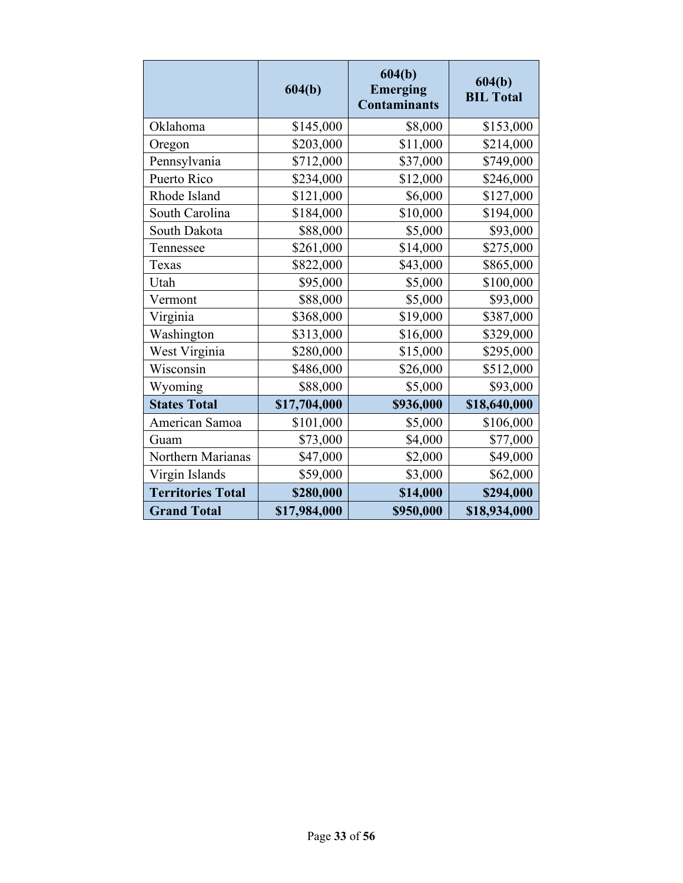|                          | 604(b)       | 604(b)<br><b>Emerging</b><br><b>Contaminants</b> | 604(b)<br><b>BIL Total</b> |
|--------------------------|--------------|--------------------------------------------------|----------------------------|
| Oklahoma                 | \$145,000    | \$8,000                                          | \$153,000                  |
| Oregon                   | \$203,000    | \$11,000                                         | \$214,000                  |
| Pennsylvania             | \$712,000    | \$37,000                                         | \$749,000                  |
| Puerto Rico              | \$234,000    | \$12,000                                         | \$246,000                  |
| Rhode Island             | \$121,000    | \$6,000                                          | \$127,000                  |
| South Carolina           | \$184,000    | \$10,000                                         | \$194,000                  |
| South Dakota             | \$88,000     | \$5,000                                          | \$93,000                   |
| Tennessee                | \$261,000    | \$14,000                                         | \$275,000                  |
| Texas                    | \$822,000    | \$43,000                                         | \$865,000                  |
| Utah                     | \$95,000     | \$5,000                                          | \$100,000                  |
| Vermont                  | \$88,000     | \$5,000                                          | \$93,000                   |
| Virginia                 | \$368,000    | \$19,000                                         | \$387,000                  |
| Washington               | \$313,000    | \$16,000                                         | \$329,000                  |
| West Virginia            | \$280,000    | \$15,000                                         | \$295,000                  |
| Wisconsin                | \$486,000    | \$26,000                                         | \$512,000                  |
| Wyoming                  | \$88,000     | \$5,000                                          | \$93,000                   |
| <b>States Total</b>      | \$17,704,000 | \$936,000                                        | \$18,640,000               |
| American Samoa           | \$101,000    | \$5,000                                          | \$106,000                  |
| Guam                     | \$73,000     | \$4,000                                          | \$77,000                   |
| Northern Marianas        | \$47,000     | \$2,000                                          | \$49,000                   |
| Virgin Islands           | \$59,000     | \$3,000                                          | \$62,000                   |
| <b>Territories Total</b> | \$280,000    | \$14,000                                         | \$294,000                  |
| <b>Grand Total</b>       | \$17,984,000 | \$950,000                                        | \$18,934,000               |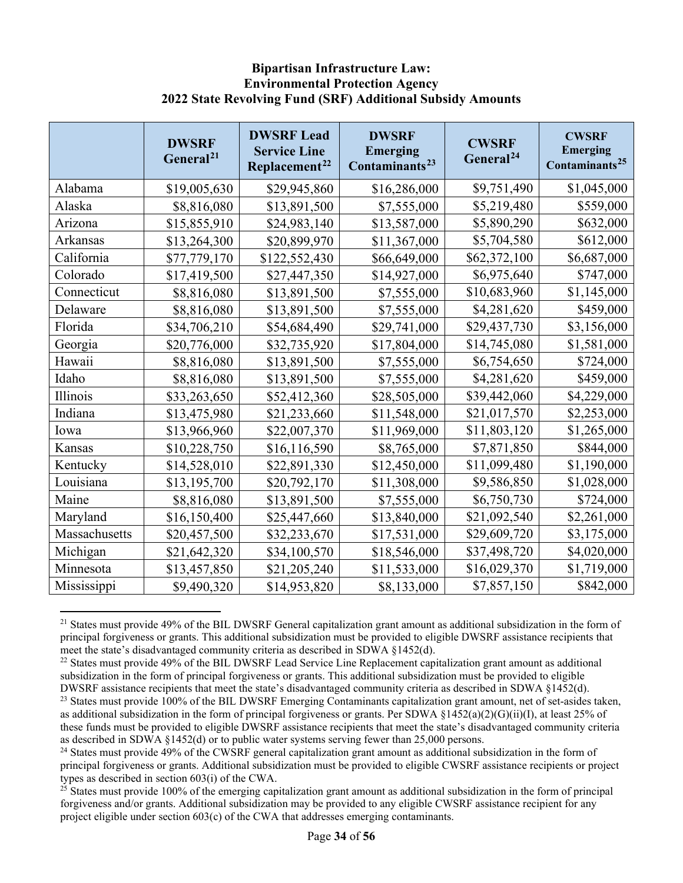#### **Bipartisan Infrastructure Law: Environmental Protection Agency 2022 State Revolving Fund (SRF) Additional Subsidy Amounts**

|               | <b>DWSRF</b><br>General <sup>21</sup> | <b>DWSRF Lead</b><br><b>Service Line</b><br>Replacement <sup>22</sup> | <b>DWSRF</b><br><b>Emerging</b><br>Contaminants <sup>23</sup> | <b>CWSRF</b><br>General <sup>24</sup> | <b>CWSRF</b><br><b>Emerging</b><br>Contaminants <sup>25</sup> |
|---------------|---------------------------------------|-----------------------------------------------------------------------|---------------------------------------------------------------|---------------------------------------|---------------------------------------------------------------|
| Alabama       | \$19,005,630                          | \$29,945,860                                                          | \$16,286,000                                                  | \$9,751,490                           | \$1,045,000                                                   |
| Alaska        | \$8,816,080                           | \$13,891,500                                                          | \$7,555,000                                                   | \$5,219,480                           | \$559,000                                                     |
| Arizona       | \$15,855,910                          | \$24,983,140                                                          | \$13,587,000                                                  | \$5,890,290                           | \$632,000                                                     |
| Arkansas      | \$13,264,300                          | \$20,899,970                                                          | \$11,367,000                                                  | \$5,704,580                           | \$612,000                                                     |
| California    | \$77,779,170                          | \$122,552,430                                                         | \$66,649,000                                                  | \$62,372,100                          | \$6,687,000                                                   |
| Colorado      | \$17,419,500                          | \$27,447,350                                                          | \$14,927,000                                                  | \$6,975,640                           | \$747,000                                                     |
| Connecticut   | \$8,816,080                           | \$13,891,500                                                          | \$7,555,000                                                   | \$10,683,960                          | \$1,145,000                                                   |
| Delaware      | \$8,816,080                           | \$13,891,500                                                          | \$7,555,000                                                   | \$4,281,620                           | \$459,000                                                     |
| Florida       | \$34,706,210                          | \$54,684,490                                                          | \$29,741,000                                                  | \$29,437,730                          | \$3,156,000                                                   |
| Georgia       | \$20,776,000                          | \$32,735,920                                                          | \$17,804,000                                                  | \$14,745,080                          | \$1,581,000                                                   |
| Hawaii        | \$8,816,080                           | \$13,891,500                                                          | \$7,555,000                                                   | \$6,754,650                           | \$724,000                                                     |
| Idaho         | \$8,816,080                           | \$13,891,500                                                          | \$7,555,000                                                   | \$4,281,620                           | \$459,000                                                     |
| Illinois      | \$33,263,650                          | \$52,412,360                                                          | \$28,505,000                                                  | \$39,442,060                          | \$4,229,000                                                   |
| Indiana       | \$13,475,980                          | \$21,233,660                                                          | \$11,548,000                                                  | \$21,017,570                          | \$2,253,000                                                   |
| Iowa          | \$13,966,960                          | \$22,007,370                                                          | \$11,969,000                                                  | \$11,803,120                          | \$1,265,000                                                   |
| Kansas        | \$10,228,750                          | \$16,116,590                                                          | \$8,765,000                                                   | \$7,871,850                           | \$844,000                                                     |
| Kentucky      | \$14,528,010                          | \$22,891,330                                                          | \$12,450,000                                                  | \$11,099,480                          | \$1,190,000                                                   |
| Louisiana     | \$13,195,700                          | \$20,792,170                                                          | \$11,308,000                                                  | \$9,586,850                           | \$1,028,000                                                   |
| Maine         | \$8,816,080                           | \$13,891,500                                                          | \$7,555,000                                                   | \$6,750,730                           | \$724,000                                                     |
| Maryland      | \$16,150,400                          | \$25,447,660                                                          | \$13,840,000                                                  | \$21,092,540                          | \$2,261,000                                                   |
| Massachusetts | \$20,457,500                          | \$32,233,670                                                          | \$17,531,000                                                  | \$29,609,720                          | \$3,175,000                                                   |
| Michigan      | \$21,642,320                          | \$34,100,570                                                          | \$18,546,000                                                  | \$37,498,720                          | \$4,020,000                                                   |
| Minnesota     | \$13,457,850                          | \$21,205,240                                                          | \$11,533,000                                                  | \$16,029,370                          | \$1,719,000                                                   |
| Mississippi   | \$9,490,320                           | \$14,953,820                                                          | \$8,133,000                                                   | \$7,857,150                           | \$842,000                                                     |

<span id="page-33-0"></span> $21$  States must provide 49% of the BIL DWSRF General capitalization grant amount as additional subsidization in the form of principal forgiveness or grants. This additional subsidization must be provided to eligible DWSRF assistance recipients that meet the state's disadvantaged community criteria as described in SDWA §1452(d).

<span id="page-33-1"></span> $22$  States must provide 49% of the BIL DWSRF Lead Service Line Replacement capitalization grant amount as additional subsidization in the form of principal forgiveness or grants. This additional subsidization must be provided to eligible DWSRF assistance recipients that meet the state's disadvantaged community criteria as described in SDWA §1452(d).

<span id="page-33-2"></span><sup>&</sup>lt;sup>23</sup> States must provide 100% of the BIL DWSRF Emerging Contaminants capitalization grant amount, net of set-asides taken, as additional subsidization in the form of principal forgiveness or grants. Per SDWA §1452(a)(2)(G)(ii)(I), at least 25% of these funds must be provided to eligible DWSRF assistance recipients that meet the state's disadvantaged community criteria as described in SDWA §1452(d) or to public water systems serving fewer than 25,000 persons.

<span id="page-33-3"></span><sup>&</sup>lt;sup>24</sup> States must provide 49% of the CWSRF general capitalization grant amount as additional subsidization in the form of principal forgiveness or grants. Additional subsidization must be provided to eligible CWSRF assistance recipients or project types as described in section 603(i) of the CWA.

<span id="page-33-4"></span> $25$  States must provide 100% of the emerging capitalization grant amount as additional subsidization in the form of principal forgiveness and/or grants. Additional subsidization may be provided to any eligible CWSRF assistance recipient for any project eligible under section  $603(c)$  of the CWA that addresses emerging contaminants.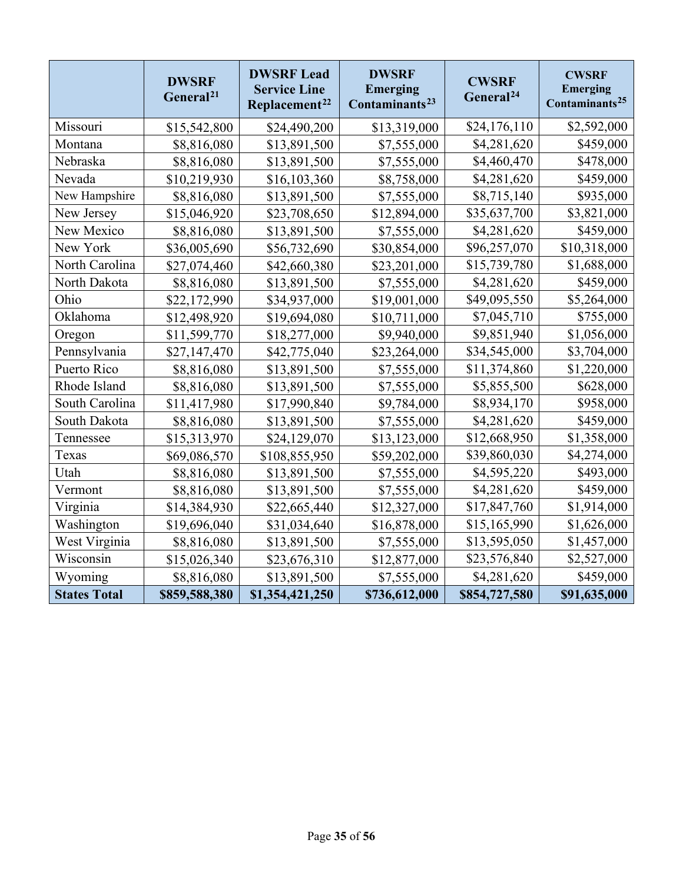|                     | <b>DWSRF</b><br>General <sup>21</sup> | <b>DWSRF Lead</b><br><b>Service Line</b><br>Replacement <sup>22</sup> | <b>DWSRF</b><br><b>Emerging</b><br>Contaminants <sup>23</sup> | <b>CWSRF</b><br>General <sup>24</sup> | <b>CWSRF</b><br><b>Emerging</b><br>Contaminants <sup>25</sup> |
|---------------------|---------------------------------------|-----------------------------------------------------------------------|---------------------------------------------------------------|---------------------------------------|---------------------------------------------------------------|
| Missouri            | \$15,542,800                          | \$24,490,200                                                          | \$13,319,000                                                  | \$24,176,110                          | \$2,592,000                                                   |
| Montana             | \$8,816,080                           | \$13,891,500                                                          | \$7,555,000                                                   | \$4,281,620                           | \$459,000                                                     |
| Nebraska            | \$8,816,080                           | \$13,891,500                                                          | \$7,555,000                                                   | \$4,460,470                           | \$478,000                                                     |
| Nevada              | \$10,219,930                          | \$16,103,360                                                          | \$8,758,000                                                   | \$4,281,620                           | \$459,000                                                     |
| New Hampshire       | \$8,816,080                           | \$13,891,500                                                          | \$7,555,000                                                   | \$8,715,140                           | \$935,000                                                     |
| New Jersey          | \$15,046,920                          | \$23,708,650                                                          | \$12,894,000                                                  | \$35,637,700                          | \$3,821,000                                                   |
| New Mexico          | \$8,816,080                           | \$13,891,500                                                          | \$7,555,000                                                   | \$4,281,620                           | \$459,000                                                     |
| New York            | \$36,005,690                          | \$56,732,690                                                          | \$30,854,000                                                  | \$96,257,070                          | \$10,318,000                                                  |
| North Carolina      | \$27,074,460                          | \$42,660,380                                                          | \$23,201,000                                                  | \$15,739,780                          | \$1,688,000                                                   |
| North Dakota        | \$8,816,080                           | \$13,891,500                                                          | \$7,555,000                                                   | \$4,281,620                           | \$459,000                                                     |
| Ohio                | \$22,172,990                          | \$34,937,000                                                          | \$19,001,000                                                  | \$49,095,550                          | \$5,264,000                                                   |
| Oklahoma            | \$12,498,920                          | \$19,694,080                                                          | \$10,711,000                                                  | \$7,045,710                           | \$755,000                                                     |
| Oregon              | \$11,599,770                          | \$18,277,000                                                          | \$9,940,000                                                   | \$9,851,940                           | \$1,056,000                                                   |
| Pennsylvania        | \$27,147,470                          | \$42,775,040                                                          | \$23,264,000                                                  | \$34,545,000                          | \$3,704,000                                                   |
| Puerto Rico         | \$8,816,080                           | \$13,891,500                                                          | \$7,555,000                                                   | \$11,374,860                          | \$1,220,000                                                   |
| Rhode Island        | \$8,816,080                           | \$13,891,500                                                          | \$7,555,000                                                   | \$5,855,500                           | \$628,000                                                     |
| South Carolina      | \$11,417,980                          | \$17,990,840                                                          | \$9,784,000                                                   | \$8,934,170                           | \$958,000                                                     |
| South Dakota        | \$8,816,080                           | \$13,891,500                                                          | \$7,555,000                                                   | \$4,281,620                           | \$459,000                                                     |
| Tennessee           | \$15,313,970                          | \$24,129,070                                                          | \$13,123,000                                                  | \$12,668,950                          | \$1,358,000                                                   |
| Texas               | \$69,086,570                          | \$108,855,950                                                         | \$59,202,000                                                  | \$39,860,030                          | \$4,274,000                                                   |
| Utah                | \$8,816,080                           | \$13,891,500                                                          | \$7,555,000                                                   | \$4,595,220                           | \$493,000                                                     |
| Vermont             | \$8,816,080                           | \$13,891,500                                                          | \$7,555,000                                                   | \$4,281,620                           | \$459,000                                                     |
| Virginia            | \$14,384,930                          | \$22,665,440                                                          | \$12,327,000                                                  | \$17,847,760                          | \$1,914,000                                                   |
| Washington          | \$19,696,040                          | \$31,034,640                                                          | \$16,878,000                                                  | \$15,165,990                          | \$1,626,000                                                   |
| West Virginia       | \$8,816,080                           | \$13,891,500                                                          | \$7,555,000                                                   | \$13,595,050                          | \$1,457,000                                                   |
| Wisconsin           | \$15,026,340                          | \$23,676,310                                                          | \$12,877,000                                                  | \$23,576,840                          | \$2,527,000                                                   |
| Wyoming             | \$8,816,080                           | \$13,891,500                                                          | \$7,555,000                                                   | \$4,281,620                           | \$459,000                                                     |
| <b>States Total</b> | \$859,588,380                         | \$1,354,421,250                                                       | \$736,612,000                                                 | \$854,727,580                         | \$91,635,000                                                  |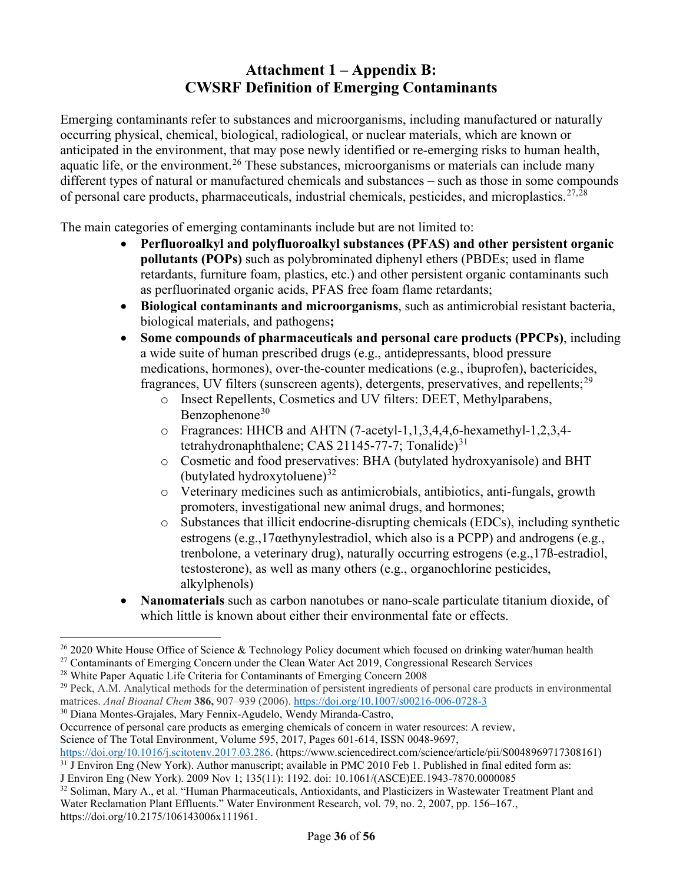# **Attachment 1 – Appendix B: CWSRF Definition of Emerging Contaminants**

Emerging contaminants refer to substances and microorganisms, including manufactured or naturally occurring physical, chemical, biological, radiological, or nuclear materials, which are known or anticipated in the environment, that may pose newly identified or re-emerging risks to human health, aquatic life, or the environment.<sup>[26](#page-35-0)</sup> These substances, microorganisms or materials can include many different types of natural or manufactured chemicals and substances – such as those in some compounds of personal care products, pharmaceuticals, industrial chemicals, pesticides, and microplastics.<sup>[27](#page-35-1),[28](#page-35-2)</sup>

The main categories of emerging contaminants include but are not limited to:

- **Perfluoroalkyl and polyfluoroalkyl substances (PFAS) and other persistent organic pollutants (POPs)** such as polybrominated diphenyl ethers (PBDEs; used in flame retardants, furniture foam, plastics, etc.) and other persistent organic contaminants such as perfluorinated organic acids, PFAS free foam flame retardants;
- **Biological contaminants and microorganisms**, such as antimicrobial resistant bacteria, biological materials, and pathogens**;**
- **Some compounds of pharmaceuticals and personal care products (PPCPs)**, including a wide suite of human prescribed drugs (e.g., antidepressants, blood pressure medications, hormones), over-the-counter medications (e.g., ibuprofen), bactericides, fragrances, UV filters (sunscreen agents), detergents, preservatives, and repellents;  $^{29}$  $^{29}$  $^{29}$ 
	- o Insect Repellents, Cosmetics and UV filters: DEET, Methylparabens, Benzophenone $30$
	- o Fragrances: HHCB and AHTN (7-acetyl-1,1,3,4,4,6-hexamethyl-1,2,3,4 tetrahydronaphthalene; CAS 21145-77-7; Tonalide) $31$
	- o Cosmetic and food preservatives: BHA (butylated hydroxyanisole) and BHT (butylated hydroxytoluene) $32$
	- o Veterinary medicines such as antimicrobials, antibiotics, anti-fungals, growth promoters, investigational new animal drugs, and hormones;
	- $\circ$  Substances that illicit endocrine-disrupting chemicals (EDCs), including synthetic estrogens (e.g.,  $17\alpha$ ethynylestradiol, which also is a PCPP) and androgens (e.g., trenbolone, a veterinary drug), naturally occurring estrogens (e.g.,17ß-estradiol, testosterone), as well as many others (e.g., organochlorine pesticides, alkylphenols)
- **Nanomaterials** such as carbon nanotubes or nano-scale particulate titanium dioxide, of which little is known about either their environmental fate or effects.

<span id="page-35-2"></span><sup>28</sup> White Paper Aquatic Life Criteria for Contaminants of Emerging Concern 2008

<span id="page-35-4"></span><sup>30</sup> Diana Montes-Grajales, Mary Fennix-Agudelo, Wendy Miranda-Castro,

<span id="page-35-0"></span> $26$  2020 White House Office of Science & Technology Policy document which focused on drinking water/human health

<span id="page-35-1"></span><sup>&</sup>lt;sup>27</sup> Contaminants of Emerging Concern under the Clean Water Act 2019, Congressional Research Services

<span id="page-35-3"></span> $^{29}$  Peck, A.M. Analytical methods for the determination of persistent ingredients of personal care products in environmental matrices. *Anal Bioanal Chem* **386,** 907–939 (2006).<https://doi.org/10.1007/s00216-006-0728-3>

Occurrence of personal care products as emerging chemicals of concern in water resources: A review, Science of The Total Environment, Volume 595, 2017, Pages 601-614, ISSN 0048-9697,

[https://doi.org/10.1016/j.scitotenv.2017.03.286.](https://doi.org/10.1016/j.scitotenv.2017.03.286) (https://www.sciencedirect.com/science/article/pii/S0048969717308161)

<span id="page-35-5"></span> $31$  J Environ Eng (New York). Author manuscript; available in PMC 2010 Feb 1. Published in final edited form as: J Environ Eng (New York). 2009 Nov 1; 135(11): 1192. doi: 10.1061/(ASCE)EE.1943-7870.0000085

<span id="page-35-6"></span><sup>&</sup>lt;sup>32</sup> Soliman, Mary A., et al. "Human Pharmaceuticals, Antioxidants, and Plasticizers in Wastewater Treatment Plant and Water Reclamation Plant Effluents." Water Environment Research, vol. 79, no. 2, 2007, pp. 156–167., https://doi.org/10.2175/106143006x111961.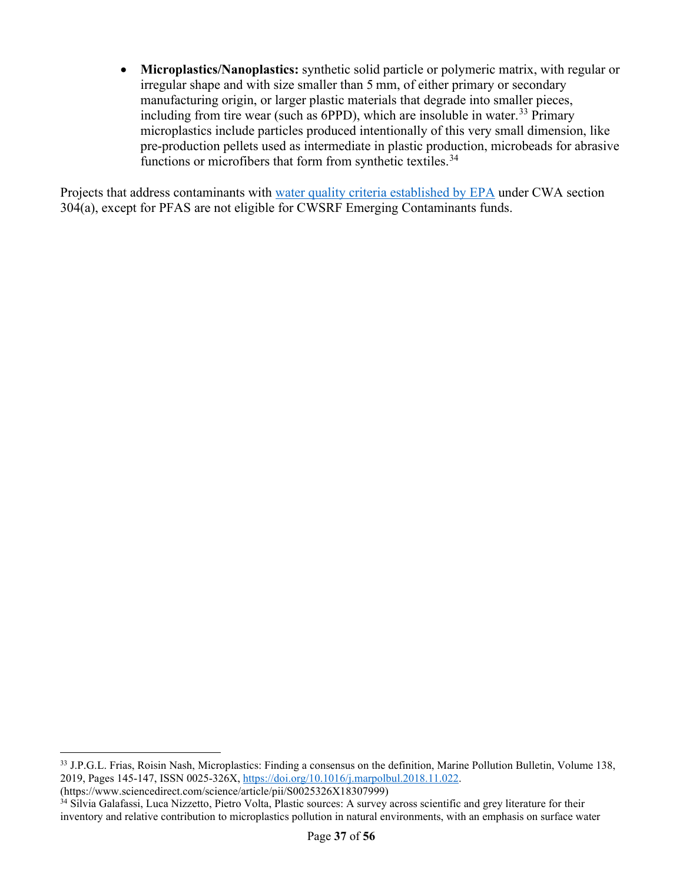• **Microplastics/Nanoplastics:** synthetic solid particle or polymeric matrix, with regular or irregular shape and with size smaller than 5 mm, of either primary or secondary manufacturing origin, or larger plastic materials that degrade into smaller pieces, including from tire wear (such as  $6PPD$ ), which are insoluble in water.<sup>[33](#page-36-0)</sup> Primary microplastics include particles produced intentionally of this very small dimension, like pre-production pellets used as intermediate in plastic production, microbeads for abrasive functions or microfibers that form from synthetic textiles.<sup>[34](#page-36-1)</sup>

Projects that address contaminants with [water quality criteria established by EPA](https://www.epa.gov/wqc/national-recommended-water-quality-criteria-tables) under CWA section 304(a), except for PFAS are not eligible for CWSRF Emerging Contaminants funds.

<span id="page-36-0"></span><sup>&</sup>lt;sup>33</sup> J.P.G.L. Frias, Roisin Nash, Microplastics: Finding a consensus on the definition, Marine Pollution Bulletin, Volume 138, 2019, Pages 145-147, ISSN 0025-326X, [https://doi.org/10.1016/j.marpolbul.2018.11.022.](https://doi.org/10.1016/j.marpolbul.2018.11.022)

<sup>(</sup>https://www.sciencedirect.com/science/article/pii/S0025326X18307999)

<span id="page-36-1"></span><sup>&</sup>lt;sup>34</sup> Silvia Galafassi, Luca Nizzetto, Pietro Volta, Plastic sources: A survey across scientific and grey literature for their inventory and relative contribution to microplastics pollution in natural environments, with an emphasis on surface water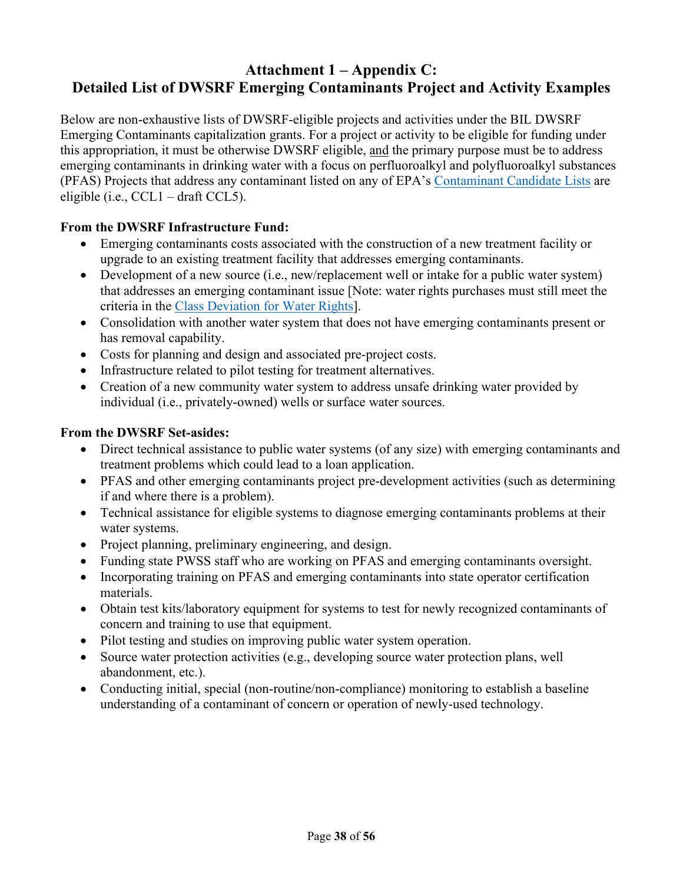### **Attachment 1 – Appendix C: Detailed List of DWSRF Emerging Contaminants Project and Activity Examples**

Below are non-exhaustive lists of DWSRF-eligible projects and activities under the BIL DWSRF Emerging Contaminants capitalization grants. For a project or activity to be eligible for funding under this appropriation, it must be otherwise DWSRF eligible, and the primary purpose must be to address emerging contaminants in drinking water with a focus on perfluoroalkyl and polyfluoroalkyl substances (PFAS) Projects that address any contaminant listed on any of EPA's [Contaminant Candidate Lists](https://www.epa.gov/ccl) are eligible (i.e., CCL1 – draft CCL5).

#### **From the DWSRF Infrastructure Fund:**

- Emerging contaminants costs associated with the construction of a new treatment facility or upgrade to an existing treatment facility that addresses emerging contaminants.
- Development of a new source (i.e., new/replacement well or intake for a public water system) that addresses an emerging contaminant issue [Note: water rights purchases must still meet the criteria in the [Class Deviation for Water Rights\]](https://www.epa.gov/sites/default/files/2020-01/documents/dwsrf_class_deviation_for_water_rights_2019.pdf).
- Consolidation with another water system that does not have emerging contaminants present or has removal capability.
- Costs for planning and design and associated pre-project costs.
- Infrastructure related to pilot testing for treatment alternatives.
- Creation of a new community water system to address unsafe drinking water provided by individual (i.e., privately-owned) wells or surface water sources.

#### **From the DWSRF Set-asides:**

- Direct technical assistance to public water systems (of any size) with emerging contaminants and treatment problems which could lead to a loan application.
- PFAS and other emerging contaminants project pre-development activities (such as determining if and where there is a problem).
- Technical assistance for eligible systems to diagnose emerging contaminants problems at their water systems.
- Project planning, preliminary engineering, and design.
- Funding state PWSS staff who are working on PFAS and emerging contaminants oversight.
- Incorporating training on PFAS and emerging contaminants into state operator certification materials.
- Obtain test kits/laboratory equipment for systems to test for newly recognized contaminants of concern and training to use that equipment.
- Pilot testing and studies on improving public water system operation.
- Source water protection activities (e.g., developing source water protection plans, well abandonment, etc.).
- Conducting initial, special (non-routine/non-compliance) monitoring to establish a baseline understanding of a contaminant of concern or operation of newly-used technology.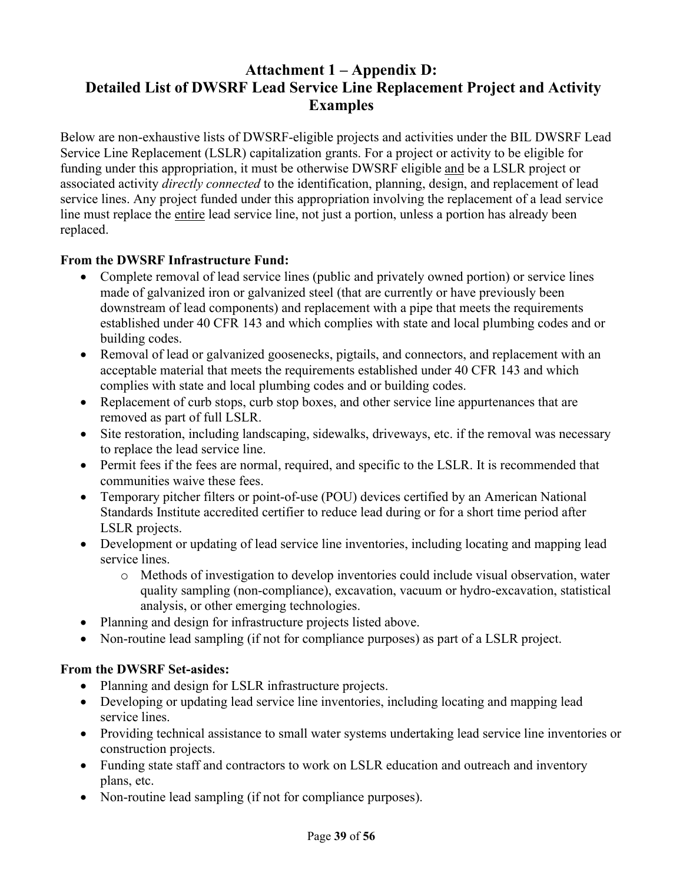## **Attachment 1 – Appendix D: Detailed List of DWSRF Lead Service Line Replacement Project and Activity Examples**

Below are non-exhaustive lists of DWSRF-eligible projects and activities under the BIL DWSRF Lead Service Line Replacement (LSLR) capitalization grants. For a project or activity to be eligible for funding under this appropriation, it must be otherwise DWSRF eligible and be a LSLR project or associated activity *directly connected* to the identification, planning, design, and replacement of lead service lines. Any project funded under this appropriation involving the replacement of a lead service line must replace the entire lead service line, not just a portion, unless a portion has already been replaced.

#### **From the DWSRF Infrastructure Fund:**

- Complete removal of lead service lines (public and privately owned portion) or service lines made of galvanized iron or galvanized steel (that are currently or have previously been downstream of lead components) and replacement with a pipe that meets the requirements established under 40 CFR 143 and which complies with state and local plumbing codes and or building codes.
- Removal of lead or galvanized goosenecks, pigtails, and connectors, and replacement with an acceptable material that meets the requirements established under 40 CFR 143 and which complies with state and local plumbing codes and or building codes.
- Replacement of curb stops, curb stop boxes, and other service line appurtenances that are removed as part of full LSLR.
- Site restoration, including landscaping, sidewalks, driveways, etc. if the removal was necessary to replace the lead service line.
- Permit fees if the fees are normal, required, and specific to the LSLR. It is recommended that communities waive these fees.
- Temporary pitcher filters or point-of-use (POU) devices certified by an American National Standards Institute accredited certifier to reduce lead during or for a short time period after LSLR projects.
- Development or updating of lead service line inventories, including locating and mapping lead service lines.
	- o Methods of investigation to develop inventories could include visual observation, water quality sampling (non-compliance), excavation, vacuum or hydro-excavation, statistical analysis, or other emerging technologies.
- Planning and design for infrastructure projects listed above.
- Non-routine lead sampling (if not for compliance purposes) as part of a LSLR project.

#### **From the DWSRF Set-asides:**

- Planning and design for LSLR infrastructure projects.
- Developing or updating lead service line inventories, including locating and mapping lead service lines.
- Providing technical assistance to small water systems undertaking lead service line inventories or construction projects.
- Funding state staff and contractors to work on LSLR education and outreach and inventory plans, etc.
- Non-routine lead sampling (if not for compliance purposes).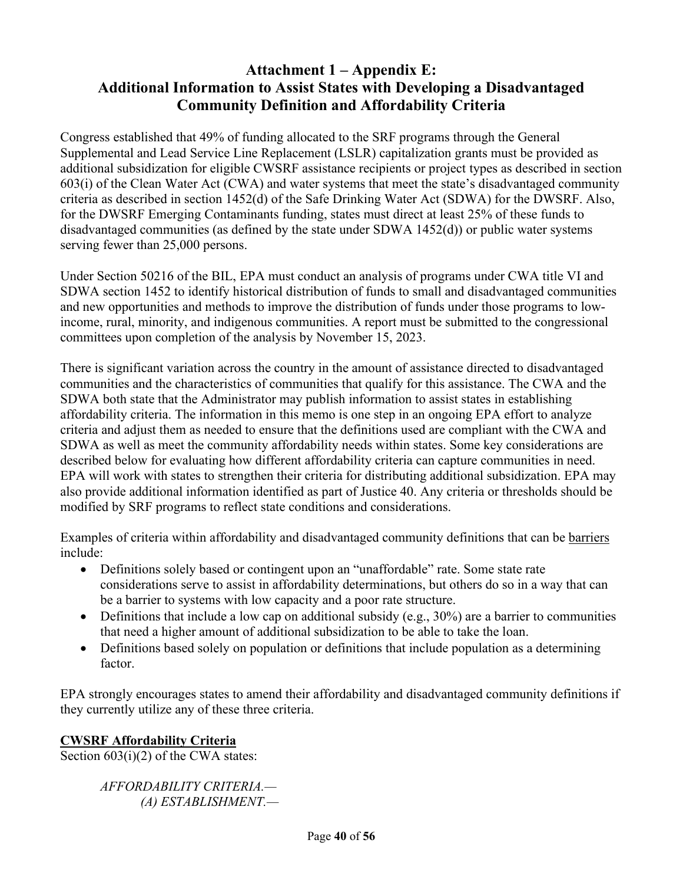### **Attachment 1 – Appendix E: Additional Information to Assist States with Developing a Disadvantaged Community Definition and Affordability Criteria**

Congress established that 49% of funding allocated to the SRF programs through the General Supplemental and Lead Service Line Replacement (LSLR) capitalization grants must be provided as additional subsidization for eligible CWSRF assistance recipients or project types as described in section 603(i) of the Clean Water Act (CWA) and water systems that meet the state's disadvantaged community criteria as described in section 1452(d) of the Safe Drinking Water Act (SDWA) for the DWSRF. Also, for the DWSRF Emerging Contaminants funding, states must direct at least 25% of these funds to disadvantaged communities (as defined by the state under SDWA 1452(d)) or public water systems serving fewer than 25,000 persons.

Under Section 50216 of the BIL, EPA must conduct an analysis of programs under CWA title VI and SDWA section 1452 to identify historical distribution of funds to small and disadvantaged communities and new opportunities and methods to improve the distribution of funds under those programs to lowincome, rural, minority, and indigenous communities. A report must be submitted to the congressional committees upon completion of the analysis by November 15, 2023.

There is significant variation across the country in the amount of assistance directed to disadvantaged communities and the characteristics of communities that qualify for this assistance. The CWA and the SDWA both state that the Administrator may publish information to assist states in establishing affordability criteria. The information in this memo is one step in an ongoing EPA effort to analyze criteria and adjust them as needed to ensure that the definitions used are compliant with the CWA and SDWA as well as meet the community affordability needs within states. Some key considerations are described below for evaluating how different affordability criteria can capture communities in need. EPA will work with states to strengthen their criteria for distributing additional subsidization. EPA may also provide additional information identified as part of Justice 40. Any criteria or thresholds should be modified by SRF programs to reflect state conditions and considerations.

Examples of criteria within affordability and disadvantaged community definitions that can be barriers include:

- Definitions solely based or contingent upon an "unaffordable" rate. Some state rate considerations serve to assist in affordability determinations, but others do so in a way that can be a barrier to systems with low capacity and a poor rate structure.
- Definitions that include a low cap on additional subsidy (e.g.,  $30\%$ ) are a barrier to communities that need a higher amount of additional subsidization to be able to take the loan.
- Definitions based solely on population or definitions that include population as a determining factor.

EPA strongly encourages states to amend their affordability and disadvantaged community definitions if they currently utilize any of these three criteria.

#### **CWSRF Affordability Criteria**

Section  $603(i)(2)$  of the CWA states:

*AFFORDABILITY CRITERIA.— (A) ESTABLISHMENT.—*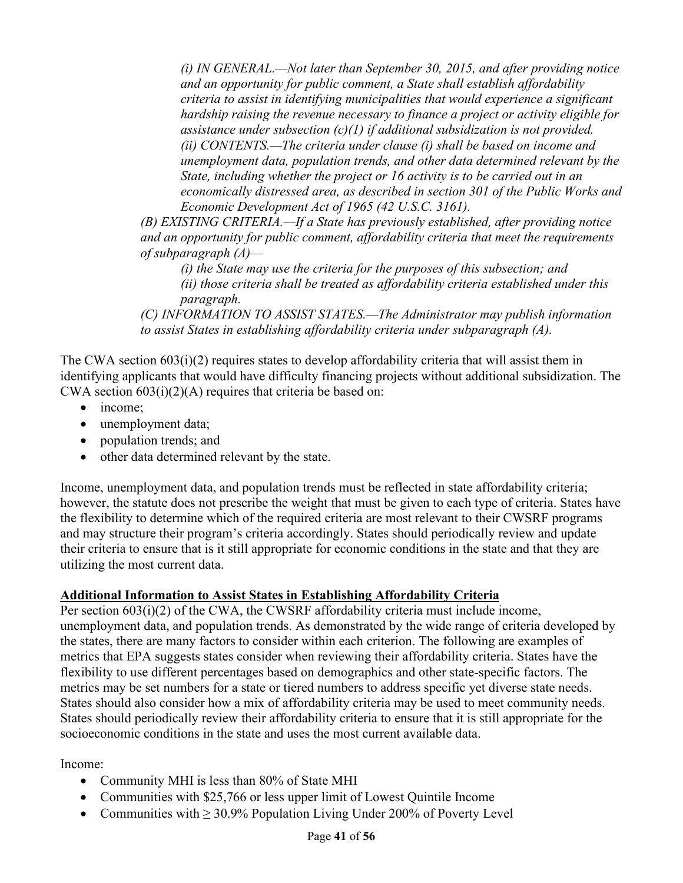*(i) IN GENERAL.—Not later than September 30, 2015, and after providing notice and an opportunity for public comment, a State shall establish affordability criteria to assist in identifying municipalities that would experience a significant hardship raising the revenue necessary to finance a project or activity eligible for assistance under subsection (c)(1) if additional subsidization is not provided. (ii) CONTENTS.—The criteria under clause (i) shall be based on income and unemployment data, population trends, and other data determined relevant by the State, including whether the project or 16 activity is to be carried out in an economically distressed area, as described in section 301 of the Public Works and Economic Development Act of 1965 (42 U.S.C. 3161).* 

*(B) EXISTING CRITERIA.—If a State has previously established, after providing notice and an opportunity for public comment, affordability criteria that meet the requirements of subparagraph (A)—*

*(i) the State may use the criteria for the purposes of this subsection; and (ii) those criteria shall be treated as affordability criteria established under this paragraph.* 

*(C) INFORMATION TO ASSIST STATES.—The Administrator may publish information to assist States in establishing affordability criteria under subparagraph (A).*

The CWA section 603(i)(2) requires states to develop affordability criteria that will assist them in identifying applicants that would have difficulty financing projects without additional subsidization. The CWA section  $603(i)(2)(A)$  requires that criteria be based on:

- income:
- unemployment data;
- population trends; and
- other data determined relevant by the state.

Income, unemployment data, and population trends must be reflected in state affordability criteria; however, the statute does not prescribe the weight that must be given to each type of criteria. States have the flexibility to determine which of the required criteria are most relevant to their CWSRF programs and may structure their program's criteria accordingly. States should periodically review and update their criteria to ensure that is it still appropriate for economic conditions in the state and that they are utilizing the most current data.

#### **Additional Information to Assist States in Establishing Affordability Criteria**

Per section 603(i)(2) of the CWA, the CWSRF affordability criteria must include income, unemployment data, and population trends. As demonstrated by the wide range of criteria developed by the states, there are many factors to consider within each criterion. The following are examples of metrics that EPA suggests states consider when reviewing their affordability criteria. States have the flexibility to use different percentages based on demographics and other state-specific factors. The metrics may be set numbers for a state or tiered numbers to address specific yet diverse state needs. States should also consider how a mix of affordability criteria may be used to meet community needs. States should periodically review their affordability criteria to ensure that it is still appropriate for the socioeconomic conditions in the state and uses the most current available data.

Income:

- Community MHI is less than 80% of State MHI
- Communities with \$25,766 or less upper limit of Lowest Quintile Income
- Communities with  $\geq 30.9\%$  Population Living Under 200% of Poverty Level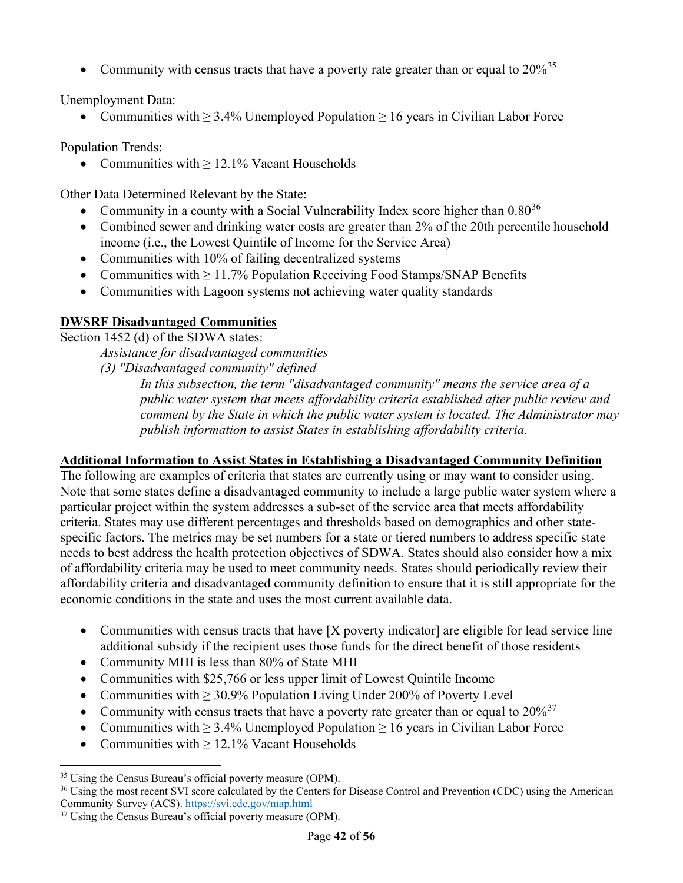• Community with census tracts that have a poverty rate greater than or equal to  $20\%$ <sup>[35](#page-41-0)</sup>

Unemployment Data:

• Communities with  $\geq 3.4\%$  Unemployed Population  $\geq 16$  years in Civilian Labor Force

Population Trends:

• Communities with  $\geq 12.1\%$  Vacant Households

Other Data Determined Relevant by the State:

- Community in a county with a Social Vulnerability Index score higher than  $0.80^{36}$  $0.80^{36}$  $0.80^{36}$
- Combined sewer and drinking water costs are greater than 2% of the 20th percentile household income (i.e., the Lowest Quintile of Income for the Service Area)
- Communities with 10% of failing decentralized systems
- Communities with  $\geq 11.7\%$  Population Receiving Food Stamps/SNAP Benefits
- Communities with Lagoon systems not achieving water quality standards

### **DWSRF Disadvantaged Communities**

Section 1452 (d) of the SDWA states:

*Assistance for disadvantaged communities* 

*(3) "Disadvantaged community" defined* 

*In this subsection, the term "disadvantaged community" means the service area of a public water system that meets affordability criteria established after public review and comment by the State in which the public water system is located. The Administrator may publish information to assist States in establishing affordability criteria.*

#### **Additional Information to Assist States in Establishing a Disadvantaged Community Definition**

The following are examples of criteria that states are currently using or may want to consider using. Note that some states define a disadvantaged community to include a large public water system where a particular project within the system addresses a sub-set of the service area that meets affordability criteria. States may use different percentages and thresholds based on demographics and other statespecific factors. The metrics may be set numbers for a state or tiered numbers to address specific state needs to best address the health protection objectives of SDWA. States should also consider how a mix of affordability criteria may be used to meet community needs. States should periodically review their affordability criteria and disadvantaged community definition to ensure that it is still appropriate for the economic conditions in the state and uses the most current available data.

- Communities with census tracts that have [X poverty indicator] are eligible for lead service line additional subsidy if the recipient uses those funds for the direct benefit of those residents
- Community MHI is less than 80% of State MHI
- Communities with \$25,766 or less upper limit of Lowest Quintile Income
- Communities with  $\geq 30.9\%$  Population Living Under 200% of Poverty Level
- Community with census tracts that have a poverty rate greater than or equal to  $20\%^{37}$  $20\%^{37}$  $20\%^{37}$
- Communities with  $\geq 3.4\%$  Unemployed Population  $\geq 16$  years in Civilian Labor Force
- Communities with ≥ 12.1% Vacant Households

<span id="page-41-1"></span><span id="page-41-0"></span><sup>&</sup>lt;sup>35</sup> Using the Census Bureau's official poverty measure (OPM).<br><sup>36</sup> Using the most recent SVI score calculated by the Centers for Disease Control and Prevention (CDC) using the American Community Survey (ACS).<https://svi.cdc.gov/map.html>

<span id="page-41-2"></span><sup>&</sup>lt;sup>37</sup> Using the Census Bureau's official poverty measure (OPM).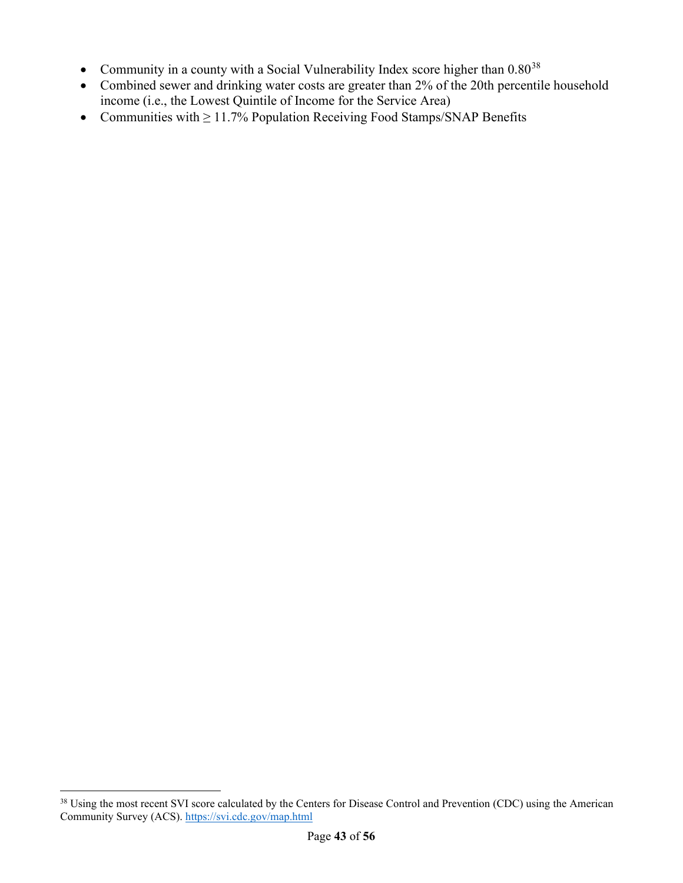- Community in a county with a Social Vulnerability Index score higher than  $0.80^{38}$  $0.80^{38}$  $0.80^{38}$
- Combined sewer and drinking water costs are greater than 2% of the 20th percentile household income (i.e., the Lowest Quintile of Income for the Service Area)
- Communities with  $\geq 11.7\%$  Population Receiving Food Stamps/SNAP Benefits

<span id="page-42-0"></span><sup>&</sup>lt;sup>38</sup> Using the most recent SVI score calculated by the Centers for Disease Control and Prevention (CDC) using the American Community Survey (ACS).<https://svi.cdc.gov/map.html>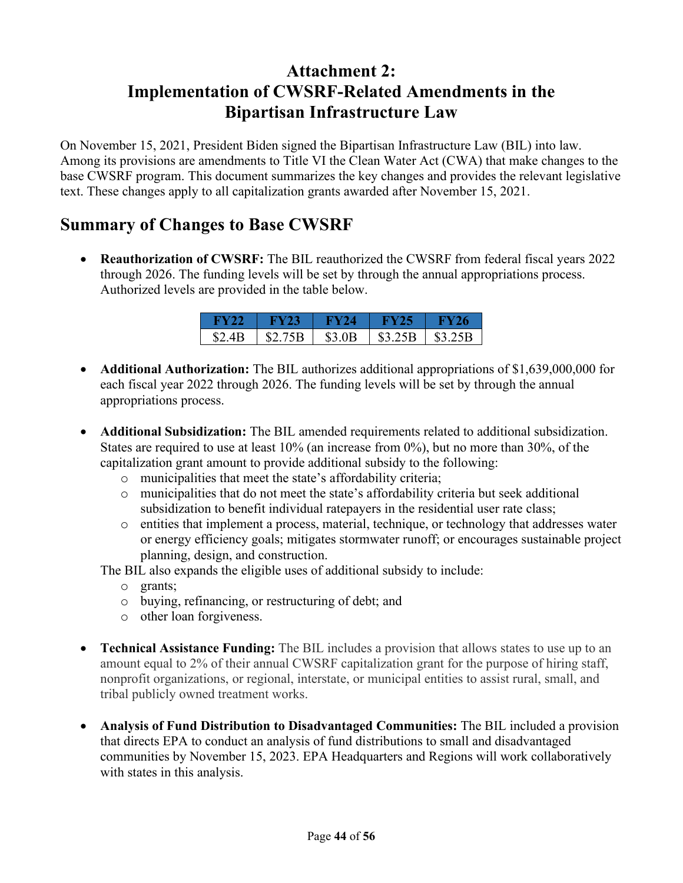# **Attachment 2: Implementation of CWSRF-Related Amendments in the Bipartisan Infrastructure Law**

On November 15, 2021, President Biden signed the Bipartisan Infrastructure Law (BIL) into law. Among its provisions are amendments to Title VI the Clean Water Act (CWA) that make changes to the base CWSRF program. This document summarizes the key changes and provides the relevant legislative text. These changes apply to all capitalization grants awarded after November 15, 2021.

# **Summary of Changes to Base CWSRF**

• **Reauthorization of CWSRF:** The BIL reauthorized the CWSRF from federal fiscal years 2022 through 2026. The funding levels will be set by through the annual appropriations process. Authorized levels are provided in the table below.

| H Y 22        | FY 23   | W 24   | KY ZS   | 26      |
|---------------|---------|--------|---------|---------|
| <b>\$2.4B</b> | \$2.75B | \$3.0B | \$3.25B | \$3.25B |

- **Additional Authorization:** The BIL authorizes additional appropriations of \$1,639,000,000 for each fiscal year 2022 through 2026. The funding levels will be set by through the annual appropriations process.
- **Additional Subsidization:** The BIL amended requirements related to additional subsidization. States are required to use at least 10% (an increase from 0%), but no more than 30%, of the capitalization grant amount to provide additional subsidy to the following:
	- o municipalities that meet the state's affordability criteria;
	- o municipalities that do not meet the state's affordability criteria but seek additional subsidization to benefit individual ratepayers in the residential user rate class;
	- o entities that implement a process, material, technique, or technology that addresses water or energy efficiency goals; mitigates stormwater runoff; or encourages sustainable project planning, design, and construction.

The BIL also expands the eligible uses of additional subsidy to include:

- o grants;
- o buying, refinancing, or restructuring of debt; and
- o other loan forgiveness.
- **Technical Assistance Funding:** The BIL includes a provision that allows states to use up to an amount equal to 2% of their annual CWSRF capitalization grant for the purpose of hiring staff, nonprofit organizations, or regional, interstate, or municipal entities to assist rural, small, and tribal publicly owned treatment works.
- **Analysis of Fund Distribution to Disadvantaged Communities:** The BIL included a provision that directs EPA to conduct an analysis of fund distributions to small and disadvantaged communities by November 15, 2023. EPA Headquarters and Regions will work collaboratively with states in this analysis.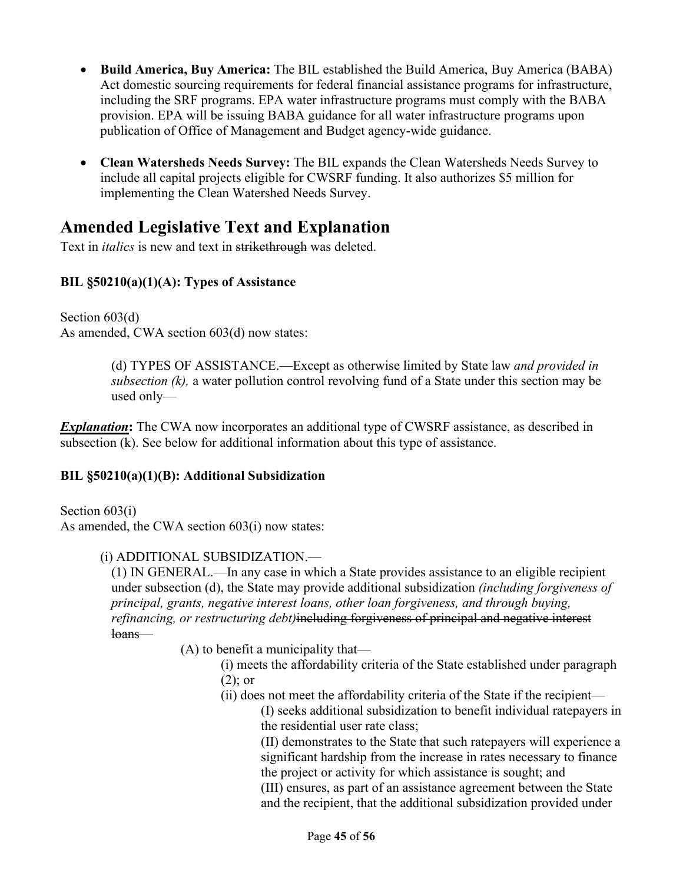- **Build America, Buy America:** The BIL established the Build America, Buy America (BABA) Act domestic sourcing requirements for federal financial assistance programs for infrastructure, including the SRF programs. EPA water infrastructure programs must comply with the BABA provision. EPA will be issuing BABA guidance for all water infrastructure programs upon publication of Office of Management and Budget agency-wide guidance.
- **Clean Watersheds Needs Survey:** The BIL expands the Clean Watersheds Needs Survey to include all capital projects eligible for CWSRF funding. It also authorizes \$5 million for implementing the Clean Watershed Needs Survey.

# **Amended Legislative Text and Explanation**

Text in *italics* is new and text in strikethrough was deleted.

#### **BIL §50210(a)(1)(A): Types of Assistance**

Section 603(d) As amended, CWA section 603(d) now states:

> (d) TYPES OF ASSISTANCE.—Except as otherwise limited by State law *and provided in subsection (k),* a water pollution control revolving fund of a State under this section may be used only—

**Explanation:** The CWA now incorporates an additional type of CWSRF assistance, as described in subsection (k). See below for additional information about this type of assistance.

#### **BIL §50210(a)(1)(B): Additional Subsidization**

Section 603(i) As amended, the CWA section 603(i) now states:

#### (i) ADDITIONAL SUBSIDIZATION.—

(1) IN GENERAL.—In any case in which a State provides assistance to an eligible recipient under subsection (d), the State may provide additional subsidization *(including forgiveness of principal, grants, negative interest loans, other loan forgiveness, and through buying, refinancing, or restructuring debt)*including forgiveness of principal and negative interest loans—

- (A) to benefit a municipality that—
	- (i) meets the affordability criteria of the State established under paragraph (2); or
	- (ii) does not meet the affordability criteria of the State if the recipient—

(I) seeks additional subsidization to benefit individual ratepayers in the residential user rate class;

(II) demonstrates to the State that such ratepayers will experience a significant hardship from the increase in rates necessary to finance the project or activity for which assistance is sought; and

(III) ensures, as part of an assistance agreement between the State and the recipient, that the additional subsidization provided under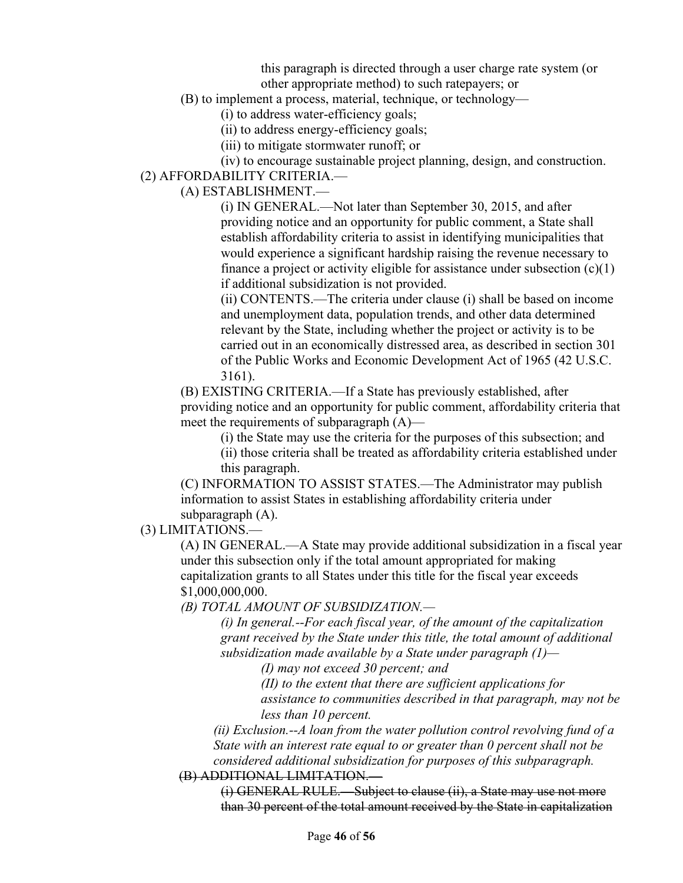this paragraph is directed through a user charge rate system (or other appropriate method) to such ratepayers; or

(B) to implement a process, material, technique, or technology—

(i) to address water-efficiency goals;

(ii) to address energy-efficiency goals;

(iii) to mitigate stormwater runoff; or

(iv) to encourage sustainable project planning, design, and construction. (2) AFFORDABILITY CRITERIA.—

(A) ESTABLISHMENT.—

(i) IN GENERAL.—Not later than September 30, 2015, and after providing notice and an opportunity for public comment, a State shall establish affordability criteria to assist in identifying municipalities that would experience a significant hardship raising the revenue necessary to finance a project or activity eligible for assistance under subsection  $(c)(1)$ if additional subsidization is not provided.

(ii) CONTENTS.—The criteria under clause (i) shall be based on income and unemployment data, population trends, and other data determined relevant by the State, including whether the project or activity is to be carried out in an economically distressed area, as described in section 301 of the Public Works and Economic Development Act of 1965 (42 U.S.C. 3161).

(B) EXISTING CRITERIA.—If a State has previously established, after providing notice and an opportunity for public comment, affordability criteria that meet the requirements of subparagraph (A)—

(i) the State may use the criteria for the purposes of this subsection; and

(ii) those criteria shall be treated as affordability criteria established under this paragraph.

(C) INFORMATION TO ASSIST STATES.—The Administrator may publish information to assist States in establishing affordability criteria under subparagraph (A).

(3) LIMITATIONS.—

(A) IN GENERAL.—A State may provide additional subsidization in a fiscal year under this subsection only if the total amount appropriated for making capitalization grants to all States under this title for the fiscal year exceeds \$1,000,000,000.

*(B) TOTAL AMOUNT OF SUBSIDIZATION.—*

*(i) In general.--For each fiscal year, of the amount of the capitalization grant received by the State under this title, the total amount of additional subsidization made available by a State under paragraph (1)—*

*(I) may not exceed 30 percent; and*

*(II) to the extent that there are sufficient applications for* 

*assistance to communities described in that paragraph, may not be less than 10 percent.*

*(ii) Exclusion.--A loan from the water pollution control revolving fund of a State with an interest rate equal to or greater than 0 percent shall not be considered additional subsidization for purposes of this subparagraph.*

(B) ADDITIONAL LIMITATION.—

(i) GENERAL RULE.—Subject to clause (ii), a State may use not more than 30 percent of the total amount received by the State in capitalization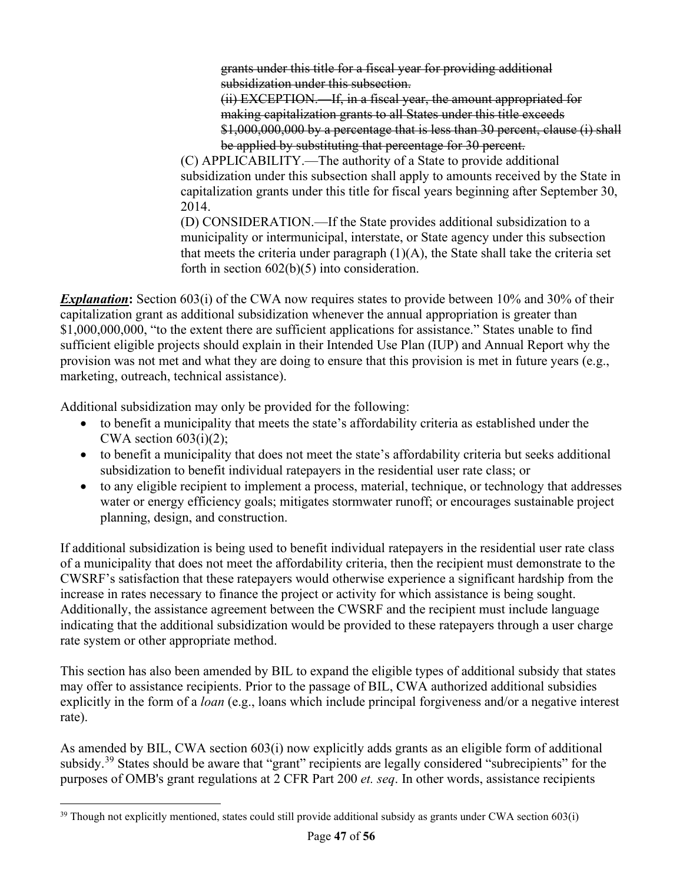grants under this title for a fiscal year for providing additional subsidization under this subsection.

(ii) EXCEPTION.—If, in a fiscal year, the amount appropriated for making capitalization grants to all States under this title exceeds \$1,000,000,000 by a percentage that is less than 30 percent, clause (i) shall be applied by substituting that percentage for 30 percent.

(C) APPLICABILITY.—The authority of a State to provide additional subsidization under this subsection shall apply to amounts received by the State in capitalization grants under this title for fiscal years beginning after September 30, 2014.

(D) CONSIDERATION.—If the State provides additional subsidization to a municipality or intermunicipal, interstate, or State agency under this subsection that meets the criteria under paragraph  $(1)(A)$ , the State shall take the criteria set forth in section 602(b)(5) into consideration.

*Explanation*: Section 603(i) of the CWA now requires states to provide between 10% and 30% of their capitalization grant as additional subsidization whenever the annual appropriation is greater than \$1,000,000,000, "to the extent there are sufficient applications for assistance." States unable to find sufficient eligible projects should explain in their Intended Use Plan (IUP) and Annual Report why the provision was not met and what they are doing to ensure that this provision is met in future years (e.g., marketing, outreach, technical assistance).

Additional subsidization may only be provided for the following:

- to benefit a municipality that meets the state's affordability criteria as established under the CWA section  $603(i)(2)$ ;
- to benefit a municipality that does not meet the state's affordability criteria but seeks additional subsidization to benefit individual ratepayers in the residential user rate class; or
- to any eligible recipient to implement a process, material, technique, or technology that addresses water or energy efficiency goals; mitigates stormwater runoff; or encourages sustainable project planning, design, and construction.

If additional subsidization is being used to benefit individual ratepayers in the residential user rate class of a municipality that does not meet the affordability criteria, then the recipient must demonstrate to the CWSRF's satisfaction that these ratepayers would otherwise experience a significant hardship from the increase in rates necessary to finance the project or activity for which assistance is being sought. Additionally, the assistance agreement between the CWSRF and the recipient must include language indicating that the additional subsidization would be provided to these ratepayers through a user charge rate system or other appropriate method.

This section has also been amended by BIL to expand the eligible types of additional subsidy that states may offer to assistance recipients. Prior to the passage of BIL, CWA authorized additional subsidies explicitly in the form of a *loan* (e.g., loans which include principal forgiveness and/or a negative interest rate).

As amended by BIL, CWA section 603(i) now explicitly adds grants as an eligible form of additional subsidy.<sup>[39](#page-46-0)</sup> States should be aware that "grant" recipients are legally considered "subrecipients" for the purposes of OMB's grant regulations at 2 CFR Part 200 *et. seq*. In other words, assistance recipients

<span id="page-46-0"></span><sup>&</sup>lt;sup>39</sup> Though not explicitly mentioned, states could still provide additional subsidy as grants under CWA section 603(i)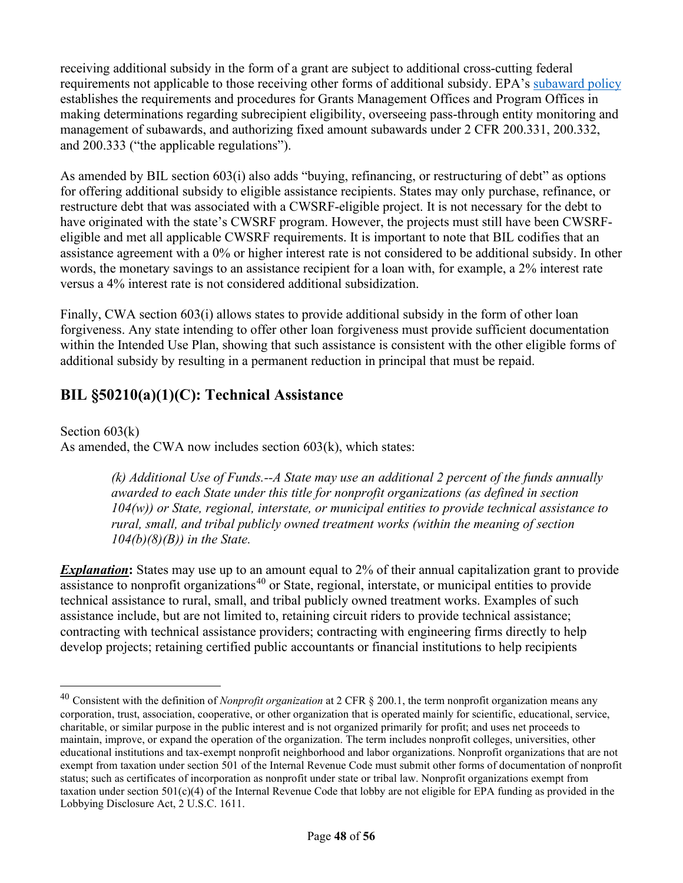receiving additional subsidy in the form of a grant are subject to additional cross-cutting federal requirements not applicable to those receiving other forms of additional subsidy. EPA's [subaward policy](https://www.epa.gov/sites/default/files/2020-11/documents/gpi-16-01-subaward-policy_attachments.pdf?VersionId=Gpyn6th6aI5b8IUFE.nf8Zw4cBEoZNHY) establishes the requirements and procedures for Grants Management Offices and Program Offices in making determinations regarding subrecipient eligibility, overseeing pass-through entity monitoring and management of subawards, and authorizing fixed amount subawards under 2 CFR 200.331, 200.332, and 200.333 ("the applicable regulations").

As amended by BIL section 603(i) also adds "buying, refinancing, or restructuring of debt" as options for offering additional subsidy to eligible assistance recipients. States may only purchase, refinance, or restructure debt that was associated with a CWSRF-eligible project. It is not necessary for the debt to have originated with the state's CWSRF program. However, the projects must still have been CWSRFeligible and met all applicable CWSRF requirements. It is important to note that BIL codifies that an assistance agreement with a 0% or higher interest rate is not considered to be additional subsidy. In other words, the monetary savings to an assistance recipient for a loan with, for example, a 2% interest rate versus a 4% interest rate is not considered additional subsidization.

Finally, CWA section 603(i) allows states to provide additional subsidy in the form of other loan forgiveness. Any state intending to offer other loan forgiveness must provide sufficient documentation within the Intended Use Plan, showing that such assistance is consistent with the other eligible forms of additional subsidy by resulting in a permanent reduction in principal that must be repaid.

### **BIL §50210(a)(1)(C): Technical Assistance**

Section 603(k)

As amended, the CWA now includes section 603(k), which states:

*(k) Additional Use of Funds.--A State may use an additional 2 percent of the funds annually awarded to each State under this title for nonprofit organizations (as defined in section 104(w)) or State, regional, interstate, or municipal entities to provide technical assistance to rural, small, and tribal publicly owned treatment works (within the meaning of section 104(b)(8)(B)) in the State.*

*Explanation*: States may use up to an amount equal to 2% of their annual capitalization grant to provide  $\overline{a}$  assistance to nonprofit organizations<sup>[40](#page-47-0)</sup> or State, regional, interstate, or municipal entities to provide technical assistance to rural, small, and tribal publicly owned treatment works. Examples of such assistance include, but are not limited to, retaining circuit riders to provide technical assistance; contracting with technical assistance providers; contracting with engineering firms directly to help develop projects; retaining certified public accountants or financial institutions to help recipients

<span id="page-47-0"></span><sup>40</sup> Consistent with the definition of *Nonprofit organization* at 2 CFR § 200.1, the term nonprofit organization means any corporation, trust, association, cooperative, or other organization that is operated mainly for scientific, educational, service, charitable, or similar purpose in the public interest and is not organized primarily for profit; and uses net proceeds to maintain, improve, or expand the operation of the organization. The term includes nonprofit colleges, universities, other educational institutions and tax-exempt nonprofit neighborhood and labor organizations. Nonprofit organizations that are not exempt from taxation under section 501 of the Internal Revenue Code must submit other forms of documentation of nonprofit status; such as certificates of incorporation as nonprofit under state or tribal law. Nonprofit organizations exempt from taxation under section  $501(c)(4)$  of the Internal Revenue Code that lobby are not eligible for EPA funding as provided in the Lobbying Disclosure Act, 2 U.S.C. 1611.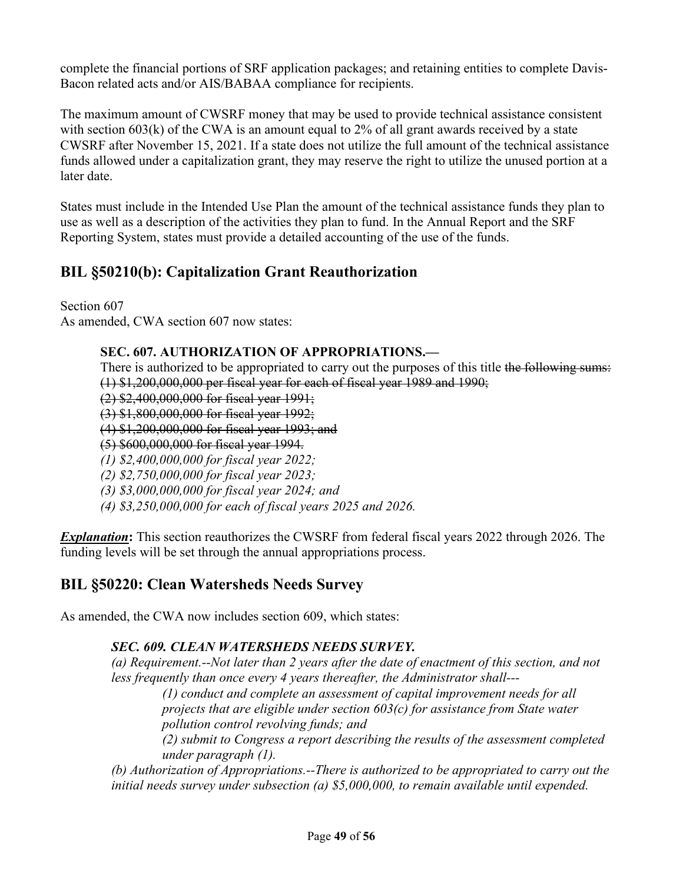complete the financial portions of SRF application packages; and retaining entities to complete Davis-Bacon related acts and/or AIS/BABAA compliance for recipients.

The maximum amount of CWSRF money that may be used to provide technical assistance consistent with section  $603(k)$  of the CWA is an amount equal to 2% of all grant awards received by a state CWSRF after November 15, 2021. If a state does not utilize the full amount of the technical assistance funds allowed under a capitalization grant, they may reserve the right to utilize the unused portion at a later date.

States must include in the Intended Use Plan the amount of the technical assistance funds they plan to use as well as a description of the activities they plan to fund. In the Annual Report and the SRF Reporting System, states must provide a detailed accounting of the use of the funds.

# **BIL §50210(b): Capitalization Grant Reauthorization**

Section 607 As amended, CWA section 607 now states:

#### **SEC. 607. AUTHORIZATION OF APPROPRIATIONS.—**

There is authorized to be appropriated to carry out the purposes of this title the following sums: (1) \$1,200,000,000 per fiscal year for each of fiscal year 1989 and 1990;

(2) \$2,400,000,000 for fiscal year 1991;

(3) \$1,800,000,000 for fiscal year 1992;

(4) \$1,200,000,000 for fiscal year 1993; and

(5) \$600,000,000 for fiscal year 1994.

*(1) \$2,400,000,000 for fiscal year 2022;*

*(2) \$2,750,000,000 for fiscal year 2023;*

*(3) \$3,000,000,000 for fiscal year 2024; and*

*(4) \$3,250,000,000 for each of fiscal years 2025 and 2026.*

*Explanation***:** This section reauthorizes the CWSRF from federal fiscal years 2022 through 2026. The funding levels will be set through the annual appropriations process.

## **BIL §50220: Clean Watersheds Needs Survey**

As amended, the CWA now includes section 609, which states:

#### *SEC. 609. CLEAN WATERSHEDS NEEDS SURVEY.*

*(a) Requirement.--Not later than 2 years after the date of enactment of this section, and not less frequently than once every 4 years thereafter, the Administrator shall---*

*(1) conduct and complete an assessment of capital improvement needs for all projects that are eligible under section 603(c) for assistance from State water pollution control revolving funds; and* 

*(2) submit to Congress a report describing the results of the assessment completed under paragraph (1).*

*(b) Authorization of Appropriations.--There is authorized to be appropriated to carry out the initial needs survey under subsection (a) \$5,000,000, to remain available until expended.*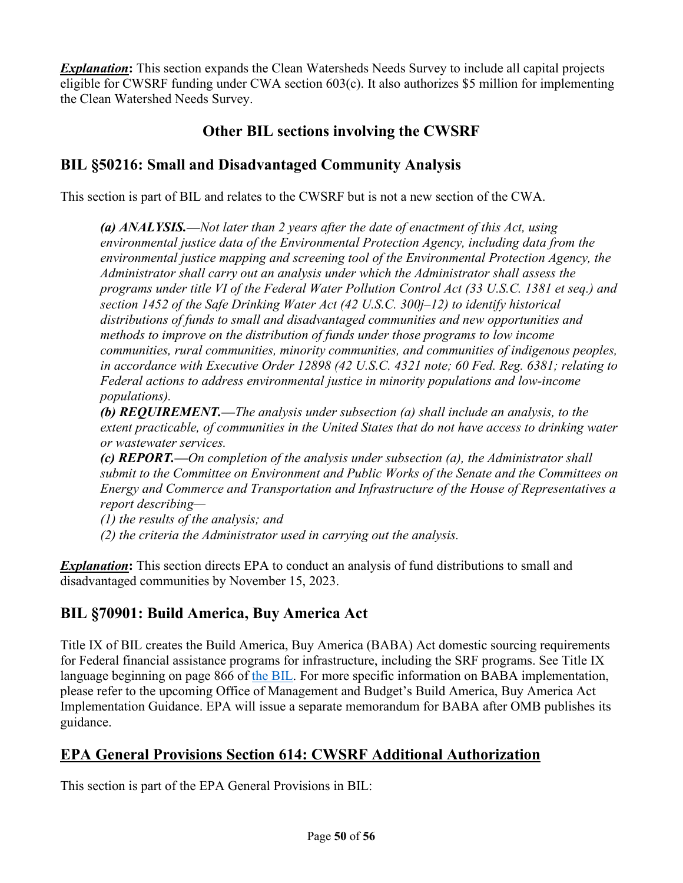*Explanation***:** This section expands the Clean Watersheds Needs Survey to include all capital projects eligible for CWSRF funding under CWA section 603(c). It also authorizes \$5 million for implementing the Clean Watershed Needs Survey.

## **Other BIL sections involving the CWSRF**

### **BIL §50216: Small and Disadvantaged Community Analysis**

This section is part of BIL and relates to the CWSRF but is not a new section of the CWA.

*(a) ANALYSIS.—Not later than 2 years after the date of enactment of this Act, using environmental justice data of the Environmental Protection Agency, including data from the environmental justice mapping and screening tool of the Environmental Protection Agency, the Administrator shall carry out an analysis under which the Administrator shall assess the programs under title VI of the Federal Water Pollution Control Act (33 U.S.C. 1381 et seq.) and section 1452 of the Safe Drinking Water Act (42 U.S.C. 300j–12) to identify historical distributions of funds to small and disadvantaged communities and new opportunities and methods to improve on the distribution of funds under those programs to low income communities, rural communities, minority communities, and communities of indigenous peoples, in accordance with Executive Order 12898 (42 U.S.C. 4321 note; 60 Fed. Reg. 6381; relating to Federal actions to address environmental justice in minority populations and low-income populations).*

*(b) REQUIREMENT.—The analysis under subsection (a) shall include an analysis, to the extent practicable, of communities in the United States that do not have access to drinking water or wastewater services.* 

*(c) REPORT.—On completion of the analysis under subsection (a), the Administrator shall submit to the Committee on Environment and Public Works of the Senate and the Committees on Energy and Commerce and Transportation and Infrastructure of the House of Representatives a report describing—*

*(1) the results of the analysis; and*

*(2) the criteria the Administrator used in carrying out the analysis.*

**Explanation:** This section directs EPA to conduct an analysis of fund distributions to small and disadvantaged communities by November 15, 2023.

## **BIL §70901: Build America, Buy America Act**

Title IX of BIL creates the Build America, Buy America (BABA) Act domestic sourcing requirements for Federal financial assistance programs for infrastructure, including the SRF programs. See Title IX language beginning on page 866 of [the BIL.](https://www.congress.gov/117/plaws/publ58/PLAW-117publ58.pdf) For more specific information on BABA implementation, please refer to the upcoming Office of Management and Budget's Build America, Buy America Act Implementation Guidance. EPA will issue a separate memorandum for BABA after OMB publishes its guidance.

## **EPA General Provisions Section 614: CWSRF Additional Authorization**

This section is part of the EPA General Provisions in BIL: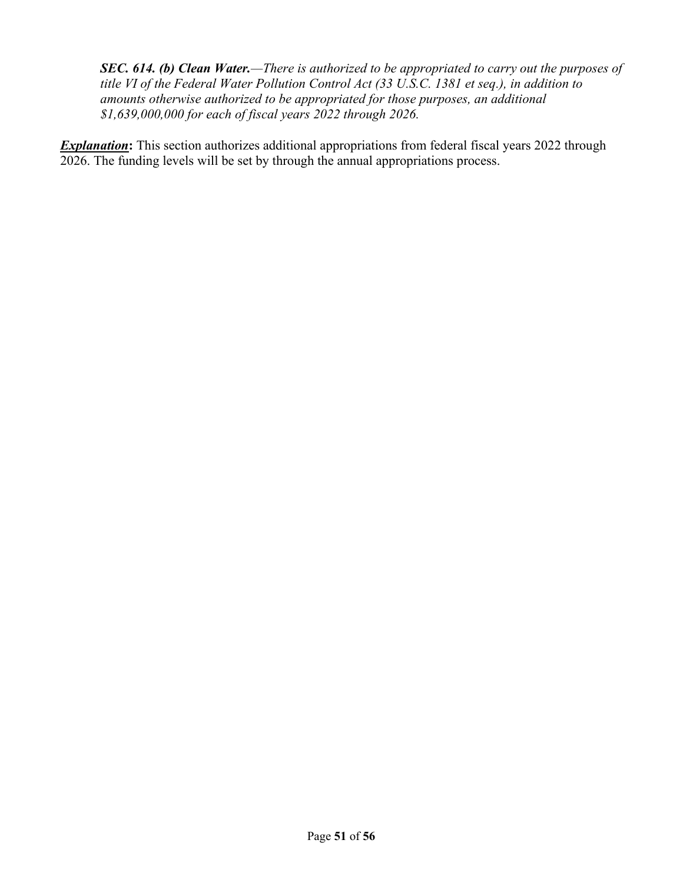*SEC. 614. (b) Clean Water.—There is authorized to be appropriated to carry out the purposes of title VI of the Federal Water Pollution Control Act (33 U.S.C. 1381 et seq.), in addition to amounts otherwise authorized to be appropriated for those purposes, an additional \$1,639,000,000 for each of fiscal years 2022 through 2026.*

**Explanation:** This section authorizes additional appropriations from federal fiscal years 2022 through 2026. The funding levels will be set by through the annual appropriations process.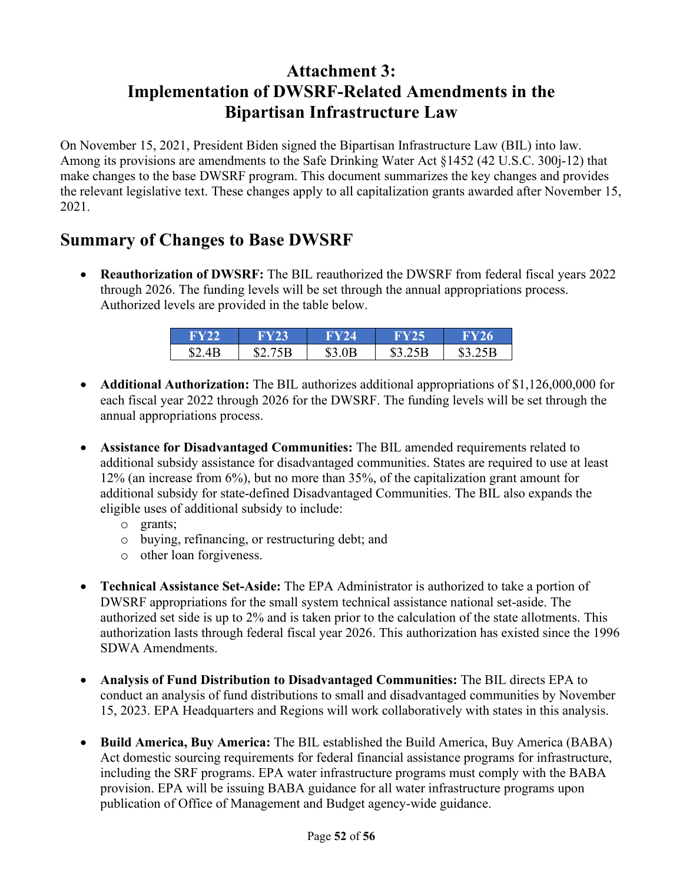# **Attachment 3: Implementation of DWSRF-Related Amendments in the Bipartisan Infrastructure Law**

On November 15, 2021, President Biden signed the Bipartisan Infrastructure Law (BIL) into law. Among its provisions are amendments to the Safe Drinking Water Act §1452 (42 U.S.C. 300j-12) that make changes to the base DWSRF program. This document summarizes the key changes and provides the relevant legislative text. These changes apply to all capitalization grants awarded after November 15, 2021.

# **Summary of Changes to Base DWSRF**

• **Reauthorization of DWSRF:** The BIL reauthorized the DWSRF from federal fiscal years 2022 through 2026. The funding levels will be set through the annual appropriations process. Authorized levels are provided in the table below.

| <b>FY22</b> | <b>FY23</b> | <b>FY24</b> | <b>FY25</b> | <b>FY26</b> |
|-------------|-------------|-------------|-------------|-------------|
| \$2.4B      | \$2.75B     | \$3.0B      | \$3.25B     | \$3.25B     |

- **Additional Authorization:** The BIL authorizes additional appropriations of \$1,126,000,000 for each fiscal year 2022 through 2026 for the DWSRF. The funding levels will be set through the annual appropriations process.
- **Assistance for Disadvantaged Communities:** The BIL amended requirements related to additional subsidy assistance for disadvantaged communities. States are required to use at least 12% (an increase from 6%), but no more than 35%, of the capitalization grant amount for additional subsidy for state-defined Disadvantaged Communities. The BIL also expands the eligible uses of additional subsidy to include:
	- o grants;
	- o buying, refinancing, or restructuring debt; and
	- o other loan forgiveness.
- **Technical Assistance Set-Aside:** The EPA Administrator is authorized to take a portion of DWSRF appropriations for the small system technical assistance national set-aside. The authorized set side is up to 2% and is taken prior to the calculation of the state allotments. This authorization lasts through federal fiscal year 2026. This authorization has existed since the 1996 SDWA Amendments.
- **Analysis of Fund Distribution to Disadvantaged Communities:** The BIL directs EPA to conduct an analysis of fund distributions to small and disadvantaged communities by November 15, 2023. EPA Headquarters and Regions will work collaboratively with states in this analysis.
- **Build America, Buy America:** The BIL established the Build America, Buy America (BABA) Act domestic sourcing requirements for federal financial assistance programs for infrastructure, including the SRF programs. EPA water infrastructure programs must comply with the BABA provision. EPA will be issuing BABA guidance for all water infrastructure programs upon publication of Office of Management and Budget agency-wide guidance.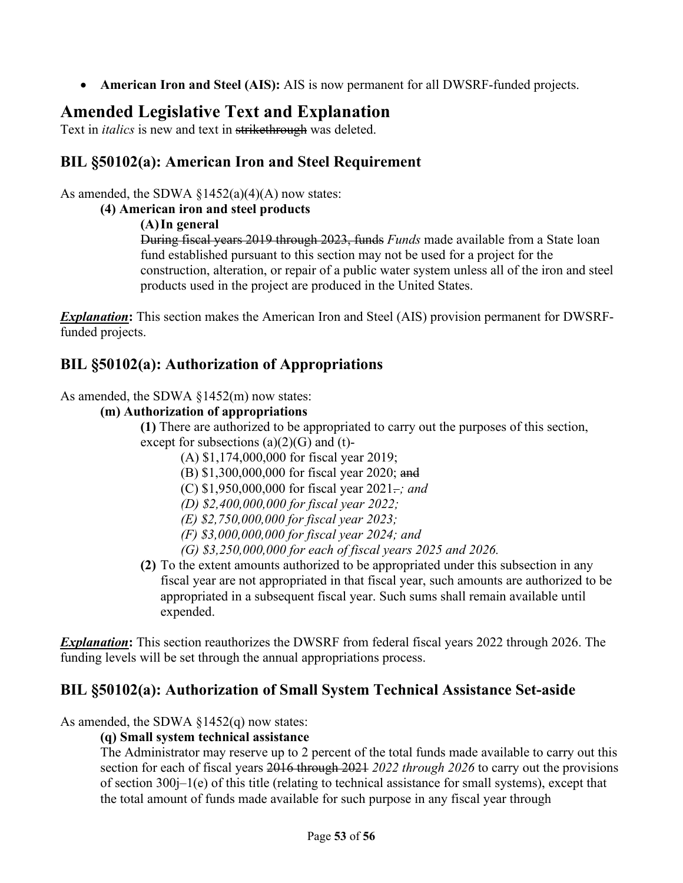• **American Iron and Steel (AIS):** AIS is now permanent for all DWSRF-funded projects.

# **Amended Legislative Text and Explanation**

Text in *italics* is new and text in strikethrough was deleted.

## **BIL §50102(a): American Iron and Steel Requirement**

As amended, the SDWA  $\S1452(a)(4)(A)$  now states:

#### **(4) American iron and steel products**

#### **(A)In general**

During fiscal years 2019 through 2023, funds *Funds* made available from a State loan fund established pursuant to this section may not be used for a project for the construction, alteration, or repair of a public water system unless all of the iron and steel products used in the project are produced in the United States.

*Explanation***:** This section makes the American Iron and Steel (AIS) provision permanent for DWSRFfunded projects.

## **BIL §50102(a): Authorization of Appropriations**

As amended, the SDWA §1452(m) now states:

#### **(m) Authorization of appropriations**

**(1)** There are authorized to be appropriated to carry out the purposes of this section, except for subsections  $(a)(2)(G)$  and  $(t)$ -

- (A) \$1,174,000,000 for fiscal year 2019;
- (B) \$1,300,000,000 for fiscal year 2020; and
- (C) \$1,950,000,000 for fiscal year 2021. *; and*
- *(D) \$2,400,000,000 for fiscal year 2022;*
- *(E) \$2,750,000,000 for fiscal year 2023;*
- *(F) \$3,000,000,000 for fiscal year 2024; and*
- *(G) \$3,250,000,000 for each of fiscal years 2025 and 2026.*
- **(2)** To the extent amounts authorized to be appropriated under this subsection in any fiscal year are not appropriated in that fiscal year, such amounts are authorized to be appropriated in a subsequent fiscal year. Such sums shall remain available until expended.

*Explanation***:** This section reauthorizes the DWSRF from federal fiscal years 2022 through 2026. The funding levels will be set through the annual appropriations process.

## **BIL §50102(a): Authorization of Small System Technical Assistance Set-aside**

As amended, the SDWA  $\S 1452(q)$  now states:

#### **(q) Small system technical assistance**

The Administrator may reserve up to 2 percent of the total funds made available to carry out this section for each of fiscal years 2016 through 2021 *2022 through 2026* to carry out the provisions of section 300j–1(e) of this title (relating to technical assistance for small systems), except that the total amount of funds made available for such purpose in any fiscal year through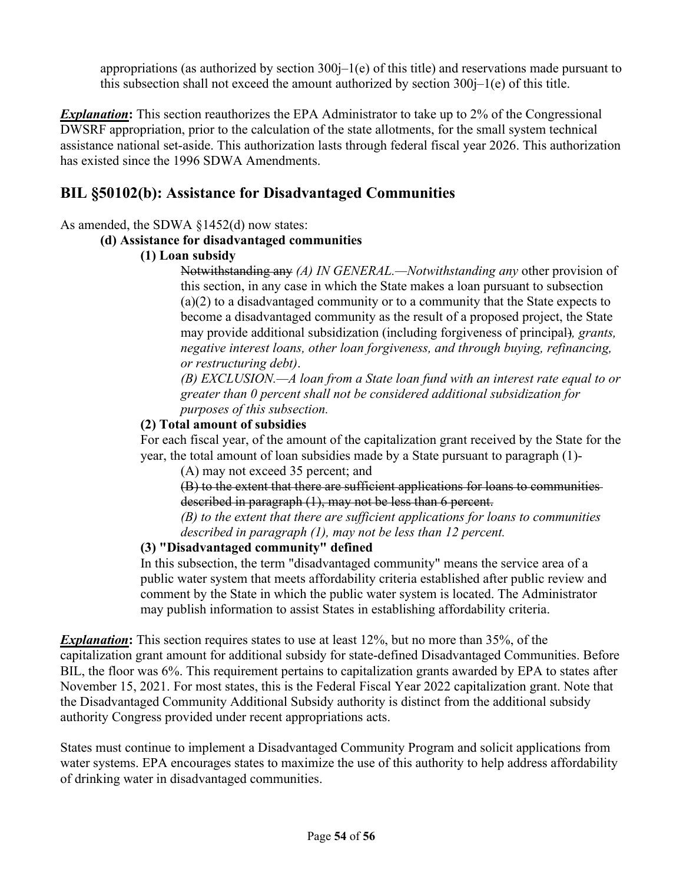appropriations (as authorized by section  $300j-1(e)$  of this title) and reservations made pursuant to this subsection shall not exceed the amount authorized by section  $300j-1(e)$  of this title.

*Explanation***:** This section reauthorizes the EPA Administrator to take up to 2% of the Congressional DWSRF appropriation, prior to the calculation of the state allotments, for the small system technical assistance national set-aside. This authorization lasts through federal fiscal year 2026. This authorization has existed since the 1996 SDWA Amendments.

### **BIL §50102(b): Assistance for Disadvantaged Communities**

#### As amended, the SDWA §1452(d) now states:

#### **(d) Assistance for disadvantaged communities**

#### **(1) Loan subsidy**

Notwithstanding any *(A) IN GENERAL.—Notwithstanding any* other provision of this section, in any case in which the State makes a loan pursuant to subsection (a)(2) to a disadvantaged community or to a community that the State expects to become a disadvantaged community as the result of a proposed project, the State may provide additional subsidization (including forgiveness of principal)*, grants, negative interest loans, other loan forgiveness, and through buying, refinancing, or restructuring debt)*.

*(B) EXCLUSION.—A loan from a State loan fund with an interest rate equal to or greater than 0 percent shall not be considered additional subsidization for purposes of this subsection.*

#### **(2) Total amount of subsidies**

For each fiscal year, of the amount of the capitalization grant received by the State for the year, the total amount of loan subsidies made by a State pursuant to paragraph (1)-

(A) may not exceed 35 percent; and

(B) to the extent that there are sufficient applications for loans to communities described in paragraph (1), may not be less than 6 percent.

*(B) to the extent that there are sufficient applications for loans to communities described in paragraph (1), may not be less than 12 percent.*

#### **(3) "Disadvantaged community" defined**

In this subsection, the term "disadvantaged community" means the service area of a public water system that meets affordability criteria established after public review and comment by the State in which the public water system is located. The Administrator may publish information to assist States in establishing affordability criteria.

*Explanation***:** This section requires states to use at least 12%, but no more than 35%, of the capitalization grant amount for additional subsidy for state-defined Disadvantaged Communities. Before BIL, the floor was 6%. This requirement pertains to capitalization grants awarded by EPA to states after November 15, 2021. For most states, this is the Federal Fiscal Year 2022 capitalization grant. Note that the Disadvantaged Community Additional Subsidy authority is distinct from the additional subsidy authority Congress provided under recent appropriations acts.

States must continue to implement a Disadvantaged Community Program and solicit applications from water systems. EPA encourages states to maximize the use of this authority to help address affordability of drinking water in disadvantaged communities.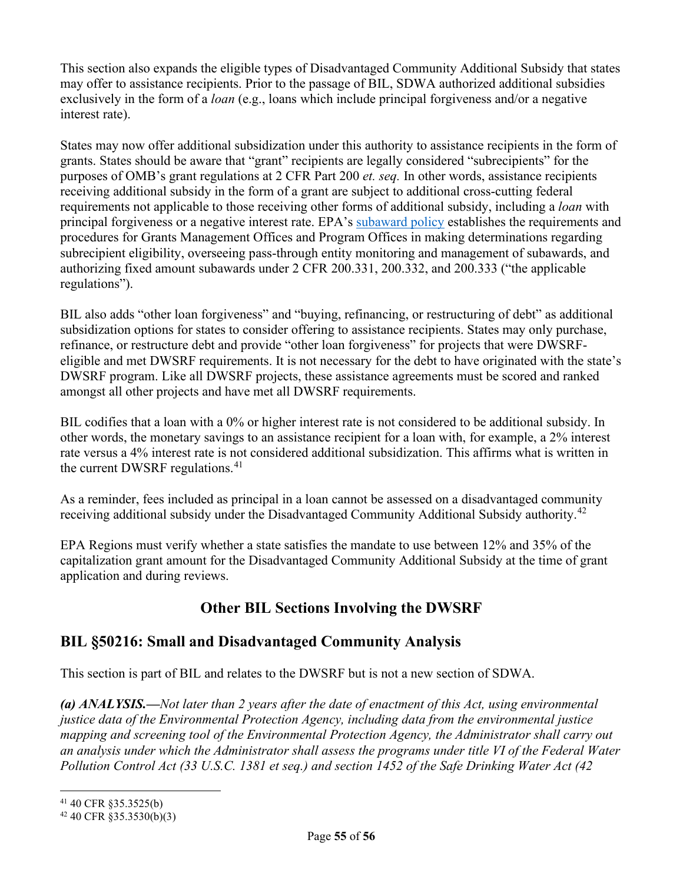This section also expands the eligible types of Disadvantaged Community Additional Subsidy that states may offer to assistance recipients. Prior to the passage of BIL, SDWA authorized additional subsidies exclusively in the form of a *loan* (e.g., loans which include principal forgiveness and/or a negative interest rate).

States may now offer additional subsidization under this authority to assistance recipients in the form of grants. States should be aware that "grant" recipients are legally considered "subrecipients" for the purposes of OMB's grant regulations at 2 CFR Part 200 *et. seq.* In other words, assistance recipients receiving additional subsidy in the form of a grant are subject to additional cross-cutting federal requirements not applicable to those receiving other forms of additional subsidy, including a *loan* with principal forgiveness or a negative interest rate. EPA's [subaward policy](https://www.epa.gov/sites/default/files/2020-11/documents/gpi-16-01-subaward-policy_attachments.pdf?VersionId=Gpyn6th6aI5b8IUFE.nf8Zw4cBEoZNHY) establishes the requirements and procedures for Grants Management Offices and Program Offices in making determinations regarding subrecipient eligibility, overseeing pass-through entity monitoring and management of subawards, and authorizing fixed amount subawards under 2 CFR 200.331, 200.332, and 200.333 ("the applicable regulations").

BIL also adds "other loan forgiveness" and "buying, refinancing, or restructuring of debt" as additional subsidization options for states to consider offering to assistance recipients. States may only purchase, refinance, or restructure debt and provide "other loan forgiveness" for projects that were DWSRFeligible and met DWSRF requirements. It is not necessary for the debt to have originated with the state's DWSRF program. Like all DWSRF projects, these assistance agreements must be scored and ranked amongst all other projects and have met all DWSRF requirements.

BIL codifies that a loan with a 0% or higher interest rate is not considered to be additional subsidy. In other words, the monetary savings to an assistance recipient for a loan with, for example, a 2% interest rate versus a 4% interest rate is not considered additional subsidization. This affirms what is written in the current DWSRF regulations.<sup>[41](#page-54-0)</sup>

As a reminder, fees included as principal in a loan cannot be assessed on a disadvantaged community receiving additional subsidy under the Disadvantaged Community Additional Subsidy authority.<sup>[42](#page-54-1)</sup>

EPA Regions must verify whether a state satisfies the mandate to use between 12% and 35% of the capitalization grant amount for the Disadvantaged Community Additional Subsidy at the time of grant application and during reviews.

## **Other BIL Sections Involving the DWSRF**

### **BIL §50216: Small and Disadvantaged Community Analysis**

This section is part of BIL and relates to the DWSRF but is not a new section of SDWA.

*(a) ANALYSIS.—Not later than 2 years after the date of enactment of this Act, using environmental justice data of the Environmental Protection Agency, including data from the environmental justice mapping and screening tool of the Environmental Protection Agency, the Administrator shall carry out an analysis under which the Administrator shall assess the programs under title VI of the Federal Water Pollution Control Act (33 U.S.C. 1381 et seq.) and section 1452 of the Safe Drinking Water Act (42* 

<span id="page-54-0"></span><sup>41</sup> 40 CFR §35.3525(b)

<span id="page-54-1"></span> $42$  40 CFR §35.3530(b)(3)